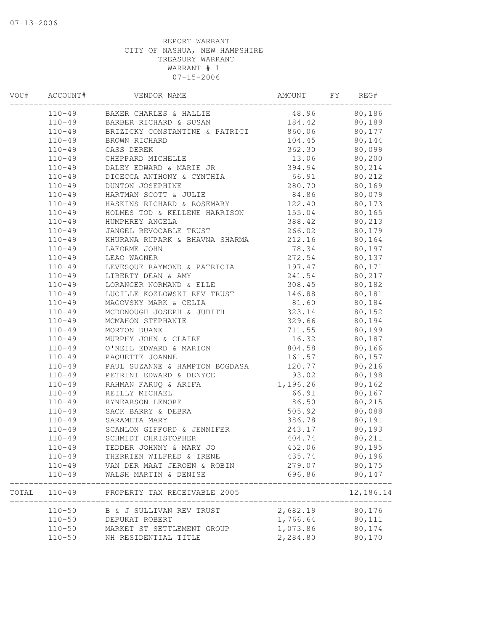| VOU# | ACCOUNT#   | VENDOR NAME                               | AMOUNT              | FY | REG#                   |
|------|------------|-------------------------------------------|---------------------|----|------------------------|
|      | $110 - 49$ | BAKER CHARLES & HALLIE                    | 48.96               |    | 80,186                 |
|      | $110 - 49$ | BARBER RICHARD & SUSAN                    | 184.42              |    | 80,189                 |
|      | $110 - 49$ | BRIZICKY CONSTANTINE & PATRICI            | 860.06              |    | 80,177                 |
|      | $110 - 49$ | BROWN RICHARD                             | 104.45              |    | 80,144                 |
|      | $110 - 49$ | CASS DEREK                                | 362.30              |    | 80,099                 |
|      | $110 - 49$ | CHEPPARD MICHELLE                         | 13.06               |    | 80,200                 |
|      | $110 - 49$ | DALEY EDWARD & MARIE JR                   | 394.94              |    | 80,214                 |
|      | $110 - 49$ | DICECCA ANTHONY & CYNTHIA                 | 66.91               |    | 80,212                 |
|      | $110 - 49$ | DUNTON JOSEPHINE                          | 280.70              |    | 80,169                 |
|      | $110 - 49$ | HARTMAN SCOTT & JULIE                     | 84.86               |    | 80,079                 |
|      | $110 - 49$ | HASKINS RICHARD & ROSEMARY                | 122.40              |    | 80,173                 |
|      | $110 - 49$ | HOLMES TOD & KELLENE HARRISON             | 155.04              |    | 80,165                 |
|      | $110 - 49$ | HUMPHREY ANGELA                           | 388.42              |    | 80,213                 |
|      | $110 - 49$ | JANGEL REVOCABLE TRUST                    | 266.02              |    | 80,179                 |
|      | $110 - 49$ | KHURANA RUPARK & BHAVNA SHARMA            | 212.16              |    | 80,164                 |
|      | $110 - 49$ | LAFORME JOHN                              | 78.34               |    | 80,197                 |
|      | $110 - 49$ | LEAO WAGNER                               | 272.54              |    | 80,137                 |
|      | $110 - 49$ | LEVESQUE RAYMOND & PATRICIA               | 197.47              |    | 80,171                 |
|      | $110 - 49$ | LIBERTY DEAN & AMY                        | 241.54              |    | 80,217                 |
|      | $110 - 49$ | LORANGER NORMAND & ELLE                   | 308.45              |    | 80,182                 |
|      | $110 - 49$ | LUCILLE KOZLOWSKI REV TRUST               | 146.88              |    | 80,181                 |
|      | $110 - 49$ | MAGOVSKY MARK & CELIA                     | 81.60               |    | 80,184                 |
|      | $110 - 49$ | MCDONOUGH JOSEPH & JUDITH                 | 323.14              |    | 80,152                 |
|      | $110 - 49$ | MCMAHON STEPHANIE                         | 329.66              |    | 80,194                 |
|      | $110 - 49$ | MORTON DUANE                              | 711.55              |    | 80,199                 |
|      | $110 - 49$ | MURPHY JOHN & CLAIRE                      | 16.32               |    | 80,187                 |
|      | $110 - 49$ | O'NEIL EDWARD & MARION                    | 804.58              |    | 80,166                 |
|      | $110 - 49$ | PAQUETTE JOANNE                           | 161.57              |    | 80,157                 |
|      | $110 - 49$ | PAUL SUZANNE & HAMPTON BOGDASA            | 120.77              |    | 80,216                 |
|      | $110 - 49$ | PETRINI EDWARD & DENYCE                   | 93.02               |    | 80,198                 |
|      | $110 - 49$ | RAHMAN FARUQ & ARIFA                      | 1,196.26            |    | 80,162                 |
|      | $110 - 49$ | REILLY MICHAEL                            | 66.91               |    | 80,167                 |
|      | $110 - 49$ | RYNEARSON LENORE                          | 86.50               |    | 80,215                 |
|      | $110 - 49$ | SACK BARRY & DEBRA                        | 505.92              |    | 80,088                 |
|      | $110 - 49$ | SARAMETA MARY                             | 386.78              |    | 80,191                 |
|      | $110 - 49$ | SCANLON GIFFORD & JENNIFER                | 243.17              |    | 80,193                 |
|      | $110 - 49$ | SCHMIDT CHRISTOPHER                       | 404.74              |    | 80,211                 |
|      | $110 - 49$ | TEDDER JOHNNY & MARY JO                   | 452.06              |    | 80,195                 |
|      | $110 - 49$ | THERRIEN WILFRED & IRENE                  | 435.74              |    | 80,196                 |
|      | $110 - 49$ | VAN DER MAAT JEROEN & ROBIN               | 279.07              |    | 80,175                 |
|      | $110 - 49$ | WALSH MARTIN & DENISE                     | 696.86              |    | 80,147<br>------------ |
|      |            | TOTAL 110-49 PROPERTY TAX RECEIVABLE 2005 | ___________________ |    | 12,186.14              |
|      | $110 - 50$ | B & J SULLIVAN REV TRUST                  | 2,682.19 80,176     |    |                        |
|      |            | 110-50 DEPUKAT ROBERT                     | 1,766.64 80,111     |    |                        |
|      |            | 110-50 MARKET ST SETTLEMENT GROUP         | 1,073.86            |    | 80,174                 |
|      | $110 - 50$ | NH RESIDENTIAL TITLE                      | 2,284.80            |    | 80,170                 |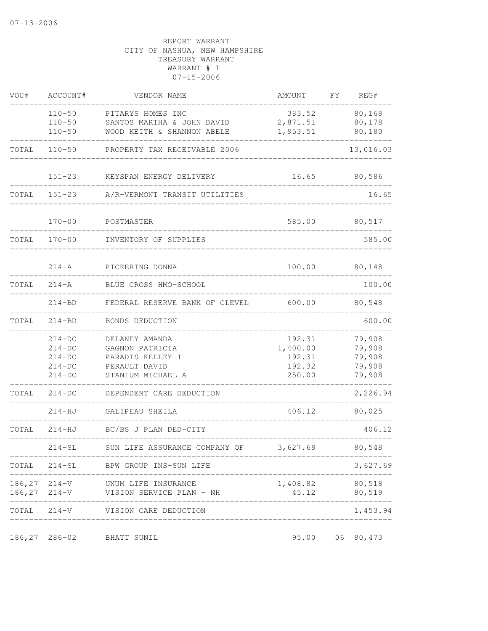| VOU#  | ACCOUNT#                                                 | VENDOR NAME                                                                                 | AMOUNT                                           | FΥ | REG#                                           |
|-------|----------------------------------------------------------|---------------------------------------------------------------------------------------------|--------------------------------------------------|----|------------------------------------------------|
|       | $110 - 50$<br>$110 - 50$<br>$110 - 50$                   | PITARYS HOMES INC<br>SANTOS MARTHA & JOHN DAVID<br>WOOD KEITH & SHANNON ABELE               | 383.52<br>2,871.51<br>1,953.51                   |    | 80,168<br>80,178<br>80,180                     |
| TOTAL | $110 - 50$                                               | PROPERTY TAX RECEIVABLE 2006                                                                |                                                  |    | 13,016.03                                      |
|       | $151 - 23$                                               | KEYSPAN ENERGY DELIVERY                                                                     | 16.65                                            |    | 80,586                                         |
| TOTAL | $151 - 23$                                               | A/R-VERMONT TRANSIT UTILITIES                                                               |                                                  |    | 16.65                                          |
|       | $170 - 00$                                               | POSTMASTER                                                                                  | 585.00                                           |    | 80,517                                         |
| TOTAL | $170 - 00$                                               | INVENTORY OF SUPPLIES                                                                       |                                                  |    | 585.00                                         |
|       | $214 - A$                                                | PICKERING DONNA                                                                             | 100.00                                           |    | 80,148                                         |
| TOTAL | $214 - A$                                                | BLUE CROSS HMO-SCHOOL                                                                       |                                                  |    | 100.00                                         |
|       | $214 - BD$                                               | FEDERAL RESERVE BANK OF CLEVEL                                                              | 600.00                                           |    | 80,548                                         |
| TOTAL | $214 - BD$                                               | BONDS DEDUCTION                                                                             |                                                  |    | 600.00                                         |
|       | $214-DC$<br>$214-DC$<br>$214-DC$<br>$214-DC$<br>$214-DC$ | DELANEY AMANDA<br>GAGNON PATRICIA<br>PARADIS KELLEY I<br>PERAULT DAVID<br>STANIUM MICHAEL A | 192.31<br>1,400.00<br>192.31<br>192.32<br>250.00 |    | 79,908<br>79,908<br>79,908<br>79,908<br>79,908 |
| TOTAL | $214-DC$                                                 | DEPENDENT CARE DEDUCTION                                                                    |                                                  |    | 2,226.94                                       |
|       | 214-HJ                                                   | GALIPEAU SHEILA                                                                             | 406.12                                           |    | 80,025                                         |
| TOTAL | $214-HJ$                                                 | BC/BS J PLAN DED-CITY                                                                       |                                                  |    | 406.12                                         |
|       | $214 - SL$                                               | SUN LIFE ASSURANCE COMPANY OF                                                               | 3,627.69                                         |    | 80,548                                         |
|       |                                                          | TOTAL 214-SL BPW GROUP INS-SUN LIFE                                                         |                                                  |    | 3,627.69                                       |
|       |                                                          | 186, 27 214-V UNUM LIFE INSURANCE<br>186, 27 214-V VISION SERVICE PLAN - NH                 | 1,408.82 80,518<br>45.12                         |    | 80,519                                         |
|       |                                                          | TOTAL 214-V VISION CARE DEDUCTION                                                           |                                                  |    | ____________<br>1,453.94                       |
|       |                                                          | 186,27 286-02 BHATT SUNIL                                                                   |                                                  |    | 95.00 06 80,473                                |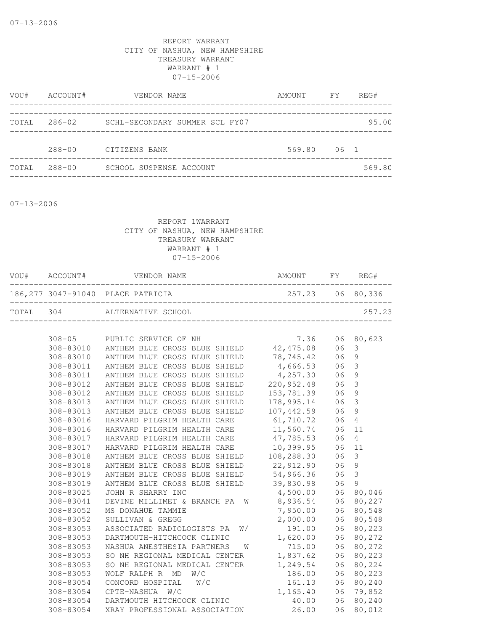| VOU#  | ACCOUNT#   | VENDOR NAME                    | AMOUNT FY |        | REG#   |
|-------|------------|--------------------------------|-----------|--------|--------|
| TOTAL | $286 - 02$ | SCHL-SECONDARY SUMMER SCL FY07 |           |        | 95.00  |
|       | $288 - 00$ | CITIZENS BANK                  | 569.80    | $06-1$ |        |
| TOTAL | $288 - 00$ | SCHOOL SUSPENSE ACCOUNT        |           |        | 569.80 |
|       |            |                                |           |        |        |

07-13-2006

|           | VOU# ACCOUNT# | VENDOR NAME                        | AMOUNT FY        | REG#   |
|-----------|---------------|------------------------------------|------------------|--------|
|           |               | 186, 277 3047-91040 PLACE PATRICIA | 257.23 06 80,336 |        |
| TOTAL 304 |               | ALTERNATIVE SCHOOL                 |                  | 257.23 |

| $308 - 05$ | PUBLIC SERVICE OF NH                    | 7.36       | 06 | 80,623         |
|------------|-----------------------------------------|------------|----|----------------|
|            | 308-83010 ANTHEM BLUE CROSS BLUE SHIELD | 42,475.08  | 06 | 3              |
| 308-83010  | ANTHEM BLUE CROSS BLUE SHIELD           | 78,745.42  | 06 | $\overline{9}$ |
| 308-83011  | ANTHEM BLUE CROSS BLUE<br>SHIELD        | 4,666.53   | 06 | 3              |
| 308-83011  | ANTHEM BLUE CROSS BLUE<br>SHIELD        | 4,257.30   | 06 | $\mathcal{G}$  |
| 308-83012  | ANTHEM BLUE<br>CROSS BLUE<br>SHIELD     | 220,952.48 | 06 | $\mathfrak{Z}$ |
| 308-83012  | ANTHEM BLUE CROSS BLUE SHIELD           | 153,781.39 | 06 | $\mathcal{G}$  |
| 308-83013  | ANTHEM BLUE CROSS BLUE<br>SHIELD        | 178,995.14 | 06 | 3              |
| 308-83013  | ANTHEM BLUE CROSS BLUE<br>SHIELD        | 107,442.59 | 06 | $\mathcal{G}$  |
| 308-83016  | HARVARD PILGRIM HEALTH CARE             | 61,710.72  | 06 | $\overline{4}$ |
| 308-83016  | HARVARD PILGRIM HEALTH CARE             | 11,560.74  | 06 | 11             |
| 308-83017  | HARVARD PILGRIM HEALTH CARE             | 47,785.53  | 06 | $\overline{4}$ |
| 308-83017  | HARVARD PILGRIM HEALTH CARE             | 10,399.95  | 06 | 11             |
| 308-83018  | ANTHEM BLUE CROSS BLUE SHIELD           | 108,288.30 | 06 | 3              |
| 308-83018  | ANTHEM BLUE CROSS BLUE SHIELD           | 22, 912.90 | 06 | $\mathcal{G}$  |
| 308-83019  | ANTHEM BLUE CROSS BLUE SHIELD           | 54,966.36  | 06 | $\mathfrak{Z}$ |
| 308-83019  | ANTHEM BLUE CROSS BLUE SHIELD           | 39,830.98  | 06 | $\mathcal{G}$  |
| 308-83025  | JOHN R SHARRY INC                       | 4,500.00   | 06 | 80,046         |
| 308-83041  | DEVINE MILLIMET & BRANCH PA<br>W        | 8,936.54   | 06 | 80,227         |
| 308-83052  | MS DONAHUE TAMMIE                       | 7,950.00   | 06 | 80,548         |
| 308-83052  | SULLIVAN & GREGG                        | 2,000.00   | 06 | 80,548         |
| 308-83053  | ASSOCIATED RADIOLOGISTS PA<br>W/        | 191.00     | 06 | 80,223         |
| 308-83053  | DARTMOUTH-HITCHCOCK CLINIC              | 1,620.00   | 06 | 80,272         |
| 308-83053  | NASHUA ANESTHESIA PARTNERS<br>W         | 715.00     | 06 | 80,272         |
| 308-83053  | SO NH REGIONAL MEDICAL CENTER           | 1,837.62   | 06 | 80,223         |
| 308-83053  | SO NH REGIONAL MEDICAL CENTER           | 1,249.54   | 06 | 80,224         |
| 308-83053  | WOLF RALPH R<br>MD<br>W/C               | 186.00     | 06 | 80,223         |
| 308-83054  | CONCORD HOSPITAL<br>W/C                 | 161.13     | 06 | 80,240         |
| 308-83054  | CPTE-NASHUA<br>W/C                      | 1,165.40   | 06 | 79,852         |
| 308-83054  | DARTMOUTH HITCHCOCK CLINIC              | 40.00      | 06 | 80,240         |
| 308-83054  | XRAY PROFESSIONAL ASSOCIATION           | 26.00      | 06 | 80,012         |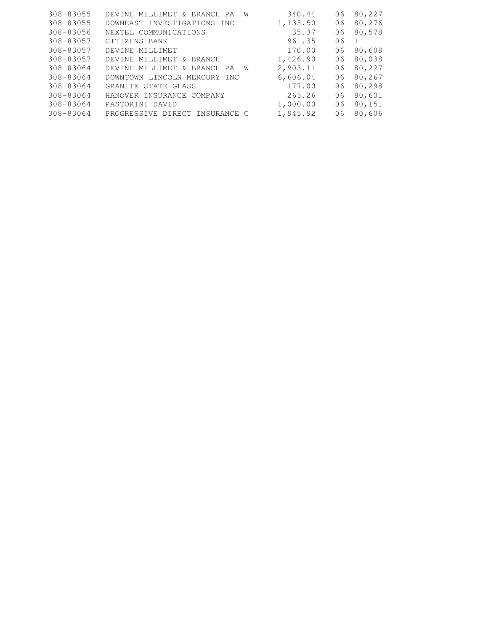| 308-83055 | DEVINE MILLIMET & BRANCH PA<br>W    | 340.44   | 06 | 80,227 |
|-----------|-------------------------------------|----------|----|--------|
| 308-83055 | DOWNEAST INVESTIGATIONS INC         | 1,133.50 | 06 | 80,276 |
| 308-83056 | NEXTEL COMMUNICATIONS               | 35.37    | 06 | 80,578 |
| 308-83057 | CITIZENS BANK                       | 961.35   | 06 | -1     |
| 308-83057 | DEVINE MILLIMET                     | 170.00   | 06 | 80,608 |
| 308-83057 | DEVINE MILLIMET<br>BRANCH<br>ିଧ     | 1,426.90 | 06 | 80,038 |
| 308-83064 | DEVINE MILLIMET<br>& BRANCH PA<br>W | 2,903.11 | 06 | 80,227 |
| 308-83064 | DOWNTOWN LINCOLN MERCURY INC        | 6,606.04 | 06 | 80,267 |
| 308-83064 | GRANITE STATE GLASS                 | 177.00   | 06 | 80,298 |
| 308-83064 | HANOVER INSURANCE COMPANY           | 265.26   | 06 | 80,601 |
| 308-83064 | PASTORINI DAVID                     | 1,000.00 | 06 | 80,151 |
| 308-83064 | PROGRESSIVE DIRECT INSURANCE C      | 1,945.92 | 06 | 80,606 |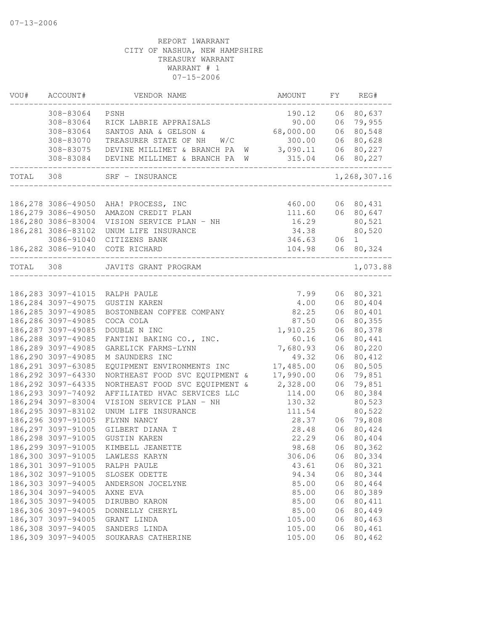| VOU#      | ACCOUNT#            | VENDOR NAME                                     | AMOUNT          | FY | REG#                |
|-----------|---------------------|-------------------------------------------------|-----------------|----|---------------------|
|           | 308-83064           | PSNH                                            | 190.12          | 06 | 80,637              |
|           | 308-83064           | RICK LABRIE APPRAISALS                          | 90.00           | 06 | 79,955              |
|           | 308-83064           | SANTOS ANA & GELSON &                           | 68,000.00       | 06 | 80,548              |
|           | 308-83070           | TREASURER STATE OF NH<br>W/C                    | 300.00          | 06 | 80,628              |
|           |                     | 308-83075 DEVINE MILLIMET & BRANCH PA           | 3,090.11<br>W   | 06 | 80,227              |
|           |                     | 308-83084 DEVINE MILLIMET & BRANCH PA W         | 315.04          | 06 | 80,227              |
| TOTAL 308 |                     | SRF - INSURANCE                                 |                 |    | 1,268,307.16        |
|           |                     |                                                 |                 |    |                     |
|           | 186,279 3086-49050  | 186,278 3086-49050 AHA! PROCESS, INC            | 460.00          | 06 | 80,431<br>06 80,647 |
|           | 186,280 3086-83004  | AMAZON CREDIT PLAN                              | 111.60<br>16.29 |    |                     |
|           | 186, 281 3086-83102 | VISION SERVICE PLAN - NH<br>UNUM LIFE INSURANCE | 34.38           |    | 80,521<br>80,520    |
|           | 3086-91040          | CITIZENS BANK                                   | 346.63          | 06 | 1                   |
|           |                     | 186,282 3086-91040 COTE RICHARD                 | 104.98          | 06 | 80,324              |
| TOTAL 308 |                     | JAVITS GRANT PROGRAM                            |                 |    | 1,073.88            |
|           |                     |                                                 |                 |    |                     |
|           | 186,283 3097-41015  | RALPH PAULE                                     | 7.99            | 06 | 80,321              |
|           | 186, 284 3097-49075 | <b>GUSTIN KAREN</b>                             | 4.00            | 06 | 80,404              |
|           | 186, 285 3097-49085 | BOSTONBEAN COFFEE COMPANY                       | 82.25           | 06 | 80,401              |
|           | 186,286 3097-49085  | COCA COLA                                       | 87.50           | 06 | 80,355              |
|           | 186, 287 3097-49085 | DOUBLE N INC                                    | 1,910.25        | 06 | 80,378              |
|           | 186,288 3097-49085  | FANTINI BAKING CO., INC.                        | 60.16           | 06 | 80,441              |
|           | 186,289 3097-49085  | GARELICK FARMS-LYNN                             | 7,680.93        | 06 | 80,220              |
|           | 186,290 3097-49085  | M SAUNDERS INC                                  | 49.32           | 06 | 80,412              |
|           | 186, 291 3097-63085 | EQUIPMENT ENVIRONMENTS INC                      | 17,485.00       | 06 | 80,505              |
|           | 186,292 3097-64330  | NORTHEAST FOOD SVC EQUIPMENT &                  | 17,990.00       | 06 | 79,851              |
|           | 186, 292 3097-64335 | NORTHEAST FOOD SVC EQUIPMENT &                  | 2,328.00        | 06 | 79,851              |
|           | 186, 293 3097-74092 | AFFILIATED HVAC SERVICES LLC                    | 114.00          | 06 | 80,384              |
|           | 186,294 3097-83004  | VISION SERVICE PLAN - NH                        | 130.32          |    | 80,523              |
|           | 186, 295 3097-83102 | UNUM LIFE INSURANCE                             | 111.54          |    | 80,522              |
|           | 186,296 3097-91005  | FLYNN NANCY                                     | 28.37           | 06 | 79,808              |
|           | 186, 297 3097-91005 | GILBERT DIANA T                                 | 28.48           | 06 | 80,424              |
|           | 186,298 3097-91005  | <b>GUSTIN KAREN</b>                             | 22.29           | 06 | 80,404              |
|           | 186,299 3097-91005  | KIMBELL JEANETTE                                | 98.68           |    | 06 80,362           |
|           | 186,300 3097-91005  | LAWLESS KARYN                                   | 306.06          | 06 | 80,334              |
|           | 186,301 3097-91005  | RALPH PAULE                                     | 43.61           | 06 | 80,321              |
|           | 186,302 3097-91005  | SLOSEK ODETTE                                   | 94.34           | 06 | 80,344              |
|           | 186,303 3097-94005  | ANDERSON JOCELYNE                               | 85.00           | 06 | 80,464              |
|           | 186,304 3097-94005  | AXNE EVA                                        | 85.00           | 06 | 80,389              |
|           | 186,305 3097-94005  | DIRUBBO KARON                                   | 85.00           | 06 | 80,411              |
|           | 186,306 3097-94005  | DONNELLY CHERYL                                 | 85.00           | 06 | 80,449              |
|           | 186,307 3097-94005  | GRANT LINDA                                     | 105.00          | 06 | 80,463              |
|           | 186,308 3097-94005  | SANDERS LINDA                                   | 105.00          | 06 | 80,461              |
|           | 186,309 3097-94005  | SOUKARAS CATHERINE                              | 105.00          | 06 | 80,462              |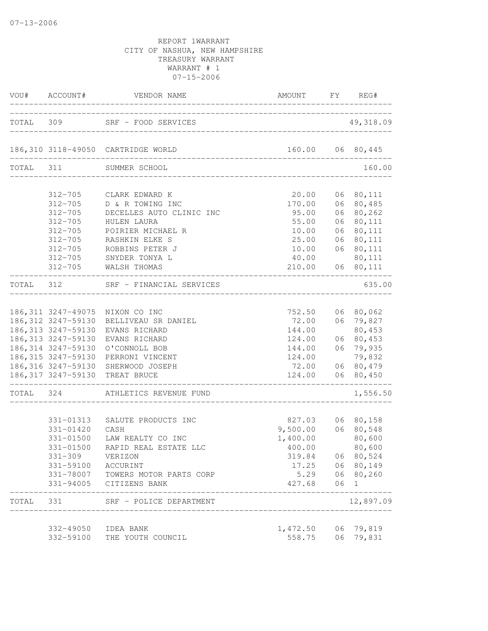|           | VOU# ACCOUNT#                                                                                                                                                  | VENDOR NAME                                                                                                                                                                       | AMOUNT FY REG#                                                                                               |                            |                                                                                                |
|-----------|----------------------------------------------------------------------------------------------------------------------------------------------------------------|-----------------------------------------------------------------------------------------------------------------------------------------------------------------------------------|--------------------------------------------------------------------------------------------------------------|----------------------------|------------------------------------------------------------------------------------------------|
|           |                                                                                                                                                                | TOTAL 309 SRF - FOOD SERVICES                                                                                                                                                     |                                                                                                              |                            | 49,318.09                                                                                      |
|           |                                                                                                                                                                | 186,310 3118-49050 CARTRIDGE WORLD<br>______________________________                                                                                                              |                                                                                                              |                            | 160.00 06 80,445                                                                               |
|           |                                                                                                                                                                | TOTAL 311 SUMMER SCHOOL                                                                                                                                                           |                                                                                                              |                            | 160.00                                                                                         |
|           | $312 - 705$<br>$312 - 705$<br>$312 - 705$<br>$312 - 705$<br>$312 - 705$<br>$312 - 705$                                                                         | 312-705 CLARK EDWARD K<br>D & R TOWING INC<br>DECELLES AUTO CLINIC INC<br>HULEN LAURA<br>POIRIER MICHAEL R<br>RASHKIN ELKE S<br>ROBBINS PETER J                                   | 20.00<br>170.00<br>95.00<br>55.00<br>10.00<br>25.00<br>10.00                                                 | 06<br>06<br>06<br>06<br>06 | 06 80, 111<br>80,485<br>80,262<br>80,111<br>80,111<br>80,111<br>06 80,111                      |
|           | $312 - 705$                                                                                                                                                    | SNYDER TONYA L<br>312-705 WALSH THOMAS                                                                                                                                            | 40.00<br>210.00                                                                                              |                            | 80,111<br>06 80, 111                                                                           |
| TOTAL 312 |                                                                                                                                                                | SRF - FINANCIAL SERVICES                                                                                                                                                          | ____________________________                                                                                 |                            | 635.00                                                                                         |
|           | 186,312 3247-59130<br>186, 313 3247-59130<br>186, 314 3247-59130<br>186, 315 3247-59130<br>186,316 3247-59130<br>186,317 3247-59130<br>_______________________ | 186,311 3247-49075 NIXON CO INC<br>BELLIVEAU SR DANIEL<br>186,313 3247-59130 EVANS RICHARD<br>EVANS RICHARD<br>O'CONNOLL BOB<br>PERRONI VINCENT<br>SHERWOOD JOSEPH<br>TREAT BRUCE | 752.50<br>72.00<br>144.00<br>124.00<br>144.00<br>124.00<br>72.00<br>124.00<br>______________________________ |                            | 06 80,062<br>06 79,827<br>80,453<br>06 80,453<br>06 79,935<br>79,832<br>06 80,479<br>06 80,450 |
|           |                                                                                                                                                                | TOTAL 324 ATHLETICS REVENUE FUND                                                                                                                                                  |                                                                                                              |                            | 1,556.50                                                                                       |
|           | 331-01313<br>331-01420<br>331-01500<br>331-309<br>331-59100 ACCURINT                                                                                           | SALUTE PRODUCTS INC<br>CASH<br>LAW REALTY CO INC<br>331-01500 RAPID REAL ESTATE LLC<br>VERIZON<br>331-78007 TOWERS MOTOR PARTS CORP<br>331-94005 CITIZENS BANK                    | $827.03$<br>9,500.00<br>1,400.00<br>400.00<br>319.84<br>17.25<br>5.29<br>427.68                              | 06<br>06                   | 06 80,158<br>06 80,548<br>80,600<br>80,600<br>06 80,524<br>06 80,149<br>80,260<br>$\mathbf{1}$ |
| TOTAL     | 331                                                                                                                                                            | SRF - POLICE DEPARTMENT                                                                                                                                                           |                                                                                                              |                            | 12,897.09                                                                                      |
|           | 332-49050 IDEA BANK<br>332-59100                                                                                                                               | THE YOUTH COUNCIL                                                                                                                                                                 | 1,472.50<br>558.75                                                                                           | 06                         | 06 79,819<br>79,831                                                                            |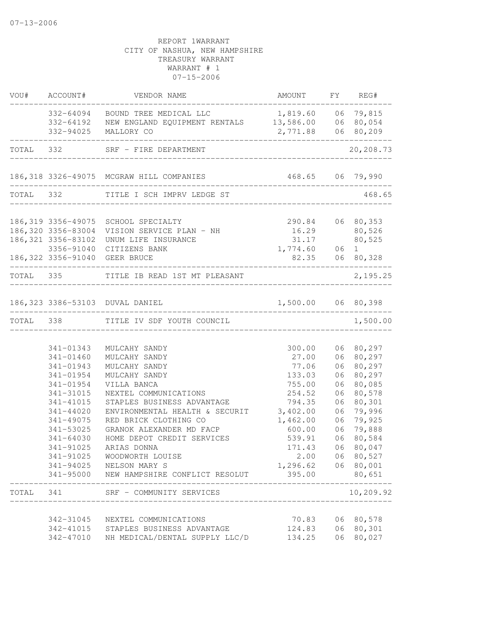| VOU#      | ACCOUNT#                      | VENDOR NAME                                                     | AMOUNT FY REG#                                 |          |                  |
|-----------|-------------------------------|-----------------------------------------------------------------|------------------------------------------------|----------|------------------|
|           |                               | 332-64094 BOUND TREE MEDICAL LLC                                | 1,819.60 06 79,815                             |          |                  |
|           |                               | 332-64192 NEW ENGLAND EQUIPMENT RENTALS 13,586.00 06 80,054     |                                                |          |                  |
|           | 332-94025                     | MALLORY CO                                                      | 2,771.88 06 80,209                             |          |                  |
|           |                               | TOTAL 332 SRF - FIRE DEPARTMENT                                 |                                                |          | 20,208.73        |
|           |                               | 186,318 3326-49075 MCGRAW HILL COMPANIES                        | 468.65 06 79,990<br>__________________________ |          |                  |
| TOTAL 332 |                               | TITLE I SCH IMPRV LEDGE ST                                      |                                                |          | 468.65           |
|           |                               |                                                                 |                                                |          |                  |
|           | 186,319 3356-49075            | SCHOOL SPECIALTY<br>186,320 3356-83004 VISION SERVICE PLAN - NH | 290.84 06 80,353                               |          |                  |
|           |                               | 186, 321 3356-83102 UNUM LIFE INSURANCE                         | 16.29 80,526<br>31.17                          |          | 80,525           |
|           |                               | 3356-91040 CITIZENS BANK                                        |                                                |          |                  |
|           |                               | 186,322 3356-91040 GEER BRUCE                                   | $1,774.60$ $06$ 1<br>82.35 06 80,328           |          | 06 80,328        |
|           | _____________________________ | TOTAL 335 TITLE IB READ 1ST MT PLEASANT                         |                                                |          | 2,195.25         |
|           |                               | 186,323 3386-53103 DUVAL DANIEL                                 | 1,500.00 06 80,398                             |          |                  |
| TOTAL 338 |                               | TITLE IV SDF YOUTH COUNCIL                                      |                                                |          | 1,500.00         |
|           |                               |                                                                 |                                                |          |                  |
|           | 341-01343                     | MULCAHY SANDY                                                   | 300.00                                         |          | 06 80,297        |
|           | 341-01460                     | MULCAHY SANDY                                                   | 27.00                                          | 06       | 80,297           |
|           | 341-01943                     | MULCAHY SANDY                                                   | 77.06                                          | 06       | 80,297           |
|           | 341-01954                     | MULCAHY SANDY                                                   | 133.03                                         | 06       | 80,297           |
|           | 341-01954                     | VILLA BANCA                                                     | 755.00                                         | 06       | 80,085           |
|           | 341-31015<br>341-41015        | NEXTEL COMMUNICATIONS                                           | 254.52                                         | 06       | 80,578           |
|           | 341-44020                     | STAPLES BUSINESS ADVANTAGE<br>ENVIRONMENTAL HEALTH & SECURIT    | 794.35<br>3,402.00                             | 06       | 80,301<br>79,996 |
|           | 341-49075                     | RED BRICK CLOTHING CO                                           | 1,462.00                                       | 06<br>06 | 79,925           |
|           | 341-53025                     | GRANOK ALEXANDER MD FACP                                        | 600.00                                         | 06       | 79,888           |
|           | 341-64030                     | HOME DEPOT CREDIT SERVICES                                      | 539.91                                         | 06       | 80,584           |
|           | 341-91025                     | ARIAS DONNA                                                     | 171.43                                         |          | 06 80,047        |
|           | 341-91025                     | WOODWORTH LOUISE                                                | 2.00                                           |          | 06 80,527        |
|           | 341-94025                     | NELSON MARY S                                                   | 1,296.62                                       |          | 06 80,001        |
|           | 341-95000                     | NEW HAMPSHIRE CONFLICT RESOLUT                                  | 395.00                                         |          | 80,651           |
| TOTAL     | 341                           | SRF - COMMUNITY SERVICES                                        |                                                |          | 10,209.92        |
|           | 342-31045                     | NEXTEL COMMUNICATIONS                                           | 70.83                                          | 06       | 80,578           |
|           | 342-41015                     | STAPLES BUSINESS ADVANTAGE                                      | 124.83                                         | 06       | 80,301           |
|           | 342-47010                     | NH MEDICAL/DENTAL SUPPLY LLC/D                                  | 134.25                                         | 06       | 80,027           |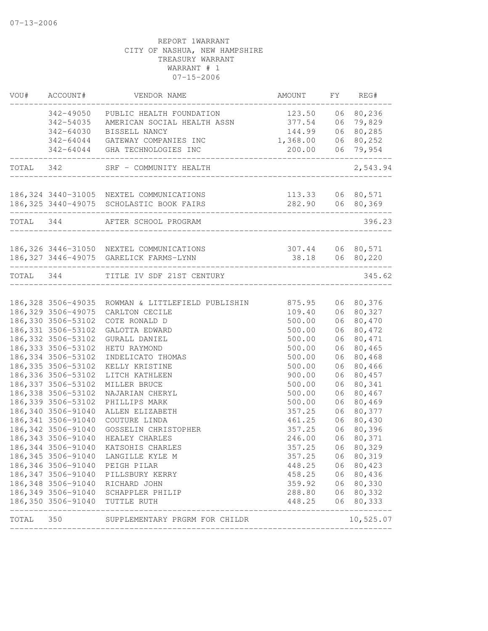|           | VOU# ACCOUNT#       | VENDOR NAME                                                                            | AMOUNT                              |    | FY REG#                              |
|-----------|---------------------|----------------------------------------------------------------------------------------|-------------------------------------|----|--------------------------------------|
|           |                     | 342-49050 PUBLIC HEALTH FOUNDATION                                                     | 123.50                              |    | 06 80,236                            |
|           | 342-54035           | AMERICAN SOCIAL HEALTH ASSN                                                            | 377.54                              |    | 06 79,829                            |
|           | 342-64030           | BISSELL NANCY                                                                          | 144.99                              |    | 06 80,285                            |
|           |                     | 342-64044 GATEWAY COMPANIES INC                                                        | 1,368.00                            |    | 06 80,252                            |
|           |                     | 342-64044 GHA TECHNOLOGIES INC<br>________________                                     | 200.00                              |    | 06 79,954                            |
| TOTAL 342 |                     | SRF - COMMUNITY HEALTH                                                                 |                                     |    | 2,543.94                             |
|           |                     | 186, 324 3440-31005 NEXTEL COMMUNICATIONS<br>186, 325 3440-49075 SCHOLASTIC BOOK FAIRS |                                     |    | 113.33 06 80,571<br>282.90 06 80,369 |
|           |                     |                                                                                        |                                     |    |                                      |
|           |                     | TOTAL 344 AFTER SCHOOL PROGRAM                                                         |                                     |    | 396.23                               |
|           |                     | 186,326 3446-31050 NEXTEL COMMUNICATIONS                                               |                                     |    |                                      |
|           |                     | 186, 327 3446-49075 GARELICK FARMS-LYNN                                                | 307.44 06 80,571<br>38.18 06 80,220 |    |                                      |
|           |                     | TOTAL 344 TITLE IV SDF 21ST CENTURY                                                    |                                     |    | 345.62                               |
|           |                     |                                                                                        |                                     |    |                                      |
|           |                     | 186,328 3506-49035 ROWMAN & LITTLEFIELD PUBLISHIN<br>186,329 3506-49075 CARLTON CECILE | 875.95<br>109.40                    |    | 06 80,376<br>06 80,327               |
|           | 186,330 3506-53102  | COTE RONALD D                                                                          | 500.00                              |    | 06 80,470                            |
|           | 186, 331 3506-53102 | GALOTTA EDWARD                                                                         | 500.00                              |    | 06 80,472                            |
|           | 186, 332 3506-53102 | GURALL DANIEL                                                                          | 500.00                              |    | 06 80,471                            |
|           | 186, 333 3506-53102 | HETU RAYMOND                                                                           | 500.00                              |    | 06 80,465                            |
|           | 186, 334 3506-53102 | INDELICATO THOMAS                                                                      | 500.00                              | 06 | 80,468                               |
|           | 186, 335 3506-53102 | KELLY KRISTINE                                                                         | 500.00                              | 06 | 80,466                               |
|           | 186, 336 3506-53102 | LITCH KATHLEEN                                                                         | 900.00                              | 06 | 80,457                               |
|           | 186, 337 3506-53102 | MILLER BRUCE                                                                           | 500.00                              | 06 | 80,341                               |
|           | 186, 338 3506-53102 | NAJARIAN CHERYL                                                                        | 500.00                              |    | 06 80,467                            |
|           | 186, 339 3506-53102 | PHILLIPS MARK                                                                          | 500.00                              |    | 06 80,469                            |
|           | 186,340 3506-91040  | ALLEN ELIZABETH                                                                        | 357.25                              |    | 06 80,377                            |
|           | 186, 341 3506-91040 | COUTURE LINDA                                                                          | 461.25                              |    | 06 80,430                            |
|           | 186, 342 3506-91040 | GOSSELIN CHRISTOPHER                                                                   | 357.25                              |    | 06 80,396                            |
|           | 186, 343 3506-91040 | HEALEY CHARLES                                                                         | 246.00                              | 06 | 80,371                               |
|           | 186,344 3506-91040  | KATSOHIS CHARLES                                                                       | 357.25                              |    | 06 80,329                            |
|           |                     | 186,345 3506-91040 LANGILLE KYLE M                                                     | 357.25                              |    | 06 80,319                            |
|           | 186,346 3506-91040  | PEIGH PILAR                                                                            | 448.25                              |    | 06 80,423                            |
|           | 186, 347 3506-91040 | PILLSBURY KERRY                                                                        | 458.25                              |    | 06 80,436                            |
|           | 186, 348 3506-91040 | RICHARD JOHN                                                                           | 359.92                              |    | 06 80,330                            |
|           | 186, 349 3506-91040 | SCHAPPLER PHILIP                                                                       | 288.80                              |    | 06 80,332                            |
|           |                     | 186,350 3506-91040 TUTTLE RUTH                                                         | 448.25                              |    | 06 80,333<br>------                  |
| TOTAL 350 |                     | SUPPLEMENTARY PRGRM FOR CHILDR                                                         |                                     |    | 10,525.07                            |
|           |                     |                                                                                        |                                     |    |                                      |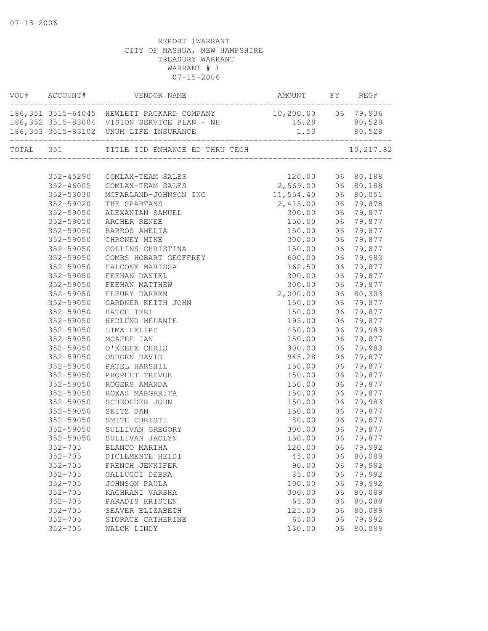|       | VOU# ACCOUNT# | VENDOR NAME                                                           | AMOUNT              | FY | REG#      |
|-------|---------------|-----------------------------------------------------------------------|---------------------|----|-----------|
|       |               | -----------------------<br>186,351 3515-64045 HEWLETT PACKARD COMPANY | 10,200.00 06 79,936 |    |           |
|       |               | 186,352 3515-83004 VISION SERVICE PLAN - NH                           | 16.29               |    | 80,529    |
|       |               | 186,353 3515-83102 UNUM LIFE INSURANCE                                | 1.53 80,528         |    |           |
| TOTAL |               | ------------------------<br>351 TITLE IID ENHANCE ED THRU TECH        |                     |    | 10,217.82 |
|       |               |                                                                       |                     |    |           |
|       | 352-45290     | COMLAX-TEAM SALES                                                     | 120.00              | 06 | 80,188    |
|       | 352-46005     | COMLAX-TEAM SALES                                                     | 2,569.00            | 06 | 80,188    |
|       | 352-53030     | MCFARLAND-JOHNSON INC                                                 | 11,554.40           | 06 | 80,051    |
|       | 352-59020     | THE SPARTANS                                                          | 2,415.00            | 06 | 79,878    |
|       | 352-59050     | ALEXANIAN SAMUEL                                                      | 300.00              | 06 | 79,877    |
|       | 352-59050     | ARCHER RENEE                                                          | 150.00              | 06 | 79,877    |
|       | 352-59050     | BARROS AMELIA                                                         | 150.00              | 06 | 79,877    |
|       | 352-59050     | CHRONEY MIKE                                                          | 300.00              | 06 | 79,877    |
|       | 352-59050     | COLLINS CHRISTINA                                                     | 150.00              | 06 | 79,877    |
|       | 352-59050     | COMBS HOBART GEOFFREY                                                 | 600.00              | 06 | 79,983    |
|       | 352-59050     | FALCONE MARISSA                                                       | 162.50              | 06 | 79,877    |
|       | 352-59050     | FEEHAN DANIEL                                                         | 300.00              | 06 | 79,877    |
|       | 352-59050     | FEEHAN MATTHEW                                                        | 300.00              | 06 | 79,877    |
|       | 352-59050     | FLEURY DARREN                                                         | 2,000.00            | 06 | 80,303    |
|       | 352-59050     | GARDNER KEITH JOHN                                                    | 150.00              | 06 | 79,877    |
|       | 352-59050     | HATCH TERI                                                            | 150.00              | 06 | 79,877    |
|       | 352-59050     | HEDLUND MELANIE                                                       | 195.00              | 06 | 79,877    |
|       | 352-59050     | LIMA FELIPE                                                           | 450.00              | 06 | 79,983    |
|       | 352-59050     | MCAFEE IAN                                                            | 150.00              | 06 | 79,877    |
|       | 352-59050     | O'KEEFE CHRIS                                                         | 300.00              | 06 | 79,983    |
|       | 352-59050     | OSBORN DAVID                                                          | 945.28              | 06 | 79,877    |
|       | 352-59050     | PATEL HARSHIL                                                         | 150.00              | 06 | 79,877    |
|       | 352-59050     | PROPHET TREVOR                                                        | 150.00              | 06 | 79,877    |
|       | 352-59050     | ROGERS AMANDA                                                         | 150.00              | 06 | 79,877    |
|       | 352-59050     | ROXAS MARGARITA                                                       | 150.00              | 06 | 79,877    |
|       | 352-59050     | SCHROEDER JOHN                                                        | 150.00              | 06 | 79,983    |
|       | 352-59050     | SEITZ DAN                                                             | 150.00              | 06 | 79,877    |
|       | 352-59050     | SMITH CHRISTI                                                         | 80.00               | 06 | 79,877    |
|       | 352-59050     | SULLIVAN GREGORY                                                      | 300.00              | 06 | 79,877    |
|       | 352-59050     | SULLIVAN JACLYN                                                       | 150.00              | 06 | 79,877    |
|       | $352 - 705$   | BLANCO MARTHA                                                         | 120.00              | 06 | 79,992    |
|       | $352 - 705$   | DICLEMENTE HEIDI                                                      | 45.00               | 06 | 80,089    |
|       | $352 - 705$   | FRENCH JENNIFER                                                       | 90.00               | 06 | 79,982    |
|       | $352 - 705$   | GALLUCCI DEBRA                                                        | 85.00               | 06 | 79,992    |
|       | $352 - 705$   | JOHNSON PAULA                                                         | 100.00              | 06 | 79,992    |
|       | $352 - 705$   | KACHRANI VARSHA                                                       | 300.00              | 06 | 80,089    |
|       | $352 - 705$   | PARADIS KRISTEN                                                       | 65.00               | 06 | 80,089    |
|       | $352 - 705$   | SEAVER ELIZABETH                                                      | 125.00              | 06 | 80,089    |
|       | $352 - 705$   | STORACE CATHERINE                                                     | 65.00               | 06 | 79,992    |
|       | $352 - 705$   | WALCH LINDY                                                           | 130.00              | 06 | 80,089    |
|       |               |                                                                       |                     |    |           |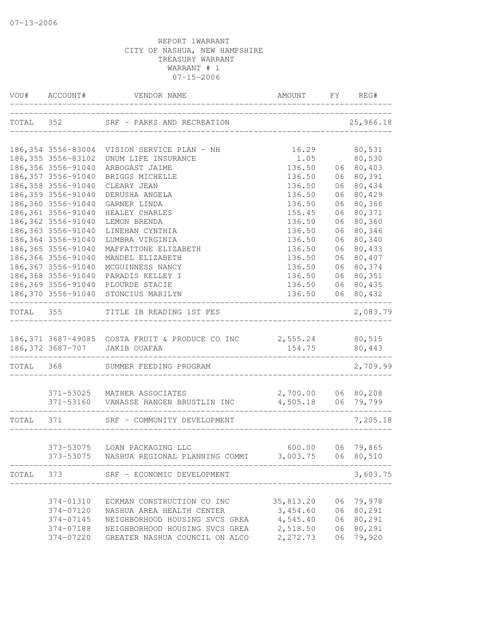|           | VOU# ACCOUNT#       | VENDOR NAME                                                                                                    | AMOUNT FY REG#                           |    |                            |
|-----------|---------------------|----------------------------------------------------------------------------------------------------------------|------------------------------------------|----|----------------------------|
|           |                     | TOTAL 352 SRF - PARKS AND RECREATION                                                                           | _____________________________            |    | 25,966.18                  |
|           |                     | 186,354 3556-83004 VISION SERVICE PLAN - NH                                                                    | 16.29                                    |    | 80,531                     |
|           | 186, 355 3556-83102 | UNUM LIFE INSURANCE                                                                                            | 1.05                                     |    | 80,530                     |
|           | 186, 356 3556-91040 | ARBOGAST JAIME                                                                                                 | 136.50                                   |    | 06 80,403                  |
|           | 186, 357 3556-91040 | BRIGGS MICHELLE                                                                                                | 136.50                                   | 06 | 80,391                     |
|           | 186, 358 3556-91040 | CLEARY JEAN                                                                                                    | 136.50                                   | 06 | 80,434                     |
|           | 186,359 3556-91040  | DERUSHA ANGELA                                                                                                 | 136.50                                   | 06 | 80,429                     |
|           | 186,360 3556-91040  | GARNER LINDA                                                                                                   | 136.50                                   | 06 | 80,366                     |
|           | 186, 361 3556-91040 | HEALEY CHARLES                                                                                                 | 155.45                                   | 06 | 80,371                     |
|           | 186, 362 3556-91040 | LEMON BRENDA                                                                                                   | 136.50                                   | 06 | 80,360                     |
|           | 186, 363 3556-91040 | LINEHAN CYNTHIA                                                                                                | 136.50                                   | 06 | 80,346                     |
|           | 186,364 3556-91040  | LUMBRA VIRGINIA                                                                                                | 136.50                                   | 06 | 80,340                     |
|           | 186, 365 3556-91040 | MAFFATTONE ELIZABETH                                                                                           | 136.50                                   | 06 | 80,433                     |
|           | 186, 366 3556-91040 | MANDEL ELIZABETH                                                                                               | 136.50                                   | 06 | 80,407                     |
|           | 186, 367 3556-91040 | MCGUINNESS NANCY                                                                                               | 136.50                                   | 06 | 80,374                     |
|           | 186,368 3556-91040  | PARADIS KELLEY I                                                                                               | 136.50                                   | 06 | 80,351                     |
|           | 186,369 3556-91040  | PLOURDE STACIE                                                                                                 | 136.50                                   | 06 | 80,435                     |
|           |                     | 186,370 3556-91040 STONCIUS MARILYN                                                                            | 136.50                                   | 06 | 80,432<br>-------          |
| TOTAL 355 |                     | TITLE IB READING 1ST FES                                                                                       |                                          |    | 2,083.79                   |
|           |                     |                                                                                                                |                                          |    |                            |
|           |                     | 186,371 3687-49085 COSTA FRUIT & PRODUCE CO INC 2,555.24 80,515<br>186,372 3687-707 JAKIB OUAFAA 154.75 80,443 |                                          |    |                            |
| TOTAL 368 |                     | SUMMER FEEDING PROGRAM                                                                                         | ____________                             |    | 2,709.99                   |
|           |                     |                                                                                                                |                                          |    |                            |
|           |                     | 371-53025 MATHER ASSOCIATES<br>371-53160 VANASSE HANGEN BRUSTLIN INC                                           | 2,700.00 06 80,208<br>4,505.18 06 79,799 |    |                            |
|           |                     |                                                                                                                |                                          |    |                            |
| TOTAL 371 |                     | SRF - COMMUNITY DEVELOPMENT                                                                                    |                                          |    | 7,205.18                   |
|           |                     | 373-53075 LOAN PACKAGING LLC                                                                                   |                                          |    |                            |
|           |                     | 373-53075 NASHUA REGIONAL PLANNING COMMI 3,003.75                                                              |                                          | 06 | 600.00 06 79,865<br>80,510 |
| TOTAL     | 373                 | SRF - ECONOMIC DEVELOPMENT                                                                                     |                                          |    | 3,603.75                   |
|           |                     |                                                                                                                |                                          |    |                            |
|           | 374-01310           | ECKMAN CONSTRUCTION CO INC                                                                                     | 35,813.20                                |    | 06 79,978                  |
|           | 374-07120           | NASHUA AREA HEALTH CENTER                                                                                      | 3,454.60                                 | 06 | 80,291                     |
|           | 374-07145           | NEIGHBORHOOD HOUSING SVCS GREA                                                                                 | 4,545.40                                 | 06 | 80,291                     |
|           | 374-07188           | NEIGHBORHOOD HOUSING SVCS GREA                                                                                 | 2,518.50                                 | 06 | 80,291                     |
|           | 374-07220           | GREATER NASHUA COUNCIL ON ALCO                                                                                 | 2,272.73                                 | 06 | 79,920                     |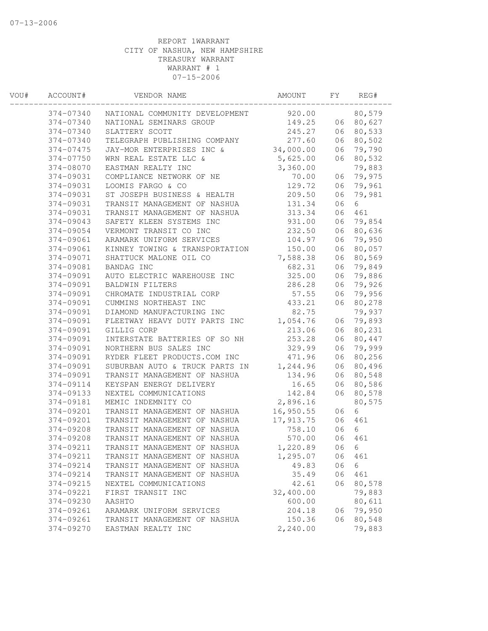| WOU# | ACCOUNT#  | VENDOR NAME                    | AMOUNT    | FΥ | REG#   |  |
|------|-----------|--------------------------------|-----------|----|--------|--|
|      | 374-07340 | NATIONAL COMMUNITY DEVELOPMENT | 920.00    |    | 80,579 |  |
|      | 374-07340 | NATIONAL SEMINARS GROUP        | 149.25    | 06 | 80,627 |  |
|      | 374-07340 | SLATTERY SCOTT                 | 245.27    | 06 | 80,533 |  |
|      | 374-07340 | TELEGRAPH PUBLISHING COMPANY   | 277.60    | 06 | 80,502 |  |
|      | 374-07475 | JAY-MOR ENTERPRISES INC &      | 34,000.00 | 06 | 79,790 |  |
|      | 374-07750 | WRN REAL ESTATE LLC &          | 5,625.00  | 06 | 80,532 |  |
|      | 374-08070 | EASTMAN REALTY INC             | 3,360.00  |    | 79,883 |  |
|      | 374-09031 | COMPLIANCE NETWORK OF NE       | 70.00     | 06 | 79,975 |  |
|      | 374-09031 | LOOMIS FARGO & CO              | 129.72    | 06 | 79,961 |  |
|      | 374-09031 | ST JOSEPH BUSINESS & HEALTH    | 209.50    | 06 | 79,981 |  |
|      | 374-09031 | TRANSIT MANAGEMENT OF NASHUA   | 131.34    | 06 | 6      |  |
|      | 374-09031 | TRANSIT MANAGEMENT OF NASHUA   | 313.34    | 06 | 461    |  |
|      | 374-09043 | SAFETY KLEEN SYSTEMS INC       | 931.00    | 06 | 79,854 |  |
|      | 374-09054 | VERMONT TRANSIT CO INC         | 232.50    | 06 | 80,636 |  |
|      | 374-09061 | ARAMARK UNIFORM SERVICES       | 104.97    | 06 | 79,950 |  |
|      | 374-09061 | KINNEY TOWING & TRANSPORTATION | 150.00    | 06 | 80,057 |  |
|      | 374-09071 | SHATTUCK MALONE OIL CO         | 7,588.38  | 06 | 80,569 |  |
|      | 374-09081 | BANDAG INC                     | 682.31    | 06 | 79,849 |  |
|      | 374-09091 | AUTO ELECTRIC WAREHOUSE INC    | 325.00    | 06 | 79,886 |  |
|      | 374-09091 | <b>BALDWIN FILTERS</b>         | 286.28    | 06 | 79,926 |  |
|      | 374-09091 | CHROMATE INDUSTRIAL CORP       | 57.55     | 06 | 79,956 |  |
|      | 374-09091 | CUMMINS NORTHEAST INC          | 433.21    | 06 | 80,278 |  |
|      | 374-09091 | DIAMOND MANUFACTURING INC      | 82.75     |    | 79,937 |  |
|      | 374-09091 | FLEETWAY HEAVY DUTY PARTS INC  | 1,054.76  | 06 | 79,893 |  |
|      | 374-09091 | GILLIG CORP                    | 213.06    | 06 | 80,231 |  |
|      | 374-09091 | INTERSTATE BATTERIES OF SO NH  | 253.28    | 06 | 80,447 |  |
|      | 374-09091 | NORTHERN BUS SALES INC         | 329.99    | 06 | 79,999 |  |
|      | 374-09091 | RYDER FLEET PRODUCTS.COM INC   | 471.96    | 06 | 80,256 |  |
|      | 374-09091 | SUBURBAN AUTO & TRUCK PARTS IN | 1,244.96  | 06 | 80,496 |  |
|      | 374-09091 | TRANSIT MANAGEMENT OF NASHUA   | 134.96    | 06 | 80,548 |  |
|      | 374-09114 | KEYSPAN ENERGY DELIVERY        | 16.65     | 06 | 80,586 |  |
|      | 374-09133 | NEXTEL COMMUNICATIONS          | 142.84    | 06 | 80,578 |  |
|      | 374-09181 | MEMIC INDEMNITY CO             | 2,896.16  |    | 80,575 |  |
|      | 374-09201 | TRANSIT MANAGEMENT OF NASHUA   | 16,950.55 | 06 | 6      |  |
|      | 374-09201 | TRANSIT MANAGEMENT OF NASHUA   | 17,913.75 | 06 | 461    |  |
|      | 374-09208 | TRANSIT MANAGEMENT OF NASHUA   | 758.10    | 06 | 6      |  |
|      | 374-09208 | TRANSIT MANAGEMENT OF NASHUA   | 570.00    | 06 | 461    |  |
|      | 374-09211 | TRANSIT MANAGEMENT OF NASHUA   | 1,220.89  | 06 | 6      |  |
|      | 374-09211 | TRANSIT MANAGEMENT OF NASHUA   | 1,295.07  | 06 | 461    |  |
|      | 374-09214 | TRANSIT MANAGEMENT OF NASHUA   | 49.83     | 06 | 6      |  |
|      | 374-09214 | TRANSIT MANAGEMENT OF NASHUA   | 35.49     | 06 | 461    |  |
|      | 374-09215 | NEXTEL COMMUNICATIONS          | 42.61     | 06 | 80,578 |  |
|      | 374-09221 | FIRST TRANSIT INC              | 32,400.00 |    | 79,883 |  |
|      | 374-09230 | AASHTO                         | 600.00    |    | 80,611 |  |
|      | 374-09261 | ARAMARK UNIFORM SERVICES       | 204.18    | 06 | 79,950 |  |
|      | 374-09261 | TRANSIT MANAGEMENT OF NASHUA   | 150.36    | 06 | 80,548 |  |
|      | 374-09270 | EASTMAN REALTY INC             | 2,240.00  |    | 79,883 |  |
|      |           |                                |           |    |        |  |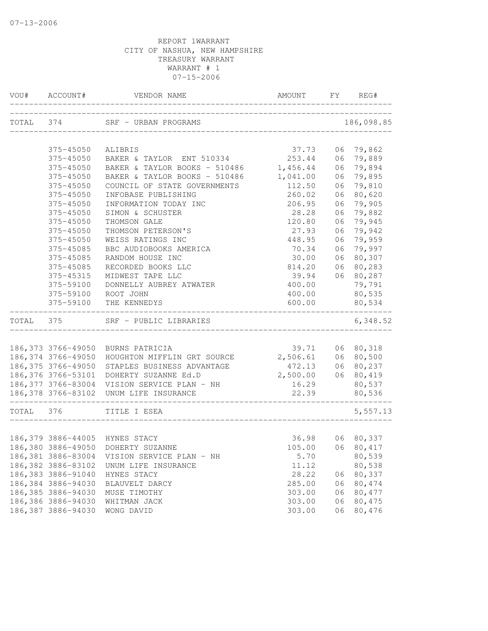|           | VOU# ACCOUNT#       | VENDOR NAME                                 | AMOUNT FY REG#                   |    |                  |
|-----------|---------------------|---------------------------------------------|----------------------------------|----|------------------|
| TOTAL 374 |                     | SRF - URBAN PROGRAMS                        | ________________________________ |    | 186,098.85       |
|           | 375-45050           | ALIBRIS                                     | 37.73                            |    | 06 79,862        |
|           | 375-45050           | BAKER & TAYLOR ENT 510334                   | 253.44                           | 06 | 79,889           |
|           | 375-45050           | BAKER & TAYLOR BOOKS - 510486               | 1,456.44                         | 06 | 79,894           |
|           | 375-45050           | BAKER & TAYLOR BOOKS - 510486               | 1,041.00                         | 06 | 79,895           |
|           | 375-45050           | COUNCIL OF STATE GOVERNMENTS                | 112.50                           | 06 | 79,810           |
|           | 375-45050           | INFOBASE PUBLISHING                         | 260.02                           | 06 | 80,620           |
|           | 375-45050           | INFORMATION TODAY INC                       | 206.95                           | 06 | 79,905           |
|           | 375-45050           | SIMON & SCHUSTER                            | 28.28                            | 06 | 79,882           |
|           | 375-45050           | THOMSON GALE                                | 120.80                           | 06 | 79,945           |
|           | 375-45050           | THOMSON PETERSON'S                          | 27.93                            | 06 | 79,942           |
|           | 375-45050           | WEISS RATINGS INC                           | 448.95                           | 06 | 79,959           |
|           | 375-45085           | BBC AUDIOBOOKS AMERICA                      | 70.34                            | 06 | 79,997           |
|           | 375-45085           | RANDOM HOUSE INC                            | 30.00                            | 06 | 80,307           |
|           | 375-45085           | RECORDED BOOKS LLC                          | 814.20                           | 06 | 80,283           |
|           | 375-45315           | MIDWEST TAPE LLC                            | 39.94                            | 06 | 80,287           |
|           | 375-59100           | DONNELLY AUBREY ATWATER                     | 400.00                           |    | 79,791           |
|           | 375-59100           | ROOT JOHN                                   | 400.00                           |    | 80,535           |
|           | 375-59100           | THE KENNEDYS                                | 600.00                           |    | 80,534           |
| TOTAL 375 |                     | SRF - PUBLIC LIBRARIES                      |                                  |    | 6,348.52         |
|           |                     |                                             |                                  |    |                  |
|           |                     | 186, 373 3766-49050 BURNS PATRICIA          | 39.71                            | 06 | 80,318           |
|           | 186,374 3766-49050  | HOUGHTON MIFFLIN GRT SOURCE 2,506.61        |                                  | 06 | 80,500           |
|           | 186, 375 3766-49050 | STAPLES BUSINESS ADVANTAGE                  | 472.13                           | 06 | 80,237           |
|           | 186,376 3766-53101  | DOHERTY SUZANNE Ed.D                        | 2,500.00                         | 06 | 80,419           |
|           |                     | 186,377 3766-83004 VISION SERVICE PLAN - NH | 16.29                            |    | 80,537           |
|           |                     | 186,378 3766-83102 UNUM LIFE INSURANCE      | 22.39                            |    | 80,536           |
| TOTAL 376 |                     | TITLE I ESEA                                |                                  |    | 5,557.13         |
|           |                     |                                             |                                  |    |                  |
|           |                     | 186,379 3886-44005 HYNES STACY              | 36.98                            |    | 06 80,337        |
|           |                     | 186,380 3886-49050 DOHERTY SUZANNE          |                                  |    | 105.00 06 80,417 |
|           | 186,381 3886-83004  | VISION SERVICE PLAN - NH                    | 5.70                             |    | 80,539           |
|           | 186, 382 3886-83102 | UNUM LIFE INSURANCE                         | 11.12                            |    | 80,538           |
|           | 186,383 3886-91040  | HYNES STACY                                 | 28.22                            | 06 | 80,337           |
|           | 186,384 3886-94030  | BLAUVELT DARCY                              | 285.00                           | 06 | 80,474           |
|           | 186,385 3886-94030  | MUSE TIMOTHY                                | 303.00                           | 06 | 80,477           |
|           | 186,386 3886-94030  | WHITMAN JACK                                | 303.00                           | 06 | 80,475           |
|           | 186,387 3886-94030  | WONG DAVID                                  | 303.00                           | 06 | 80,476           |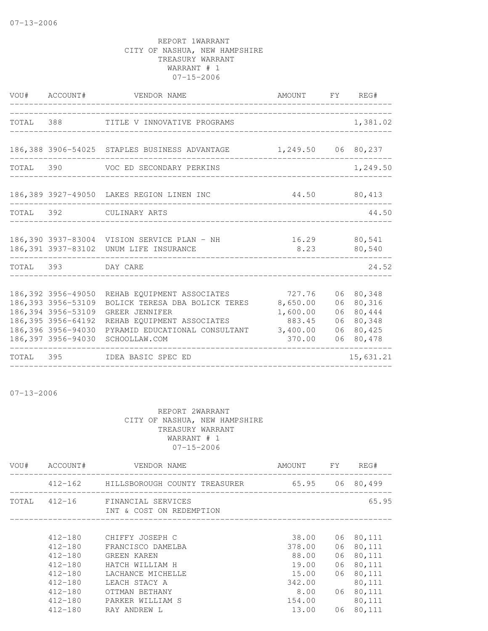|           |                                                                                                                                     | VOU# ACCOUNT# VENDOR NAME<br>_____________________________________                                                                                              | AMOUNT FY REG#                                                 |                                  |                                                          |
|-----------|-------------------------------------------------------------------------------------------------------------------------------------|-----------------------------------------------------------------------------------------------------------------------------------------------------------------|----------------------------------------------------------------|----------------------------------|----------------------------------------------------------|
|           |                                                                                                                                     | TOTAL 388 TITLE V INNOVATIVE PROGRAMS                                                                                                                           |                                                                |                                  | 1,381.02                                                 |
|           |                                                                                                                                     | 186,388 3906-54025 STAPLES BUSINESS ADVANTAGE 1,249.50 06 80,237                                                                                                |                                                                |                                  |                                                          |
|           |                                                                                                                                     | TOTAL 390 VOC ED SECONDARY PERKINS                                                                                                                              |                                                                |                                  | 1,249.50                                                 |
|           |                                                                                                                                     | 186,389 3927-49050 LAKES REGION LINEN INC                                                                                                                       | 44.50                                                          |                                  | 80,413                                                   |
|           |                                                                                                                                     | TOTAL 392 CULINARY ARTS                                                                                                                                         |                                                                |                                  | 44.50                                                    |
|           |                                                                                                                                     | 186,390 3937-83004 VISION SERVICE PLAN - NH<br>186,391 3937-83102 UNUM LIFE INSURANCE                                                                           | 8.23                                                           |                                  | 16.29 80,541<br>80,540                                   |
|           | TOTAL 393 DAY CARE                                                                                                                  |                                                                                                                                                                 |                                                                |                                  | 24.52                                                    |
|           | 186,392 3956-49050<br>186, 393 3956-53109<br>186, 394 3956-53109<br>186, 395 3956-64192<br>186,396 3956-94030<br>186,397 3956-94030 | REHAB EQUIPMENT ASSOCIATES<br>BOLICK TERESA DBA BOLICK TERES<br>GREER JENNIFER<br>REHAB EQUIPMENT ASSOCIATES<br>PYRAMID EDUCATIONAL CONSULTANT<br>SCHOOLLAW.COM | 727.76<br>8,650.00<br>1,600.00<br>883.45<br>3,400.00<br>370.00 | 06<br>06<br>06<br>06<br>06<br>06 | 80,348<br>80,316<br>80,444<br>80,348<br>80,425<br>80,478 |
| TOTAL 395 |                                                                                                                                     | IDEA BASIC SPEC ED                                                                                                                                              |                                                                |                                  | 15,631.21                                                |

07-13-2006

| VOU#  | ACCOUNT#    | VENDOR NAME                                           | AMOUNT FY |    | REG#   |
|-------|-------------|-------------------------------------------------------|-----------|----|--------|
|       |             | 412-162 HILLSBOROUGH COUNTY TREASURER 65.95 06 80,499 |           |    |        |
| TOTAL | 412-16      | FINANCIAL SERVICES<br>INT & COST ON REDEMPTION        |           |    | 65.95  |
|       | $412 - 180$ | CHIFFY JOSEPH C                                       | 38.00     | 06 | 80,111 |
|       | $412 - 180$ | FRANCISCO DAMELBA                                     | 378.00    | 06 | 80,111 |
|       | $412 - 180$ | GREEN KAREN                                           | 88.00     | 06 | 80,111 |
|       | $412 - 180$ | HATCH WILLIAM H                                       | 19.00     | 06 | 80,111 |
|       | $412 - 180$ | LACHANCE MICHELLE                                     | 15.00     | 06 | 80,111 |
|       | $412 - 180$ | LEACH STACY A                                         | 342.00    |    | 80,111 |
|       | $412 - 180$ | OTTMAN BETHANY                                        | 8.00      | 06 | 80,111 |
|       | $412 - 180$ | PARKER WILLIAM S                                      | 154.00    |    | 80,111 |
|       | $412 - 180$ | RAY ANDREW L                                          | 13.00     | 06 | 80,111 |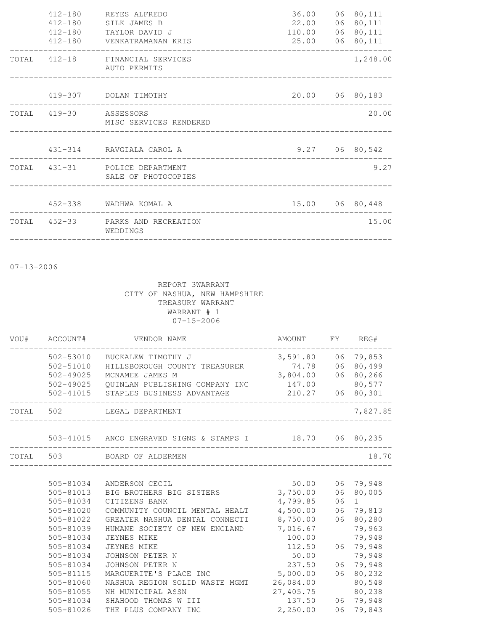| $412 - 180$<br>$412 - 180$<br>$412 - 180$<br>$412 - 180$ | REYES ALFREDO<br>SILK JAMES B<br>TAYLOR DAVID J<br>VENKATRAMANAN KRIS                  | 36.00<br>22.00<br>110.00<br>25.00 06 80,111 | 06 80,111<br>06 80,111<br>06 80,111 |
|----------------------------------------------------------|----------------------------------------------------------------------------------------|---------------------------------------------|-------------------------------------|
|                                                          | TOTAL 412-18 FINANCIAL SERVICES<br>AUTO PERMITS                                        |                                             | 1,248.00                            |
|                                                          | 419-307 DOLAN TIMOTHY                                                                  | 20.00 06 80,183                             |                                     |
| TOTAL 419-30 ASSESSORS                                   | MISC SERVICES RENDERED                                                                 |                                             | 20.00                               |
|                                                          | 431-314 RAVGIALA CAROL A                                                               |                                             | $9.27$ 06 80,542                    |
|                                                          | TOTAL 431-31 POLICE DEPARTMENT<br>SALE OF PHOTOCOPIES<br>_____________________________ |                                             | 9.27                                |
|                                                          | 452-338 WADHWA KOMAL A                                                                 | 15.00 06 80,448                             |                                     |
|                                                          | TOTAL 452-33 PARKS AND RECREATION<br>WEDDINGS                                          |                                             | 15.00                               |

07-13-2006

| VOU# | ACCOUNT#  | VENDOR NAME                                              | AMOUNT    | FY | REG#              |
|------|-----------|----------------------------------------------------------|-----------|----|-------------------|
|      | 502-53010 | BUCKALEW TIMOTHY J                                       | 3,591.80  | 06 | 79,853            |
|      | 502-51010 | HILLSBOROUGH COUNTY TREASURER                            | 74.78     | 06 | 80,499            |
|      | 502-49025 | MCNAMEE JAMES M                                          | 3,804.00  | 06 | 80,266            |
|      | 502-49025 | QUINLAN PUBLISHING COMPANY INC                           | 147.00    |    | 80,577            |
|      |           | 502-41015 STAPLES BUSINESS ADVANTAGE                     | 210.27    |    | 06 80,301         |
|      | TOTAL 502 | LEGAL DEPARTMENT                                         |           |    | 7,827.85          |
|      |           |                                                          |           |    |                   |
|      |           | 503-41015 ANCO ENGRAVED SIGNS & STAMPS I 18.70 06 80,235 |           |    |                   |
|      | TOTAL 503 | BOARD OF ALDERMEN                                        |           |    | 18.70             |
|      |           |                                                          |           |    |                   |
|      | 505-81034 | ANDERSON CECIL                                           | 50.00     |    | 06 79,948         |
|      | 505-81013 | BIG BROTHERS BIG SISTERS                                 | 3,750.00  | 06 | 80,005            |
|      | 505-81034 | CITIZENS BANK                                            | 4,799.85  | 06 | $1 \qquad \qquad$ |
|      | 505-81020 | COMMUNITY COUNCIL MENTAL HEALT                           | 4,500.00  | 06 | 79,813            |
|      | 505-81022 | GREATER NASHUA DENTAL CONNECTI                           | 8,750.00  | 06 | 80,280            |
|      | 505-81039 | HUMANE SOCIETY OF NEW ENGLAND                            | 7,016.67  |    | 79,963            |
|      | 505-81034 | JEYNES MIKE                                              | 100.00    |    | 79,948            |
|      | 505-81034 | <b>JEYNES MIKE</b>                                       | 112.50    |    | 06 79,948         |
|      | 505-81034 | JOHNSON PETER N                                          | 50.00     |    | 79,948            |
|      | 505-81034 | JOHNSON PETER N                                          | 237.50    | 06 | 79,948            |
|      | 505-81115 | MARGUERITE'S PLACE INC                                   | 5,000.00  | 06 | 80,232            |
|      | 505-81060 | NASHUA REGION SOLID WASTE MGMT                           | 26,084.00 |    | 80,548            |
|      | 505-81055 | NH MUNICIPAL ASSN                                        | 27,405.75 |    | 80,238            |
|      | 505-81034 | SHAHOOD THOMAS W III                                     | 137.50    |    | 06 79,948         |
|      | 505-81026 | THE PLUS COMPANY INC                                     | 2,250.00  | 06 | 79,843            |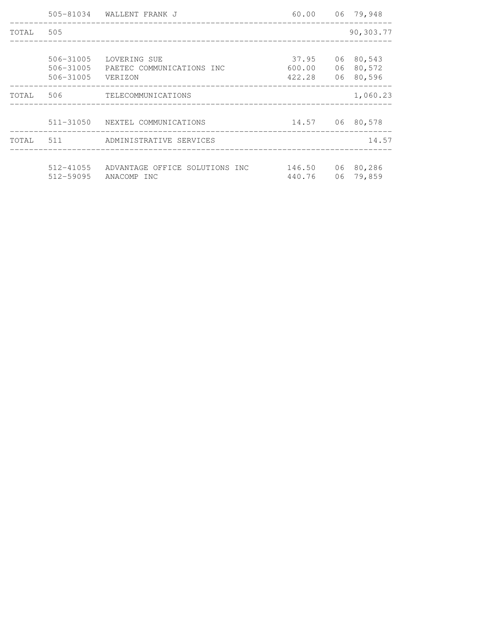|           |                                     | 505-81034 WALLENT FRANK J                            | 60.00 06 79,948           |    |                                  |
|-----------|-------------------------------------|------------------------------------------------------|---------------------------|----|----------------------------------|
| TOTAL 505 |                                     |                                                      |                           |    | 90,303.77                        |
|           | 506-31005<br>506-31005<br>506-31005 | LOVERING SUE<br>PAETEC COMMUNICATIONS INC<br>VERIZON | 37.95<br>600.00<br>422.28 | 06 | 06 80,543<br>80,572<br>06 80,596 |
| TOTAL 506 |                                     | TELECOMMUNICATIONS                                   |                           |    | 1,060.23                         |
|           |                                     | 511-31050 NEXTEL COMMUNICATIONS                      | 14.57 06 80,578           |    |                                  |
| TOTAL     | 511                                 | ADMINISTRATIVE SERVICES                              |                           |    | 14.57                            |
|           | $512 - 41055$<br>512-59095          | ADVANTAGE OFFICE SOLUTIONS INC<br>ANACOMP INC        | 146.50<br>440.76          | 06 | 06 80,286<br>79,859              |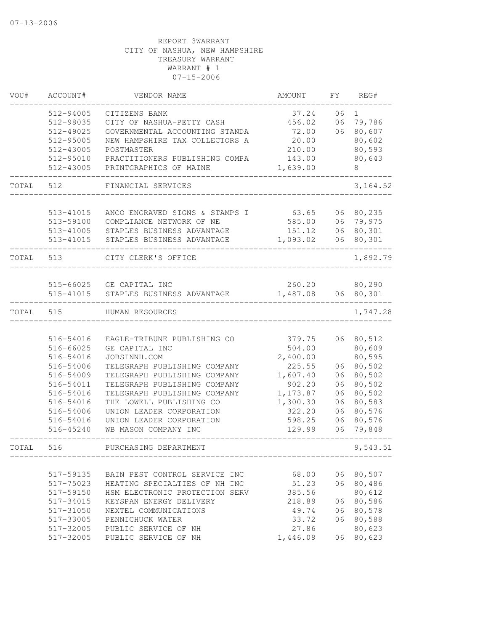| VOU#  | ACCOUNT#  | VENDOR NAME                    | AMOUNT   | FY | REG#         |
|-------|-----------|--------------------------------|----------|----|--------------|
|       | 512-94005 | CITIZENS BANK                  | 37.24    | 06 | $\mathbf{1}$ |
|       | 512-98035 | CITY OF NASHUA-PETTY CASH      | 456.02   | 06 | 79,786       |
|       | 512-49025 | GOVERNMENTAL ACCOUNTING STANDA | 72.00    | 06 | 80,607       |
|       | 512-95005 | NEW HAMPSHIRE TAX COLLECTORS A | 20.00    |    | 80,602       |
|       | 512-43005 | POSTMASTER                     | 210.00   |    | 80,593       |
|       | 512-95010 | PRACTITIONERS PUBLISHING COMPA | 143.00   |    | 80,643       |
|       | 512-43005 | PRINTGRAPHICS OF MAINE         | 1,639.00 |    | 8            |
| TOTAL | 512       | FINANCIAL SERVICES             |          |    | 3, 164.52    |
|       |           |                                |          |    |              |
|       | 513-41015 | ANCO ENGRAVED SIGNS & STAMPS I | 63.65    | 06 | 80,235       |
|       | 513-59100 | COMPLIANCE NETWORK OF NE       | 585.00   | 06 | 79,975       |
|       | 513-41005 | STAPLES BUSINESS ADVANTAGE     | 151.12   | 06 | 80,301       |
|       | 513-41015 | STAPLES BUSINESS ADVANTAGE     | 1,093.02 | 06 | 80,301       |
| TOTAL | 513       | CITY CLERK'S OFFICE            |          |    | 1,892.79     |
|       |           |                                |          |    |              |
|       | 515-66025 | GE CAPITAL INC                 | 260.20   |    | 80,290       |
|       | 515-41015 | STAPLES BUSINESS ADVANTAGE     | 1,487.08 | 06 | 80,301       |
| TOTAL | 515       | HUMAN RESOURCES                |          |    | 1,747.28     |
|       |           |                                |          |    |              |
|       | 516-54016 | EAGLE-TRIBUNE PUBLISHING CO    | 379.75   |    | 06 80,512    |
|       | 516-66025 | GE CAPITAL INC                 | 504.00   |    | 80,609       |
|       | 516-54016 | JOBSINNH.COM                   | 2,400.00 |    | 80,595       |
|       | 516-54006 | TELEGRAPH PUBLISHING COMPANY   | 225.55   | 06 | 80,502       |
|       | 516-54009 | TELEGRAPH PUBLISHING COMPANY   | 1,607.40 | 06 | 80,502       |
|       | 516-54011 | TELEGRAPH PUBLISHING COMPANY   | 902.20   | 06 | 80,502       |
|       | 516-54016 | TELEGRAPH PUBLISHING COMPANY   | 1,173.87 | 06 | 80,502       |
|       | 516-54016 | THE LOWELL PUBLISHING CO       | 1,300.30 | 06 | 80,583       |
|       | 516-54006 | UNION LEADER CORPORATION       | 322.20   | 06 | 80,576       |
|       | 516-54016 | UNION LEADER CORPORATION       | 598.25   | 06 | 80,576       |
|       | 516-45240 | WB MASON COMPANY INC           | 129.99   | 06 | 79,848       |
| TOTAL | 516       | PURCHASING DEPARTMENT          |          |    | 9,543.51     |
|       |           |                                |          |    |              |
|       | 517-59135 | BAIN PEST CONTROL SERVICE INC  | 68.00    |    | 06 80,507    |
|       | 517-75023 | HEATING SPECIALTIES OF NH INC  | 51.23    |    | 06 80,486    |
|       | 517-59150 | HSM ELECTRONIC PROTECTION SERV | 385.56   |    | 80,612       |
|       | 517-34015 | KEYSPAN ENERGY DELIVERY        | 218.89   | 06 | 80,586       |
|       | 517-31050 | NEXTEL COMMUNICATIONS          | 49.74    | 06 | 80,578       |
|       | 517-33005 | PENNICHUCK WATER               | 33.72    | 06 | 80,588       |
|       | 517-32005 | PUBLIC SERVICE OF NH           | 27.86    |    | 80,623       |
|       | 517-32005 | PUBLIC SERVICE OF NH           | 1,446.08 | 06 | 80,623       |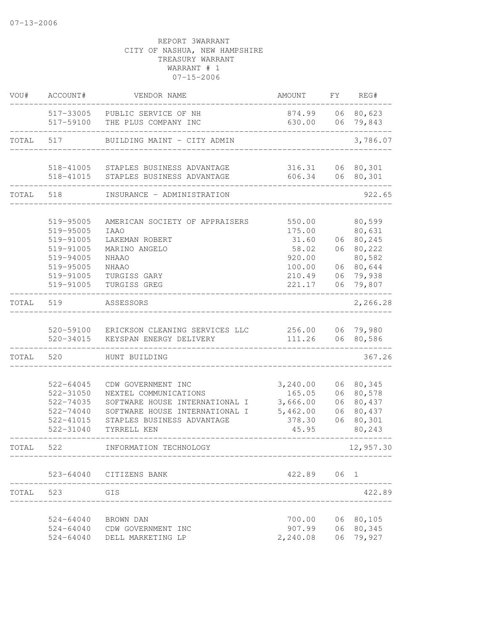| VOU#  | ACCOUNT#               | VENDOR NAME                                                      | AMOUNT             | FY       | REG#                   |
|-------|------------------------|------------------------------------------------------------------|--------------------|----------|------------------------|
|       |                        | 517-33005 PUBLIC SERVICE OF NH<br>517-59100 THE PLUS COMPANY INC | 874.99<br>630.00   |          | 06 80,623<br>06 79,843 |
| TOTAL | 517                    | BUILDING MAINT - CITY ADMIN                                      |                    |          | 3,786.07               |
|       |                        |                                                                  |                    |          |                        |
|       |                        | 518-41005 STAPLES BUSINESS ADVANTAGE                             | 316.31             |          | 06 80,301              |
|       |                        | 518-41015 STAPLES BUSINESS ADVANTAGE                             | 606.34             |          | 06 80,301              |
| TOTAL | 518                    | INSURANCE - ADMINISTRATION                                       |                    |          | 922.65                 |
|       | 519-95005              | AMERICAN SOCIETY OF APPRAISERS                                   | 550.00             |          | 80,599                 |
|       | 519-95005              | <b>IAAO</b>                                                      | 175.00             |          | 80,631                 |
|       | 519-91005              | LAKEMAN ROBERT                                                   | 31.60              |          | 06 80,245              |
|       | 519-91005              | MARINO ANGELO                                                    | 58.02              |          | 06 80,222              |
|       | 519-94005              | NHAAO                                                            | 920.00             |          | 80,582                 |
|       | 519-95005              | NHAAO                                                            | 100.00             | 06       | 80,644                 |
|       | 519-91005              | TURGISS GARY                                                     | 210.49             | 06       | 79,938                 |
|       | 519-91005              | TURGISS GREG                                                     | 221.17             | 06       | 79,807                 |
| TOTAL | 519                    | ASSESSORS                                                        |                    |          | 2,266.28               |
|       |                        | 520-59100 ERICKSON CLEANING SERVICES LLC                         | 256.00 06 79,980   |          |                        |
|       | 520-34015              | KEYSPAN ENERGY DELIVERY                                          | 111.26             |          | 06 80,586              |
| TOTAL | 520                    | HUNT BUILDING                                                    |                    |          | 367.26                 |
|       |                        |                                                                  |                    |          |                        |
|       | 522-64045              | CDW GOVERNMENT INC                                               | 3,240.00           |          | 06 80,345              |
|       | 522-31050<br>522-74035 | NEXTEL COMMUNICATIONS<br>SOFTWARE HOUSE INTERNATIONAL I          | 165.05<br>3,666.00 |          | 06 80,578<br>80,437    |
|       | $522 - 74040$          | SOFTWARE HOUSE INTERNATIONAL I                                   | 5,462.00           | 06<br>06 | 80,437                 |
|       | 522-41015              | STAPLES BUSINESS ADVANTAGE                                       | 378.30             | 06       | 80,301                 |
|       | 522-31040              | TYRRELL KEN                                                      | 45.95              |          | 80,243                 |
|       |                        |                                                                  |                    |          |                        |
| TOTAL | 522                    | INFORMATION TECHNOLOGY                                           |                    |          | 12,957.30              |
|       |                        | 523-64040 CITIZENS BANK                                          | 422.89             | 06 1     |                        |
| TOTAL | 523                    | GIS                                                              |                    |          | 422.89                 |
|       | $524 - 64040$          | BROWN DAN                                                        | 700.00             | 06       | 80,105                 |
|       | $524 - 64040$          | CDW GOVERNMENT INC                                               | 907.99             | 06       | 80,345                 |
|       | $524 - 64040$          | DELL MARKETING LP                                                | 2,240.08           | 06       | 79,927                 |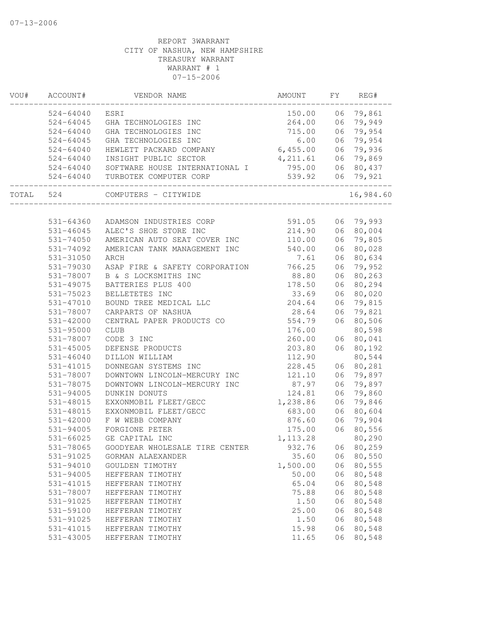| VOU#  | ACCOUNT#      | VENDOR NAME                    | AMOUNT    | FY | REG#      |
|-------|---------------|--------------------------------|-----------|----|-----------|
|       | $524 - 64040$ | ESRI                           | 150.00    | 06 | 79,861    |
|       | $524 - 64045$ | GHA TECHNOLOGIES INC           | 264.00    | 06 | 79,949    |
|       | $524 - 64040$ | GHA TECHNOLOGIES INC           | 715.00    | 06 | 79,954    |
|       | $524 - 64045$ | GHA TECHNOLOGIES INC           | 6.00      | 06 | 79,954    |
|       | $524 - 64040$ | HEWLETT PACKARD COMPANY        | 6,455.00  | 06 | 79,936    |
|       | $524 - 64040$ | INSIGHT PUBLIC SECTOR          | 4,211.61  | 06 | 79,869    |
|       | $524 - 64040$ | SOFTWARE HOUSE INTERNATIONAL I | 795.00    | 06 | 80,437    |
|       | 524-64040     | TURBOTEK COMPUTER CORP         | 539.92    | 06 | 79,921    |
| TOTAL | 524           | COMPUTERS - CITYWIDE           |           |    | 16,984.60 |
|       |               |                                |           |    |           |
|       | 531-64360     | ADAMSON INDUSTRIES CORP        | 591.05    |    | 06 79,993 |
|       | 531-46045     | ALEC'S SHOE STORE INC          | 214.90    | 06 | 80,004    |
|       | 531-74050     | AMERICAN AUTO SEAT COVER INC   | 110.00    | 06 | 79,805    |
|       | 531-74092     | AMERICAN TANK MANAGEMENT INC   | 540.00    | 06 | 80,028    |
|       | 531-31050     | ARCH                           | 7.61      | 06 | 80,634    |
|       | 531-79030     | ASAP FIRE & SAFETY CORPORATION | 766.25    | 06 | 79,952    |
|       | 531-78007     | B & S LOCKSMITHS INC           | 88.80     | 06 | 80,263    |
|       | 531-49075     | BATTERIES PLUS 400             | 178.50    | 06 | 80,294    |
|       | 531-75023     | BELLETETES INC                 | 33.69     | 06 | 80,020    |
|       | 531-47010     | BOUND TREE MEDICAL LLC         | 204.64    | 06 | 79,815    |
|       | 531-78007     | CARPARTS OF NASHUA             | 28.64     | 06 | 79,821    |
|       | 531-42000     | CENTRAL PAPER PRODUCTS CO      | 554.79    | 06 | 80,506    |
|       | 531-95000     | <b>CLUB</b>                    | 176.00    |    | 80,598    |
|       | 531-78007     | CODE 3 INC                     | 260.00    | 06 | 80,041    |
|       | 531-45005     | DEFENSE PRODUCTS               | 203.80    | 06 | 80,192    |
|       | 531-46040     | DILLON WILLIAM                 | 112.90    |    | 80,544    |
|       | 531-41015     | DONNEGAN SYSTEMS INC           | 228.45    | 06 | 80,281    |
|       | 531-78007     | DOWNTOWN LINCOLN-MERCURY INC   | 121.10    | 06 | 79,897    |
|       | 531-78075     | DOWNTOWN LINCOLN-MERCURY INC   | 87.97     | 06 | 79,897    |
|       | 531-94005     | DUNKIN DONUTS                  | 124.81    | 06 | 79,860    |
|       | 531-48015     | EXXONMOBIL FLEET/GECC          | 1,238.86  | 06 | 79,846    |
|       | 531-48015     | EXXONMOBIL FLEET/GECC          | 683.00    | 06 | 80,604    |
|       | 531-42000     | F W WEBB COMPANY               | 876.60    | 06 | 79,904    |
|       | 531-94005     | FORGIONE PETER                 | 175.00    | 06 | 80,556    |
|       | $531 - 66025$ | GE CAPITAL INC                 | 1, 113.28 |    | 80,290    |
|       | 531-78065     | GOODYEAR WHOLESALE TIRE CENTER | 932.76    | 06 | 80,259    |
|       | 531-91025     | GORMAN ALAEXANDER              | 35.60     | 06 | 80,550    |
|       | 531-94010     | GOULDEN TIMOTHY                | 1,500.00  | 06 | 80,555    |
|       | 531-94005     | HEFFERAN TIMOTHY               | 50.00     | 06 | 80,548    |
|       | 531-41015     | HEFFERAN TIMOTHY               | 65.04     | 06 | 80,548    |
|       | 531-78007     | HEFFERAN TIMOTHY               | 75.88     | 06 | 80,548    |
|       | 531-91025     | HEFFERAN TIMOTHY               | 1.50      | 06 | 80,548    |
|       | 531-59100     | HEFFERAN TIMOTHY               | 25.00     | 06 | 80,548    |
|       | 531-91025     | HEFFERAN TIMOTHY               | 1.50      | 06 | 80,548    |
|       | 531-41015     | HEFFERAN TIMOTHY               | 15.98     | 06 | 80,548    |
|       | 531-43005     | HEFFERAN TIMOTHY               | 11.65     | 06 | 80,548    |
|       |               |                                |           |    |           |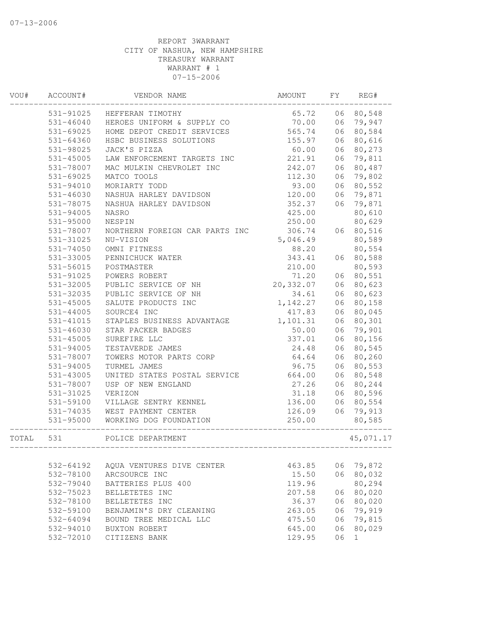| VOU#  | ACCOUNT#      | VENDOR NAME                                              | AMOUNT    | FY | REG#      |
|-------|---------------|----------------------------------------------------------|-----------|----|-----------|
|       | 531-91025     | HEFFERAN TIMOTHY                                         | 65.72     | 06 | 80,548    |
|       | $531 - 46040$ | HEROES UNIFORM & SUPPLY CO                               | 70.00     | 06 | 79,947    |
|       | 531-69025     | HOME DEPOT CREDIT SERVICES                               | 565.74    | 06 | 80,584    |
|       | 531-64360     | HSBC BUSINESS SOLUTIONS                                  | 155.97    | 06 | 80,616    |
|       | 531-98025     | JACK'S PIZZA                                             | 60.00     | 06 | 80,273    |
|       | 531-45005     | LAW ENFORCEMENT TARGETS INC                              | 221.91    | 06 | 79,811    |
|       | 531-78007     | MAC MULKIN CHEVROLET INC                                 | 242.07    | 06 | 80,487    |
|       | 531-69025     | MATCO TOOLS                                              | 112.30    | 06 | 79,802    |
|       | 531-94010     | MORIARTY TODD                                            | 93.00     | 06 | 80,552    |
|       | $531 - 46030$ | NASHUA HARLEY DAVIDSON                                   | 120.00    | 06 | 79,871    |
|       | 531-78075     | NASHUA HARLEY DAVIDSON                                   | 352.37    | 06 | 79,871    |
|       | 531-94005     | <b>NASRO</b>                                             | 425.00    |    | 80,610    |
|       | 531-95000     | NESPIN                                                   | 250.00    |    | 80,629    |
|       | 531-78007     | NORTHERN FOREIGN CAR PARTS INC                           | 306.74    | 06 | 80,516    |
|       | 531-31025     | NU-VISION                                                | 5,046.49  |    | 80,589    |
|       | 531-74050     | OMNI FITNESS                                             | 88.20     |    | 80,554    |
|       | 531-33005     | PENNICHUCK WATER                                         | 343.41    | 06 | 80,588    |
|       | 531-56015     | POSTMASTER                                               | 210.00    |    | 80,593    |
|       | 531-91025     | POWERS ROBERT                                            | 71.20     | 06 | 80,551    |
|       | 531-32005     | PUBLIC SERVICE OF NH                                     | 20,332.07 | 06 | 80,623    |
|       | 531-32035     | PUBLIC SERVICE OF NH                                     | 34.61     | 06 | 80,623    |
|       | 531-45005     | SALUTE PRODUCTS INC                                      | 1,142.27  | 06 | 80,158    |
|       | $531 - 44005$ | SOURCE4 INC                                              | 417.83    | 06 | 80,045    |
|       | 531-41015     | STAPLES BUSINESS ADVANTAGE                               | 1,101.31  | 06 | 80,301    |
|       | $531 - 46030$ | STAR PACKER BADGES                                       | 50.00     | 06 | 79,901    |
|       | 531-45005     | SUREFIRE LLC                                             | 337.01    | 06 | 80,156    |
|       | 531-94005     | TESTAVERDE JAMES                                         | 24.48     | 06 | 80,545    |
|       | 531-78007     | TOWERS MOTOR PARTS CORP                                  | 64.64     | 06 | 80,260    |
|       | 531-94005     | TURMEL JAMES                                             | 96.75     | 06 | 80,553    |
|       | 531-43005     | UNITED STATES POSTAL SERVICE                             | 664.00    | 06 | 80,548    |
|       | 531-78007     | USP OF NEW ENGLAND                                       | 27.26     | 06 | 80,244    |
|       | 531-31025     | VERIZON                                                  | 31.18     | 06 | 80,596    |
|       | 531-59100     | VILLAGE SENTRY KENNEL                                    | 136.00    | 06 | 80,554    |
|       | 531-74035     | WEST PAYMENT CENTER                                      | 126.09    | 06 | 79,913    |
|       | 531-95000     | WORKING DOG FOUNDATION                                   | 250.00    |    | 80,585    |
| TOTAL | 531           | POLICE DEPARTMENT<br>___________________________________ |           |    | 45,071.17 |
|       |               |                                                          |           |    |           |
|       | 532-64192     | AOUA VENTURES DIVE CENTER                                | 463.85    | 06 | 79,872    |
|       | 532-78100     | ARCSOURCE INC                                            | 15.50     | 06 | 80,032    |
|       | 532-79040     | BATTERIES PLUS 400                                       | 119.96    |    | 80,294    |
|       | 532-75023     | BELLETETES INC                                           | 207.58    | 06 | 80,020    |
|       | 532-78100     | BELLETETES INC                                           | 36.37     | 06 | 80,020    |
|       | 532-59100     | BENJAMIN'S DRY CLEANING                                  | 263.05    | 06 | 79,919    |
|       | 532-64094     | BOUND TREE MEDICAL LLC                                   | 475.50    | 06 | 79,815    |
|       | 532-94010     | BUXTON ROBERT                                            | 645.00    | 06 | 80,029    |
|       | 532-72010     | CITIZENS BANK                                            | 129.95    | 06 | 1         |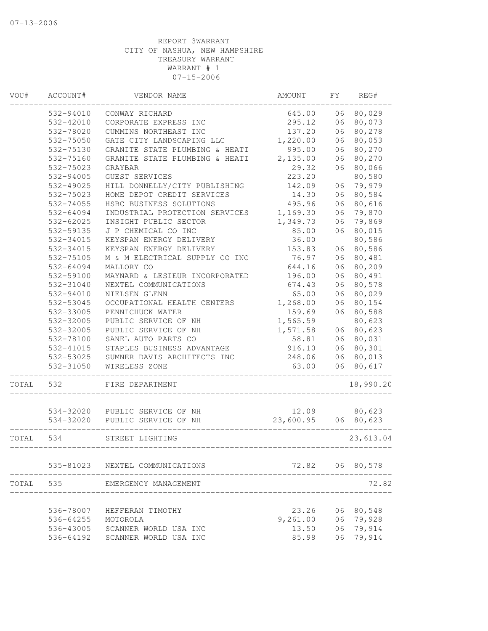| VOU#  | ACCOUNT#  | VENDOR NAME                              | AMOUNT    | FΥ | REG#            |
|-------|-----------|------------------------------------------|-----------|----|-----------------|
|       | 532-94010 | CONWAY RICHARD                           | 645.00    | 06 | 80,029          |
|       | 532-42010 | CORPORATE EXPRESS INC                    | 295.12    | 06 | 80,073          |
|       | 532-78020 | CUMMINS NORTHEAST INC                    | 137.20    | 06 | 80,278          |
|       | 532-75050 | GATE CITY LANDSCAPING LLC                | 1,220.00  | 06 | 80,053          |
|       | 532-75130 | GRANITE STATE PLUMBING & HEATI           | 995.00    | 06 | 80,270          |
|       | 532-75160 | GRANITE STATE PLUMBING & HEATI           | 2,135.00  | 06 | 80,270          |
|       | 532-75023 | GRAYBAR                                  | 29.32     | 06 | 80,066          |
|       | 532-94005 | GUEST SERVICES                           | 223.20    |    | 80,580          |
|       | 532-49025 | HILL DONNELLY/CITY PUBLISHING            | 142.09    | 06 | 79,979          |
|       | 532-75023 | HOME DEPOT CREDIT SERVICES               | 14.30     | 06 | 80,584          |
|       | 532-74055 | HSBC BUSINESS SOLUTIONS                  | 495.96    | 06 | 80,616          |
|       | 532-64094 | INDUSTRIAL PROTECTION SERVICES           | 1,169.30  | 06 | 79,870          |
|       | 532-62025 | INSIGHT PUBLIC SECTOR                    | 1,349.73  | 06 | 79,869          |
|       | 532-59135 | J P CHEMICAL CO INC                      | 85.00     | 06 | 80,015          |
|       | 532-34015 | KEYSPAN ENERGY DELIVERY                  | 36.00     |    | 80,586          |
|       | 532-34015 | KEYSPAN ENERGY DELIVERY                  | 153.83    | 06 | 80,586          |
|       | 532-75105 | M & M ELECTRICAL SUPPLY CO INC           | 76.97     | 06 | 80,481          |
|       | 532-64094 | MALLORY CO                               | 644.16    | 06 | 80,209          |
|       | 532-59100 | MAYNARD & LESIEUR INCORPORATED           | 196.00    | 06 | 80,491          |
|       | 532-31040 | NEXTEL COMMUNICATIONS                    | 674.43    | 06 | 80,578          |
|       | 532-94010 | NIELSEN GLENN                            | 65.00     | 06 | 80,029          |
|       | 532-53045 | OCCUPATIONAL HEALTH CENTERS              | 1,268.00  | 06 | 80,154          |
|       | 532-33005 | PENNICHUCK WATER                         | 159.69    | 06 | 80,588          |
|       | 532-32005 | PUBLIC SERVICE OF NH                     | 1,565.59  |    | 80,623          |
|       | 532-32005 | PUBLIC SERVICE OF NH                     | 1,571.58  | 06 | 80,623          |
|       | 532-78100 | SANEL AUTO PARTS CO                      | 58.81     | 06 | 80,031          |
|       | 532-41015 | STAPLES BUSINESS ADVANTAGE               | 916.10    | 06 | 80,301          |
|       | 532-53025 | SUMNER DAVIS ARCHITECTS INC              | 248.06    | 06 | 80,013          |
|       | 532-31050 | WIRELESS ZONE                            | 63.00     | 06 | 80,617          |
| TOTAL | 532       | FIRE DEPARTMENT                          |           |    | 18,990.20       |
|       |           |                                          |           |    |                 |
|       |           | 534-32020 PUBLIC SERVICE OF NH           | 12.09     |    | 80,623          |
|       | 534-32020 | PUBLIC SERVICE OF NH<br>________________ | 23,600.95 | 06 | 80,623          |
| TOTAL | 534       | STREET LIGHTING                          |           |    | 23,613.04       |
|       | 535-81023 | NEXTEL COMMUNICATIONS                    |           |    | 72.82 06 80,578 |
| TOTAL | 535       | EMERGENCY MANAGEMENT                     |           |    | 72.82           |
|       |           |                                          |           |    |                 |
|       | 536-78007 | HEFFERAN TIMOTHY                         | 23.26     | 06 | 80,548          |
|       | 536-64255 | MOTOROLA                                 | 9,261.00  | 06 | 79,928          |
|       | 536-43005 | SCANNER WORLD USA INC                    | 13.50     | 06 | 79,914          |
|       | 536-64192 | SCANNER WORLD USA INC                    | 85.98     |    | 06 79,914       |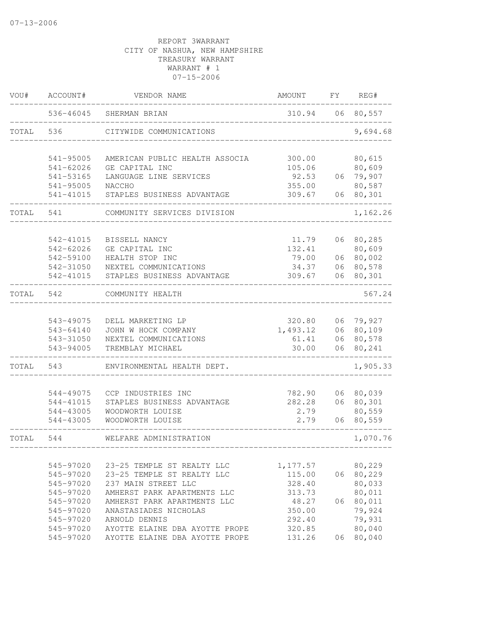| 536-46045<br>310.94<br>06<br>80,557<br>SHERMAN BRIAN<br>TOTAL<br>536<br>CITYWIDE COMMUNICATIONS<br>80,615<br>541-95005<br>AMERICAN PUBLIC HEALTH ASSOCIA<br>300.00<br>80,609<br>$541 - 62026$<br>GE CAPITAL INC<br>105.06<br>06 79,907<br>92.53<br>541-53165<br>LANGUAGE LINE SERVICES<br>80,587<br>541-95005<br>NACCHO<br>355.00<br>309.67<br>80,301<br>541-41015<br>STAPLES BUSINESS ADVANTAGE<br>06<br>TOTAL<br>541<br>COMMUNITY SERVICES DIVISION<br>11.79<br>80,285<br>542-41015<br>BISSELL NANCY<br>06<br>80,609<br>542-62026<br>132.41<br>GE CAPITAL INC<br>80,002<br>542-59100<br>HEALTH STOP INC<br>79.00<br>06<br>80,578<br>542-31050<br>NEXTEL COMMUNICATIONS<br>34.37<br>06<br>80,301<br>542-41015<br>STAPLES BUSINESS ADVANTAGE<br>309.67<br>06<br>TOTAL<br>542<br>COMMUNITY HEALTH<br>320.80<br>06 79,927<br>543-49075<br>DELL MARKETING LP<br>1,493.12<br>80,109<br>543-64140<br>JOHN W HOCK COMPANY<br>06<br>80,578<br>543-31050<br>61.41<br>NEXTEL COMMUNICATIONS<br>06<br>543-94005<br>30.00<br>06<br>80,241<br>TREMBLAY MICHAEL<br>TOTAL<br>543<br>ENVIRONMENTAL HEALTH DEPT.<br>544-49075<br>CCP INDUSTRIES INC<br>782.90<br>06<br>80,039<br>282.28<br>80,301<br>STAPLES BUSINESS ADVANTAGE<br>06<br>544-41015<br>80,559<br>2.79<br>WOODWORTH LOUISE<br>544-43005<br>80,559<br>2.79<br>544-43005<br>WOODWORTH LOUISE<br>06<br>TOTAL<br>544<br>WELFARE ADMINISTRATION<br>545-97020<br>23-25 TEMPLE ST REALTY LLC<br>80,229<br>1,177.57<br>80,229<br>545-97020<br>23-25 TEMPLE ST REALTY LLC<br>115.00<br>06<br>80,033<br>545-97020<br>237 MAIN STREET LLC<br>328.40<br>80,011<br>545-97020<br>AMHERST PARK APARTMENTS LLC<br>313.73<br>80,011<br>545-97020<br>AMHERST PARK APARTMENTS LLC<br>48.27<br>06 | VOU# | ACCOUNT# | VENDOR NAME | AMOUNT | FΥ | REG#     |
|-----------------------------------------------------------------------------------------------------------------------------------------------------------------------------------------------------------------------------------------------------------------------------------------------------------------------------------------------------------------------------------------------------------------------------------------------------------------------------------------------------------------------------------------------------------------------------------------------------------------------------------------------------------------------------------------------------------------------------------------------------------------------------------------------------------------------------------------------------------------------------------------------------------------------------------------------------------------------------------------------------------------------------------------------------------------------------------------------------------------------------------------------------------------------------------------------------------------------------------------------------------------------------------------------------------------------------------------------------------------------------------------------------------------------------------------------------------------------------------------------------------------------------------------------------------------------------------------------------------------------------------------------------------------------------------------------------------------------------|------|----------|-------------|--------|----|----------|
|                                                                                                                                                                                                                                                                                                                                                                                                                                                                                                                                                                                                                                                                                                                                                                                                                                                                                                                                                                                                                                                                                                                                                                                                                                                                                                                                                                                                                                                                                                                                                                                                                                                                                                                             |      |          |             |        |    |          |
|                                                                                                                                                                                                                                                                                                                                                                                                                                                                                                                                                                                                                                                                                                                                                                                                                                                                                                                                                                                                                                                                                                                                                                                                                                                                                                                                                                                                                                                                                                                                                                                                                                                                                                                             |      |          |             |        |    | 9,694.68 |
|                                                                                                                                                                                                                                                                                                                                                                                                                                                                                                                                                                                                                                                                                                                                                                                                                                                                                                                                                                                                                                                                                                                                                                                                                                                                                                                                                                                                                                                                                                                                                                                                                                                                                                                             |      |          |             |        |    |          |
|                                                                                                                                                                                                                                                                                                                                                                                                                                                                                                                                                                                                                                                                                                                                                                                                                                                                                                                                                                                                                                                                                                                                                                                                                                                                                                                                                                                                                                                                                                                                                                                                                                                                                                                             |      |          |             |        |    |          |
|                                                                                                                                                                                                                                                                                                                                                                                                                                                                                                                                                                                                                                                                                                                                                                                                                                                                                                                                                                                                                                                                                                                                                                                                                                                                                                                                                                                                                                                                                                                                                                                                                                                                                                                             |      |          |             |        |    |          |
|                                                                                                                                                                                                                                                                                                                                                                                                                                                                                                                                                                                                                                                                                                                                                                                                                                                                                                                                                                                                                                                                                                                                                                                                                                                                                                                                                                                                                                                                                                                                                                                                                                                                                                                             |      |          |             |        |    |          |
|                                                                                                                                                                                                                                                                                                                                                                                                                                                                                                                                                                                                                                                                                                                                                                                                                                                                                                                                                                                                                                                                                                                                                                                                                                                                                                                                                                                                                                                                                                                                                                                                                                                                                                                             |      |          |             |        |    |          |
|                                                                                                                                                                                                                                                                                                                                                                                                                                                                                                                                                                                                                                                                                                                                                                                                                                                                                                                                                                                                                                                                                                                                                                                                                                                                                                                                                                                                                                                                                                                                                                                                                                                                                                                             |      |          |             |        |    | 1,162.26 |
|                                                                                                                                                                                                                                                                                                                                                                                                                                                                                                                                                                                                                                                                                                                                                                                                                                                                                                                                                                                                                                                                                                                                                                                                                                                                                                                                                                                                                                                                                                                                                                                                                                                                                                                             |      |          |             |        |    |          |
|                                                                                                                                                                                                                                                                                                                                                                                                                                                                                                                                                                                                                                                                                                                                                                                                                                                                                                                                                                                                                                                                                                                                                                                                                                                                                                                                                                                                                                                                                                                                                                                                                                                                                                                             |      |          |             |        |    |          |
|                                                                                                                                                                                                                                                                                                                                                                                                                                                                                                                                                                                                                                                                                                                                                                                                                                                                                                                                                                                                                                                                                                                                                                                                                                                                                                                                                                                                                                                                                                                                                                                                                                                                                                                             |      |          |             |        |    |          |
|                                                                                                                                                                                                                                                                                                                                                                                                                                                                                                                                                                                                                                                                                                                                                                                                                                                                                                                                                                                                                                                                                                                                                                                                                                                                                                                                                                                                                                                                                                                                                                                                                                                                                                                             |      |          |             |        |    |          |
|                                                                                                                                                                                                                                                                                                                                                                                                                                                                                                                                                                                                                                                                                                                                                                                                                                                                                                                                                                                                                                                                                                                                                                                                                                                                                                                                                                                                                                                                                                                                                                                                                                                                                                                             |      |          |             |        |    |          |
|                                                                                                                                                                                                                                                                                                                                                                                                                                                                                                                                                                                                                                                                                                                                                                                                                                                                                                                                                                                                                                                                                                                                                                                                                                                                                                                                                                                                                                                                                                                                                                                                                                                                                                                             |      |          |             |        |    | 567.24   |
|                                                                                                                                                                                                                                                                                                                                                                                                                                                                                                                                                                                                                                                                                                                                                                                                                                                                                                                                                                                                                                                                                                                                                                                                                                                                                                                                                                                                                                                                                                                                                                                                                                                                                                                             |      |          |             |        |    |          |
|                                                                                                                                                                                                                                                                                                                                                                                                                                                                                                                                                                                                                                                                                                                                                                                                                                                                                                                                                                                                                                                                                                                                                                                                                                                                                                                                                                                                                                                                                                                                                                                                                                                                                                                             |      |          |             |        |    |          |
|                                                                                                                                                                                                                                                                                                                                                                                                                                                                                                                                                                                                                                                                                                                                                                                                                                                                                                                                                                                                                                                                                                                                                                                                                                                                                                                                                                                                                                                                                                                                                                                                                                                                                                                             |      |          |             |        |    |          |
|                                                                                                                                                                                                                                                                                                                                                                                                                                                                                                                                                                                                                                                                                                                                                                                                                                                                                                                                                                                                                                                                                                                                                                                                                                                                                                                                                                                                                                                                                                                                                                                                                                                                                                                             |      |          |             |        |    |          |
|                                                                                                                                                                                                                                                                                                                                                                                                                                                                                                                                                                                                                                                                                                                                                                                                                                                                                                                                                                                                                                                                                                                                                                                                                                                                                                                                                                                                                                                                                                                                                                                                                                                                                                                             |      |          |             |        |    |          |
|                                                                                                                                                                                                                                                                                                                                                                                                                                                                                                                                                                                                                                                                                                                                                                                                                                                                                                                                                                                                                                                                                                                                                                                                                                                                                                                                                                                                                                                                                                                                                                                                                                                                                                                             |      |          |             |        |    | 1,905.33 |
|                                                                                                                                                                                                                                                                                                                                                                                                                                                                                                                                                                                                                                                                                                                                                                                                                                                                                                                                                                                                                                                                                                                                                                                                                                                                                                                                                                                                                                                                                                                                                                                                                                                                                                                             |      |          |             |        |    |          |
|                                                                                                                                                                                                                                                                                                                                                                                                                                                                                                                                                                                                                                                                                                                                                                                                                                                                                                                                                                                                                                                                                                                                                                                                                                                                                                                                                                                                                                                                                                                                                                                                                                                                                                                             |      |          |             |        |    |          |
|                                                                                                                                                                                                                                                                                                                                                                                                                                                                                                                                                                                                                                                                                                                                                                                                                                                                                                                                                                                                                                                                                                                                                                                                                                                                                                                                                                                                                                                                                                                                                                                                                                                                                                                             |      |          |             |        |    |          |
|                                                                                                                                                                                                                                                                                                                                                                                                                                                                                                                                                                                                                                                                                                                                                                                                                                                                                                                                                                                                                                                                                                                                                                                                                                                                                                                                                                                                                                                                                                                                                                                                                                                                                                                             |      |          |             |        |    |          |
|                                                                                                                                                                                                                                                                                                                                                                                                                                                                                                                                                                                                                                                                                                                                                                                                                                                                                                                                                                                                                                                                                                                                                                                                                                                                                                                                                                                                                                                                                                                                                                                                                                                                                                                             |      |          |             |        |    | 1,070.76 |
|                                                                                                                                                                                                                                                                                                                                                                                                                                                                                                                                                                                                                                                                                                                                                                                                                                                                                                                                                                                                                                                                                                                                                                                                                                                                                                                                                                                                                                                                                                                                                                                                                                                                                                                             |      |          |             |        |    |          |
|                                                                                                                                                                                                                                                                                                                                                                                                                                                                                                                                                                                                                                                                                                                                                                                                                                                                                                                                                                                                                                                                                                                                                                                                                                                                                                                                                                                                                                                                                                                                                                                                                                                                                                                             |      |          |             |        |    |          |
|                                                                                                                                                                                                                                                                                                                                                                                                                                                                                                                                                                                                                                                                                                                                                                                                                                                                                                                                                                                                                                                                                                                                                                                                                                                                                                                                                                                                                                                                                                                                                                                                                                                                                                                             |      |          |             |        |    |          |
|                                                                                                                                                                                                                                                                                                                                                                                                                                                                                                                                                                                                                                                                                                                                                                                                                                                                                                                                                                                                                                                                                                                                                                                                                                                                                                                                                                                                                                                                                                                                                                                                                                                                                                                             |      |          |             |        |    |          |
|                                                                                                                                                                                                                                                                                                                                                                                                                                                                                                                                                                                                                                                                                                                                                                                                                                                                                                                                                                                                                                                                                                                                                                                                                                                                                                                                                                                                                                                                                                                                                                                                                                                                                                                             |      |          |             |        |    |          |
| 545-97020<br>ANASTASIADES NICHOLAS<br>350.00                                                                                                                                                                                                                                                                                                                                                                                                                                                                                                                                                                                                                                                                                                                                                                                                                                                                                                                                                                                                                                                                                                                                                                                                                                                                                                                                                                                                                                                                                                                                                                                                                                                                                |      |          |             |        |    | 79,924   |
| 79,931<br>292.40<br>545-97020<br>ARNOLD DENNIS                                                                                                                                                                                                                                                                                                                                                                                                                                                                                                                                                                                                                                                                                                                                                                                                                                                                                                                                                                                                                                                                                                                                                                                                                                                                                                                                                                                                                                                                                                                                                                                                                                                                              |      |          |             |        |    |          |
| 80,040<br>545-97020<br>AYOTTE ELAINE DBA AYOTTE PROPE<br>320.85                                                                                                                                                                                                                                                                                                                                                                                                                                                                                                                                                                                                                                                                                                                                                                                                                                                                                                                                                                                                                                                                                                                                                                                                                                                                                                                                                                                                                                                                                                                                                                                                                                                             |      |          |             |        |    |          |
| 80,040<br>545-97020<br>AYOTTE ELAINE DBA AYOTTE PROPE<br>131.26<br>06                                                                                                                                                                                                                                                                                                                                                                                                                                                                                                                                                                                                                                                                                                                                                                                                                                                                                                                                                                                                                                                                                                                                                                                                                                                                                                                                                                                                                                                                                                                                                                                                                                                       |      |          |             |        |    |          |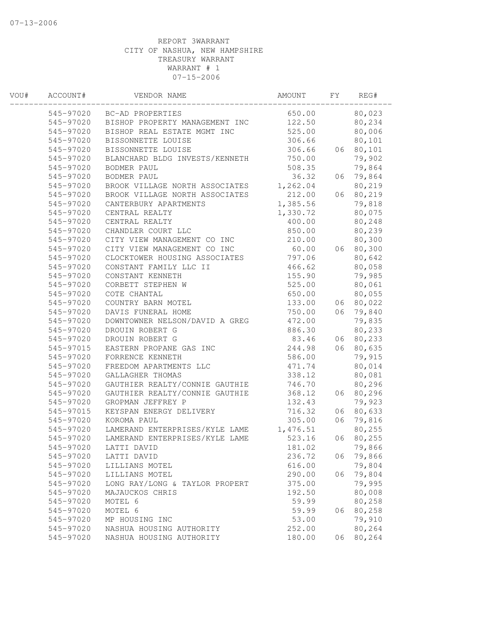| VOU# | ACCOUNT#  | VENDOR NAME                    | AMOUNT   | FΥ | REG#   |  |
|------|-----------|--------------------------------|----------|----|--------|--|
|      |           | 545-97020 BC-AD PROPERTIES     | 650.00   |    | 80,023 |  |
|      | 545-97020 | BISHOP PROPERTY MANAGEMENT INC | 122.50   |    | 80,234 |  |
|      | 545-97020 | BISHOP REAL ESTATE MGMT INC    | 525.00   |    | 80,006 |  |
|      | 545-97020 | BISSONNETTE LOUISE             | 306.66   |    | 80,101 |  |
|      | 545-97020 | BISSONNETTE LOUISE             | 306.66   | 06 | 80,101 |  |
|      | 545-97020 | BLANCHARD BLDG INVESTS/KENNETH | 750.00   |    | 79,902 |  |
|      | 545-97020 | BODMER PAUL                    | 508.35   |    | 79,864 |  |
|      | 545-97020 | BODMER PAUL                    | 36.32    | 06 | 79,864 |  |
|      | 545-97020 | BROOK VILLAGE NORTH ASSOCIATES | 1,262.04 |    | 80,219 |  |
|      | 545-97020 | BROOK VILLAGE NORTH ASSOCIATES | 212.00   | 06 | 80,219 |  |
|      | 545-97020 | CANTERBURY APARTMENTS          | 1,385.56 |    | 79,818 |  |
|      | 545-97020 | CENTRAL REALTY                 | 1,330.72 |    | 80,075 |  |
|      | 545-97020 | CENTRAL REALTY                 | 400.00   |    | 80,248 |  |
|      | 545-97020 | CHANDLER COURT LLC             | 850.00   |    | 80,239 |  |
|      | 545-97020 | CITY VIEW MANAGEMENT CO INC    | 210.00   |    | 80,300 |  |
|      | 545-97020 | CITY VIEW MANAGEMENT CO INC    | 60.00    | 06 | 80,300 |  |
|      | 545-97020 | CLOCKTOWER HOUSING ASSOCIATES  | 797.06   |    | 80,642 |  |
|      | 545-97020 | CONSTANT FAMILY LLC II         | 466.62   |    | 80,058 |  |
|      | 545-97020 | CONSTANT KENNETH               | 155.90   |    | 79,985 |  |
|      | 545-97020 | CORBETT STEPHEN W              | 525.00   |    | 80,061 |  |
|      | 545-97020 | COTE CHANTAL                   | 650.00   |    | 80,055 |  |
|      | 545-97020 | COUNTRY BARN MOTEL             | 133.00   | 06 | 80,022 |  |
|      | 545-97020 | DAVIS FUNERAL HOME             | 750.00   | 06 | 79,840 |  |
|      | 545-97020 | DOWNTOWNER NELSON/DAVID A GREG | 472.00   |    | 79,835 |  |
|      | 545-97020 | DROUIN ROBERT G                | 886.30   |    | 80,233 |  |
|      | 545-97020 | DROUIN ROBERT G                | 83.46    | 06 | 80,233 |  |
|      | 545-97015 | EASTERN PROPANE GAS INC        | 244.98   | 06 | 80,635 |  |
|      | 545-97020 | FORRENCE KENNETH               | 586.00   |    | 79,915 |  |
|      | 545-97020 | FREEDOM APARTMENTS LLC         | 471.74   |    | 80,014 |  |
|      | 545-97020 | GALLAGHER THOMAS               | 338.12   |    | 80,081 |  |
|      | 545-97020 | GAUTHIER REALTY/CONNIE GAUTHIE | 746.70   |    | 80,296 |  |
|      | 545-97020 | GAUTHIER REALTY/CONNIE GAUTHIE | 368.12   | 06 | 80,296 |  |
|      | 545-97020 | GROPMAN JEFFREY P              | 132.43   |    | 79,923 |  |
|      | 545-97015 | KEYSPAN ENERGY DELIVERY        | 716.32   | 06 | 80,633 |  |
|      | 545-97020 | KOROMA PAUL                    | 305.00   | 06 | 79,816 |  |
|      | 545-97020 | LAMERAND ENTERPRISES/KYLE LAME | 1,476.51 |    | 80,255 |  |
|      | 545-97020 | LAMERAND ENTERPRISES/KYLE LAME | 523.16   | 06 | 80,255 |  |
|      | 545-97020 | LATTI DAVID                    | 181.02   |    | 79,866 |  |
|      | 545-97020 | LATTI DAVID                    | 236.72   | 06 | 79,866 |  |
|      | 545-97020 | LILLIANS MOTEL                 | 616.00   |    | 79,804 |  |
|      | 545-97020 | LILLIANS MOTEL                 | 290.00   | 06 | 79,804 |  |
|      | 545-97020 | LONG RAY/LONG & TAYLOR PROPERT | 375.00   |    | 79,995 |  |
|      | 545-97020 | MAJAUCKOS CHRIS                | 192.50   |    | 80,008 |  |
|      | 545-97020 | MOTEL 6                        | 59.99    |    | 80,258 |  |
|      | 545-97020 | MOTEL 6                        | 59.99    | 06 | 80,258 |  |
|      | 545-97020 | MP HOUSING INC                 | 53.00    |    | 79,910 |  |
|      | 545-97020 | NASHUA HOUSING AUTHORITY       | 252.00   |    | 80,264 |  |
|      | 545-97020 | NASHUA HOUSING AUTHORITY       | 180.00   | 06 | 80,264 |  |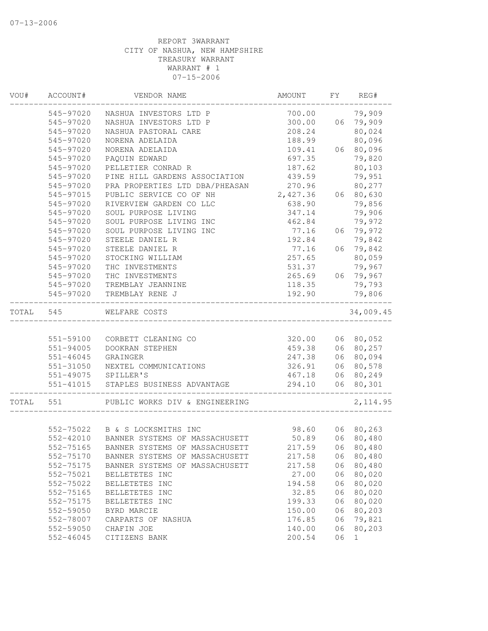| WOU#  | ACCOUNT#      | VENDOR NAME                    | AMOUNT   | FY | REG#      |
|-------|---------------|--------------------------------|----------|----|-----------|
|       | 545-97020     | NASHUA INVESTORS LTD P         | 700.00   |    | 79,909    |
|       | 545-97020     | NASHUA INVESTORS LTD P         | 300.00   | 06 | 79,909    |
|       | 545-97020     | NASHUA PASTORAL CARE           | 208.24   |    | 80,024    |
|       | 545-97020     | NORENA ADELAIDA                | 188.99   |    | 80,096    |
|       | 545-97020     | NORENA ADELAIDA                | 109.41   | 06 | 80,096    |
|       | 545-97020     | PAQUIN EDWARD                  | 697.35   |    | 79,820    |
|       | 545-97020     | PELLETIER CONRAD R             | 187.62   |    | 80,103    |
|       | 545-97020     | PINE HILL GARDENS ASSOCIATION  | 439.59   |    | 79,951    |
|       | 545-97020     | PRA PROPERTIES LTD DBA/PHEASAN | 270.96   |    | 80,277    |
|       | 545-97015     | PUBLIC SERVICE CO OF NH        | 2,427.36 | 06 | 80,630    |
|       | 545-97020     | RIVERVIEW GARDEN CO LLC        | 638.90   |    | 79,856    |
|       | 545-97020     | SOUL PURPOSE LIVING            | 347.14   |    | 79,906    |
|       | 545-97020     | SOUL PURPOSE LIVING INC        | 462.84   |    | 79,972    |
|       | 545-97020     | SOUL PURPOSE LIVING INC        | 77.16    | 06 | 79,972    |
|       | 545-97020     | STEELE DANIEL R                | 192.84   |    | 79,842    |
|       | 545-97020     | STEELE DANIEL R                | 77.16    | 06 | 79,842    |
|       | 545-97020     | STOCKING WILLIAM               | 257.65   |    | 80,059    |
|       | 545-97020     | THC INVESTMENTS                | 531.37   |    | 79,967    |
|       | 545-97020     | THC INVESTMENTS                | 265.69   | 06 | 79,967    |
|       | 545-97020     | TREMBLAY JEANNINE              | 118.35   |    | 79,793    |
|       | 545-97020     | TREMBLAY RENE J                | 192.90   |    | 79,806    |
| TOTAL | 545           | WELFARE COSTS                  |          |    | 34,009.45 |
|       |               |                                |          |    |           |
|       | 551-59100     | CORBETT CLEANING CO            | 320.00   |    | 06 80,052 |
|       | 551-94005     | DOOKRAN STEPHEN                | 459.38   | 06 | 80,257    |
|       | $551 - 46045$ | GRAINGER                       | 247.38   | 06 | 80,094    |
|       | 551-31050     | NEXTEL COMMUNICATIONS          | 326.91   | 06 | 80,578    |
|       | 551-49075     | SPILLER'S                      | 467.18   | 06 | 80,249    |
|       | 551-41015     | STAPLES BUSINESS ADVANTAGE     | 294.10   | 06 | 80,301    |
| TOTAL | 551           | PUBLIC WORKS DIV & ENGINEERING |          |    | 2, 114.95 |
|       |               |                                |          |    |           |
|       | 552-75022     | B & S LOCKSMITHS INC           | 98.60    |    | 06 80,263 |
|       | 552-42010     | BANNER SYSTEMS OF MASSACHUSETT | 50.89    | 06 | 80,480    |
|       | 552-75165     | BANNER SYSTEMS OF MASSACHUSETT | 217.59   |    | 06 80,480 |
|       | 552-75170     | BANNER SYSTEMS OF MASSACHUSETT | 217.58   | 06 | 80,480    |
|       | 552-75175     | BANNER SYSTEMS OF MASSACHUSETT | 217.58   | 06 | 80,480    |
|       | 552-75021     | BELLETETES INC                 | 27.00    | 06 | 80,020    |
|       | 552-75022     | BELLETETES INC                 | 194.58   | 06 | 80,020    |
|       | 552-75165     | BELLETETES INC                 | 32.85    | 06 | 80,020    |
|       | 552-75175     | BELLETETES INC                 | 199.33   | 06 | 80,020    |
|       | 552-59050     | BYRD MARCIE                    | 150.00   | 06 | 80,203    |
|       | 552-78007     | CARPARTS OF NASHUA             | 176.85   | 06 | 79,821    |
|       | 552-59050     | CHAFIN JOE                     | 140.00   | 06 | 80,203    |
|       | 552-46045     | CITIZENS BANK                  | 200.54   | 06 | 1         |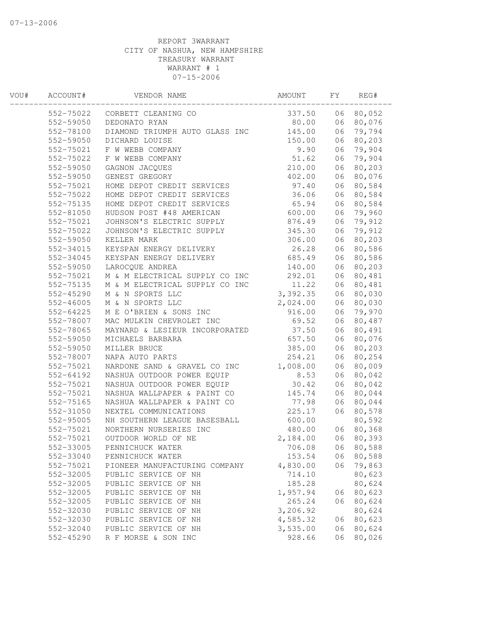| WOU# | ACCOUNT#      | VENDOR NAME                    | AMOUNT   | FΥ | REG#   |  |
|------|---------------|--------------------------------|----------|----|--------|--|
|      | 552-75022     | CORBETT CLEANING CO            | 337.50   | 06 | 80,052 |  |
|      | 552-59050     | DEDONATO RYAN                  | 80.00    | 06 | 80,076 |  |
|      | 552-78100     | DIAMOND TRIUMPH AUTO GLASS INC | 145.00   | 06 | 79,794 |  |
|      | 552-59050     | DICHARD LOUISE                 | 150.00   | 06 | 80,203 |  |
|      | 552-75021     | F W WEBB COMPANY               | 9.90     | 06 | 79,904 |  |
|      | 552-75022     | F W WEBB COMPANY               | 51.62    | 06 | 79,904 |  |
|      | 552-59050     | GAGNON JACQUES                 | 210.00   | 06 | 80,203 |  |
|      | 552-59050     | GENEST GREGORY                 | 402.00   | 06 | 80,076 |  |
|      | 552-75021     | HOME DEPOT CREDIT SERVICES     | 97.40    | 06 | 80,584 |  |
|      | 552-75022     | HOME DEPOT CREDIT SERVICES     | 36.06    | 06 | 80,584 |  |
|      | 552-75135     | HOME DEPOT CREDIT SERVICES     | 65.94    | 06 | 80,584 |  |
|      | 552-81050     | HUDSON POST #48 AMERICAN       | 600.00   | 06 | 79,960 |  |
|      | 552-75021     | JOHNSON'S ELECTRIC SUPPLY      | 876.49   | 06 | 79,912 |  |
|      | 552-75022     | JOHNSON'S ELECTRIC SUPPLY      | 345.30   | 06 | 79,912 |  |
|      | 552-59050     | KELLER MARK                    | 306.00   | 06 | 80,203 |  |
|      | 552-34015     | KEYSPAN ENERGY DELIVERY        | 26.28    | 06 | 80,586 |  |
|      | 552-34045     | KEYSPAN ENERGY DELIVERY        | 685.49   | 06 | 80,586 |  |
|      | 552-59050     | LAROCQUE ANDREA                | 140.00   | 06 | 80,203 |  |
|      | 552-75021     | M & M ELECTRICAL SUPPLY CO INC | 292.01   | 06 | 80,481 |  |
|      | 552-75135     | M & M ELECTRICAL SUPPLY CO INC | 11.22    | 06 | 80,481 |  |
|      | 552-45290     | M & N SPORTS LLC               | 3,392.35 | 06 | 80,030 |  |
|      | $552 - 46005$ | M & N SPORTS LLC               | 2,024.00 | 06 | 80,030 |  |
|      | 552-64225     | M E O'BRIEN & SONS INC         | 916.00   | 06 | 79,970 |  |
|      | 552-78007     | MAC MULKIN CHEVROLET INC       | 69.52    | 06 | 80,487 |  |
|      | 552-78065     | MAYNARD & LESIEUR INCORPORATED | 37.50    | 06 | 80,491 |  |
|      | 552-59050     | MICHAELS BARBARA               | 657.50   | 06 | 80,076 |  |
|      | 552-59050     | MILLER BRUCE                   | 385.00   | 06 | 80,203 |  |
|      | 552-78007     | NAPA AUTO PARTS                | 254.21   | 06 | 80,254 |  |
|      | 552-75021     | NARDONE SAND & GRAVEL CO INC   | 1,008.00 | 06 | 80,009 |  |
|      | 552-64192     | NASHUA OUTDOOR POWER EQUIP     | 8.53     | 06 | 80,042 |  |
|      | 552-75021     | NASHUA OUTDOOR POWER EQUIP     | 30.42    | 06 | 80,042 |  |
|      | 552-75021     | NASHUA WALLPAPER & PAINT CO    | 145.74   | 06 | 80,044 |  |
|      | 552-75165     | NASHUA WALLPAPER & PAINT CO    | 77.98    | 06 | 80,044 |  |
|      | 552-31050     | NEXTEL COMMUNICATIONS          | 225.17   | 06 | 80,578 |  |
|      | 552-95005     | NH SOUTHERN LEAGUE BASESBALL   | 600.00   |    | 80,592 |  |
|      | 552-75021     | NORTHERN NURSERIES INC         | 480.00   | 06 | 80,368 |  |
|      | 552-75021     | OUTDOOR WORLD OF NE            | 2,184.00 | 06 | 80,393 |  |
|      | 552-33005     | PENNICHUCK WATER               | 706.08   | 06 | 80,588 |  |
|      | 552-33040     | PENNICHUCK WATER               | 153.54   | 06 | 80,588 |  |
|      | 552-75021     | PIONEER MANUFACTURING COMPANY  | 4,830.00 | 06 | 79,863 |  |
|      | 552-32005     | PUBLIC SERVICE OF NH           | 714.10   |    | 80,623 |  |
|      | 552-32005     | PUBLIC SERVICE OF NH           | 185.28   |    | 80,624 |  |
|      | 552-32005     | PUBLIC SERVICE OF NH           | 1,957.94 | 06 | 80,623 |  |
|      | 552-32005     | PUBLIC SERVICE OF NH           | 265.24   | 06 | 80,624 |  |
|      | 552-32030     | PUBLIC SERVICE OF NH           | 3,206.92 |    | 80,624 |  |
|      | 552-32030     | PUBLIC SERVICE OF NH           | 4,585.32 | 06 | 80,623 |  |
|      | 552-32040     | PUBLIC SERVICE OF NH           | 3,535.00 | 06 | 80,624 |  |
|      | 552-45290     | R F MORSE & SON INC            | 928.66   | 06 | 80,026 |  |
|      |               |                                |          |    |        |  |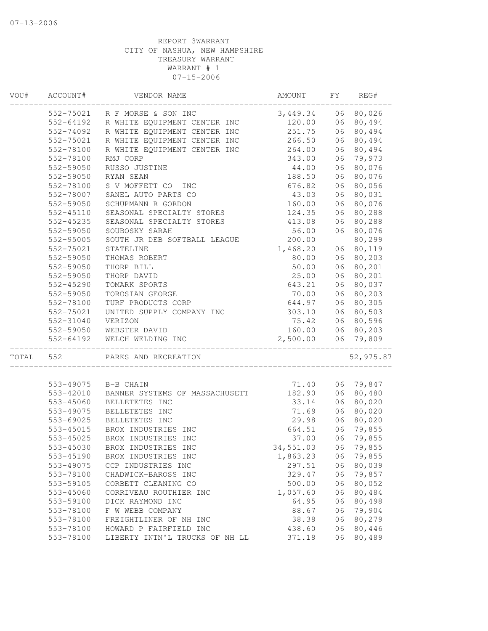| VOU#  | ACCOUNT#      | VENDOR NAME                    | AMOUNT    | FY | REG#      |
|-------|---------------|--------------------------------|-----------|----|-----------|
|       | 552-75021     | R F MORSE & SON INC            | 3,449.34  |    | 06 80,026 |
|       | 552-64192     | R WHITE EQUIPMENT CENTER INC   | 120.00    | 06 | 80,494    |
|       | 552-74092     | R WHITE EQUIPMENT CENTER INC   | 251.75    | 06 | 80,494    |
|       | 552-75021     | R WHITE EQUIPMENT CENTER INC   | 266.50    | 06 | 80,494    |
|       | 552-78100     | R WHITE EQUIPMENT CENTER INC   | 264.00    | 06 | 80,494    |
|       | 552-78100     | RMJ CORP                       | 343.00    | 06 | 79,973    |
|       | 552-59050     | RUSSO JUSTINE                  | 44.00     | 06 | 80,076    |
|       | 552-59050     | RYAN SEAN                      | 188.50    | 06 | 80,076    |
|       | 552-78100     | S V MOFFETT CO<br>INC          | 676.82    | 06 | 80,056    |
|       | 552-78007     | SANEL AUTO PARTS CO            | 43.03     | 06 | 80,031    |
|       | 552-59050     | SCHUPMANN R GORDON             | 160.00    | 06 | 80,076    |
|       | 552-45110     | SEASONAL SPECIALTY STORES      | 124.35    | 06 | 80,288    |
|       | 552-45235     | SEASONAL SPECIALTY STORES      | 413.08    | 06 | 80,288    |
|       | 552-59050     | SOUBOSKY SARAH                 | 56.00     |    | 06 80,076 |
|       | 552-95005     | SOUTH JR DEB SOFTBALL LEAGUE   | 200.00    |    | 80,299    |
|       | 552-75021     | STATELINE                      | 1,468.20  |    | 06 80,119 |
|       | 552-59050     | THOMAS ROBERT                  | 80.00     | 06 | 80,203    |
|       | 552-59050     | THORP BILL                     | 50.00     | 06 | 80,201    |
|       | 552-59050     | THORP DAVID                    | 25.00     | 06 | 80,201    |
|       | $552 - 45290$ | TOMARK SPORTS                  | 643.21    | 06 | 80,037    |
|       | 552-59050     | TOROSIAN GEORGE                | 70.00     | 06 | 80,203    |
|       | 552-78100     | TURF PRODUCTS CORP             | 644.97    | 06 | 80,305    |
|       | 552-75021     | UNITED SUPPLY COMPANY INC      | 303.10    | 06 | 80,503    |
|       | 552-31040     | VERIZON                        | 75.42     | 06 | 80,596    |
|       | 552-59050     | WEBSTER DAVID                  | 160.00    |    | 06 80,203 |
|       | 552-64192     | WELCH WELDING INC              | 2,500.00  |    | 06 79,809 |
| TOTAL | 552           | PARKS AND RECREATION           |           |    | 52,975.87 |
|       |               |                                |           |    |           |
|       | 553-49075     | B-B CHAIN                      | 71.40     |    | 06 79,847 |
|       | 553-42010     | BANNER SYSTEMS OF MASSACHUSETT | 182.90    | 06 | 80,480    |
|       | 553-45060     | BELLETETES INC                 | 33.14     | 06 | 80,020    |
|       | 553-49075     | BELLETETES INC                 | 71.69     | 06 | 80,020    |
|       | 553-69025     | BELLETETES INC                 | 29.98     | 06 | 80,020    |
|       | 553-45015     | BROX INDUSTRIES INC            | 664.51    | 06 | 79,855    |
|       | 553-45025     | BROX INDUSTRIES INC            | 37.00     | 06 | 79,855    |
|       | 553-45030     | BROX INDUSTRIES INC            | 34,551.03 | 06 | 79,855    |
|       | 553-45190     | BROX INDUSTRIES INC            | 1,863.23  | 06 | 79,855    |
|       | 553-49075     | CCP INDUSTRIES INC             | 297.51    | 06 | 80,039    |
|       | 553-78100     | CHADWICK-BAROSS INC            | 329.47    | 06 | 79,857    |
|       | 553-59105     | CORBETT CLEANING CO            | 500.00    | 06 | 80,052    |
|       | 553-45060     | CORRIVEAU ROUTHIER INC         | 1,057.60  | 06 | 80,484    |
|       | 553-59100     | DICK RAYMOND INC               | 64.95     | 06 | 80,498    |
|       | 553-78100     | F W WEBB COMPANY               | 88.67     | 06 | 79,904    |
|       | 553-78100     | FREIGHTLINER OF NH INC         | 38.38     | 06 | 80,279    |
|       | 553-78100     | HOWARD P FAIRFIELD INC         | 438.60    | 06 | 80,446    |
|       | 553-78100     | LIBERTY INTN'L TRUCKS OF NH LL | 371.18    | 06 | 80,489    |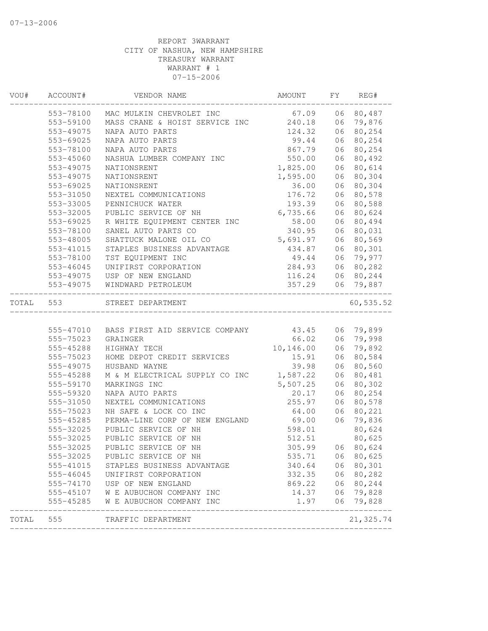| 67.09<br>553-78100<br>MAC MULKIN CHEVROLET INC<br>553-59100<br>MASS CRANE & HOIST SERVICE INC<br>240.18<br>553-49075<br>124.32<br>06<br>NAPA AUTO PARTS<br>NAPA AUTO PARTS<br>99.44<br>553-69025<br>867.79<br>553-78100<br>NAPA AUTO PARTS<br>553-45060<br>550.00<br>NASHUA LUMBER COMPANY INC<br>1,825.00<br>553-49075<br>NATIONSRENT<br>1,595.00<br>553-49075<br>NATIONSRENT<br>553-69025<br>NATIONSRENT<br>36.00<br>06<br>06<br>553-31050<br>NEXTEL COMMUNICATIONS<br>176.72<br>553-33005<br>PENNICHUCK WATER<br>193.39<br>6,735.66<br>06<br>553-32005<br>PUBLIC SERVICE OF NH<br>58.00<br>553-69025<br>R WHITE EQUIPMENT CENTER INC<br>553-78100<br>SANEL AUTO PARTS CO<br>340.95<br>553-48005<br>SHATTUCK MALONE OIL CO<br>5,691.97<br>STAPLES BUSINESS ADVANTAGE<br>434.87<br>553-41015<br>553-78100<br>TST EQUIPMENT INC<br>49.44<br>284.93<br>553-46045<br>UNIFIRST CORPORATION<br>06<br>553-49075<br>USP OF NEW ENGLAND<br>116.24<br>553-49075<br>WINDWARD PETROLEUM<br>357.29<br>TOTAL<br>553<br>STREET DEPARTMENT<br>43.45<br>555-47010 BASS FIRST AID SERVICE COMPANY<br>555-75023<br>66.02<br>GRAINGER<br>10,146.00<br>06<br>555-45288<br>HIGHWAY TECH<br>06<br>555-75023<br>HOME DEPOT CREDIT SERVICES<br>15.91<br>555-49075<br>HUSBAND WAYNE<br>39.98<br>1,587.22<br>555-45288<br>M & M ELECTRICAL SUPPLY CO INC<br>555-59170<br>5,507.25<br>MARKINGS INC<br>555-59320<br>NAPA AUTO PARTS<br>20.17<br>NEXTEL COMMUNICATIONS<br>255.97<br>555-31050<br>NH SAFE & LOCK CO INC<br>555-75023<br>64.00<br>PERMA-LINE CORP OF NEW ENGLAND<br>69.00<br>555-45285<br>PUBLIC SERVICE OF NH<br>555-32025<br>598.01<br>PUBLIC SERVICE OF NH<br>512.51<br>555-32025<br>555-32025<br>PUBLIC SERVICE OF NH<br>305.99<br>555-32025<br>535.71<br>PUBLIC SERVICE OF NH<br>340.64<br>555-41015<br>STAPLES BUSINESS ADVANTAGE<br>555-46045<br>UNIFIRST CORPORATION<br>332.35<br>869.22<br>555-74170<br>USP OF NEW ENGLAND<br>555-45107<br>W E AUBUCHON COMPANY INC<br>14.37 | REG#       |
|-------------------------------------------------------------------------------------------------------------------------------------------------------------------------------------------------------------------------------------------------------------------------------------------------------------------------------------------------------------------------------------------------------------------------------------------------------------------------------------------------------------------------------------------------------------------------------------------------------------------------------------------------------------------------------------------------------------------------------------------------------------------------------------------------------------------------------------------------------------------------------------------------------------------------------------------------------------------------------------------------------------------------------------------------------------------------------------------------------------------------------------------------------------------------------------------------------------------------------------------------------------------------------------------------------------------------------------------------------------------------------------------------------------------------------------------------------------------------------------------------------------------------------------------------------------------------------------------------------------------------------------------------------------------------------------------------------------------------------------------------------------------------------------------------------------------------------------------------------------------------------------------------------------------------------------------------------------------------|------------|
|                                                                                                                                                                                                                                                                                                                                                                                                                                                                                                                                                                                                                                                                                                                                                                                                                                                                                                                                                                                                                                                                                                                                                                                                                                                                                                                                                                                                                                                                                                                                                                                                                                                                                                                                                                                                                                                                                                                                                                         | 06 80,487  |
|                                                                                                                                                                                                                                                                                                                                                                                                                                                                                                                                                                                                                                                                                                                                                                                                                                                                                                                                                                                                                                                                                                                                                                                                                                                                                                                                                                                                                                                                                                                                                                                                                                                                                                                                                                                                                                                                                                                                                                         | 06 79,876  |
|                                                                                                                                                                                                                                                                                                                                                                                                                                                                                                                                                                                                                                                                                                                                                                                                                                                                                                                                                                                                                                                                                                                                                                                                                                                                                                                                                                                                                                                                                                                                                                                                                                                                                                                                                                                                                                                                                                                                                                         | 80,254     |
|                                                                                                                                                                                                                                                                                                                                                                                                                                                                                                                                                                                                                                                                                                                                                                                                                                                                                                                                                                                                                                                                                                                                                                                                                                                                                                                                                                                                                                                                                                                                                                                                                                                                                                                                                                                                                                                                                                                                                                         | 06 80,254  |
|                                                                                                                                                                                                                                                                                                                                                                                                                                                                                                                                                                                                                                                                                                                                                                                                                                                                                                                                                                                                                                                                                                                                                                                                                                                                                                                                                                                                                                                                                                                                                                                                                                                                                                                                                                                                                                                                                                                                                                         | 06 80,254  |
|                                                                                                                                                                                                                                                                                                                                                                                                                                                                                                                                                                                                                                                                                                                                                                                                                                                                                                                                                                                                                                                                                                                                                                                                                                                                                                                                                                                                                                                                                                                                                                                                                                                                                                                                                                                                                                                                                                                                                                         | 06 80,492  |
|                                                                                                                                                                                                                                                                                                                                                                                                                                                                                                                                                                                                                                                                                                                                                                                                                                                                                                                                                                                                                                                                                                                                                                                                                                                                                                                                                                                                                                                                                                                                                                                                                                                                                                                                                                                                                                                                                                                                                                         | 06 80,614  |
|                                                                                                                                                                                                                                                                                                                                                                                                                                                                                                                                                                                                                                                                                                                                                                                                                                                                                                                                                                                                                                                                                                                                                                                                                                                                                                                                                                                                                                                                                                                                                                                                                                                                                                                                                                                                                                                                                                                                                                         | 06 80,304  |
|                                                                                                                                                                                                                                                                                                                                                                                                                                                                                                                                                                                                                                                                                                                                                                                                                                                                                                                                                                                                                                                                                                                                                                                                                                                                                                                                                                                                                                                                                                                                                                                                                                                                                                                                                                                                                                                                                                                                                                         | 80,304     |
|                                                                                                                                                                                                                                                                                                                                                                                                                                                                                                                                                                                                                                                                                                                                                                                                                                                                                                                                                                                                                                                                                                                                                                                                                                                                                                                                                                                                                                                                                                                                                                                                                                                                                                                                                                                                                                                                                                                                                                         | 80,578     |
|                                                                                                                                                                                                                                                                                                                                                                                                                                                                                                                                                                                                                                                                                                                                                                                                                                                                                                                                                                                                                                                                                                                                                                                                                                                                                                                                                                                                                                                                                                                                                                                                                                                                                                                                                                                                                                                                                                                                                                         | 06 80,588  |
|                                                                                                                                                                                                                                                                                                                                                                                                                                                                                                                                                                                                                                                                                                                                                                                                                                                                                                                                                                                                                                                                                                                                                                                                                                                                                                                                                                                                                                                                                                                                                                                                                                                                                                                                                                                                                                                                                                                                                                         | 80,624     |
|                                                                                                                                                                                                                                                                                                                                                                                                                                                                                                                                                                                                                                                                                                                                                                                                                                                                                                                                                                                                                                                                                                                                                                                                                                                                                                                                                                                                                                                                                                                                                                                                                                                                                                                                                                                                                                                                                                                                                                         | 06 80,494  |
|                                                                                                                                                                                                                                                                                                                                                                                                                                                                                                                                                                                                                                                                                                                                                                                                                                                                                                                                                                                                                                                                                                                                                                                                                                                                                                                                                                                                                                                                                                                                                                                                                                                                                                                                                                                                                                                                                                                                                                         | 06 80,031  |
|                                                                                                                                                                                                                                                                                                                                                                                                                                                                                                                                                                                                                                                                                                                                                                                                                                                                                                                                                                                                                                                                                                                                                                                                                                                                                                                                                                                                                                                                                                                                                                                                                                                                                                                                                                                                                                                                                                                                                                         | 06 80,569  |
|                                                                                                                                                                                                                                                                                                                                                                                                                                                                                                                                                                                                                                                                                                                                                                                                                                                                                                                                                                                                                                                                                                                                                                                                                                                                                                                                                                                                                                                                                                                                                                                                                                                                                                                                                                                                                                                                                                                                                                         | 06 80,301  |
|                                                                                                                                                                                                                                                                                                                                                                                                                                                                                                                                                                                                                                                                                                                                                                                                                                                                                                                                                                                                                                                                                                                                                                                                                                                                                                                                                                                                                                                                                                                                                                                                                                                                                                                                                                                                                                                                                                                                                                         | 06 79,977  |
|                                                                                                                                                                                                                                                                                                                                                                                                                                                                                                                                                                                                                                                                                                                                                                                                                                                                                                                                                                                                                                                                                                                                                                                                                                                                                                                                                                                                                                                                                                                                                                                                                                                                                                                                                                                                                                                                                                                                                                         | 80,282     |
|                                                                                                                                                                                                                                                                                                                                                                                                                                                                                                                                                                                                                                                                                                                                                                                                                                                                                                                                                                                                                                                                                                                                                                                                                                                                                                                                                                                                                                                                                                                                                                                                                                                                                                                                                                                                                                                                                                                                                                         | 06 80,244  |
|                                                                                                                                                                                                                                                                                                                                                                                                                                                                                                                                                                                                                                                                                                                                                                                                                                                                                                                                                                                                                                                                                                                                                                                                                                                                                                                                                                                                                                                                                                                                                                                                                                                                                                                                                                                                                                                                                                                                                                         | 06 79,887  |
|                                                                                                                                                                                                                                                                                                                                                                                                                                                                                                                                                                                                                                                                                                                                                                                                                                                                                                                                                                                                                                                                                                                                                                                                                                                                                                                                                                                                                                                                                                                                                                                                                                                                                                                                                                                                                                                                                                                                                                         | 60, 535.52 |
|                                                                                                                                                                                                                                                                                                                                                                                                                                                                                                                                                                                                                                                                                                                                                                                                                                                                                                                                                                                                                                                                                                                                                                                                                                                                                                                                                                                                                                                                                                                                                                                                                                                                                                                                                                                                                                                                                                                                                                         |            |
|                                                                                                                                                                                                                                                                                                                                                                                                                                                                                                                                                                                                                                                                                                                                                                                                                                                                                                                                                                                                                                                                                                                                                                                                                                                                                                                                                                                                                                                                                                                                                                                                                                                                                                                                                                                                                                                                                                                                                                         | 06 79,899  |
|                                                                                                                                                                                                                                                                                                                                                                                                                                                                                                                                                                                                                                                                                                                                                                                                                                                                                                                                                                                                                                                                                                                                                                                                                                                                                                                                                                                                                                                                                                                                                                                                                                                                                                                                                                                                                                                                                                                                                                         | 06 79,998  |
|                                                                                                                                                                                                                                                                                                                                                                                                                                                                                                                                                                                                                                                                                                                                                                                                                                                                                                                                                                                                                                                                                                                                                                                                                                                                                                                                                                                                                                                                                                                                                                                                                                                                                                                                                                                                                                                                                                                                                                         | 79,892     |
|                                                                                                                                                                                                                                                                                                                                                                                                                                                                                                                                                                                                                                                                                                                                                                                                                                                                                                                                                                                                                                                                                                                                                                                                                                                                                                                                                                                                                                                                                                                                                                                                                                                                                                                                                                                                                                                                                                                                                                         | 80,584     |
|                                                                                                                                                                                                                                                                                                                                                                                                                                                                                                                                                                                                                                                                                                                                                                                                                                                                                                                                                                                                                                                                                                                                                                                                                                                                                                                                                                                                                                                                                                                                                                                                                                                                                                                                                                                                                                                                                                                                                                         | 06 80,560  |
|                                                                                                                                                                                                                                                                                                                                                                                                                                                                                                                                                                                                                                                                                                                                                                                                                                                                                                                                                                                                                                                                                                                                                                                                                                                                                                                                                                                                                                                                                                                                                                                                                                                                                                                                                                                                                                                                                                                                                                         | 06 80,481  |
|                                                                                                                                                                                                                                                                                                                                                                                                                                                                                                                                                                                                                                                                                                                                                                                                                                                                                                                                                                                                                                                                                                                                                                                                                                                                                                                                                                                                                                                                                                                                                                                                                                                                                                                                                                                                                                                                                                                                                                         | 06 80,302  |
|                                                                                                                                                                                                                                                                                                                                                                                                                                                                                                                                                                                                                                                                                                                                                                                                                                                                                                                                                                                                                                                                                                                                                                                                                                                                                                                                                                                                                                                                                                                                                                                                                                                                                                                                                                                                                                                                                                                                                                         | 06 80,254  |
|                                                                                                                                                                                                                                                                                                                                                                                                                                                                                                                                                                                                                                                                                                                                                                                                                                                                                                                                                                                                                                                                                                                                                                                                                                                                                                                                                                                                                                                                                                                                                                                                                                                                                                                                                                                                                                                                                                                                                                         | 06 80,578  |
|                                                                                                                                                                                                                                                                                                                                                                                                                                                                                                                                                                                                                                                                                                                                                                                                                                                                                                                                                                                                                                                                                                                                                                                                                                                                                                                                                                                                                                                                                                                                                                                                                                                                                                                                                                                                                                                                                                                                                                         | 06 80,221  |
|                                                                                                                                                                                                                                                                                                                                                                                                                                                                                                                                                                                                                                                                                                                                                                                                                                                                                                                                                                                                                                                                                                                                                                                                                                                                                                                                                                                                                                                                                                                                                                                                                                                                                                                                                                                                                                                                                                                                                                         | 06 79,836  |
|                                                                                                                                                                                                                                                                                                                                                                                                                                                                                                                                                                                                                                                                                                                                                                                                                                                                                                                                                                                                                                                                                                                                                                                                                                                                                                                                                                                                                                                                                                                                                                                                                                                                                                                                                                                                                                                                                                                                                                         | 80,624     |
|                                                                                                                                                                                                                                                                                                                                                                                                                                                                                                                                                                                                                                                                                                                                                                                                                                                                                                                                                                                                                                                                                                                                                                                                                                                                                                                                                                                                                                                                                                                                                                                                                                                                                                                                                                                                                                                                                                                                                                         | 80,625     |
|                                                                                                                                                                                                                                                                                                                                                                                                                                                                                                                                                                                                                                                                                                                                                                                                                                                                                                                                                                                                                                                                                                                                                                                                                                                                                                                                                                                                                                                                                                                                                                                                                                                                                                                                                                                                                                                                                                                                                                         | 06 80,624  |
|                                                                                                                                                                                                                                                                                                                                                                                                                                                                                                                                                                                                                                                                                                                                                                                                                                                                                                                                                                                                                                                                                                                                                                                                                                                                                                                                                                                                                                                                                                                                                                                                                                                                                                                                                                                                                                                                                                                                                                         | 06 80,625  |
|                                                                                                                                                                                                                                                                                                                                                                                                                                                                                                                                                                                                                                                                                                                                                                                                                                                                                                                                                                                                                                                                                                                                                                                                                                                                                                                                                                                                                                                                                                                                                                                                                                                                                                                                                                                                                                                                                                                                                                         | 06 80,301  |
|                                                                                                                                                                                                                                                                                                                                                                                                                                                                                                                                                                                                                                                                                                                                                                                                                                                                                                                                                                                                                                                                                                                                                                                                                                                                                                                                                                                                                                                                                                                                                                                                                                                                                                                                                                                                                                                                                                                                                                         | 06 80,282  |
|                                                                                                                                                                                                                                                                                                                                                                                                                                                                                                                                                                                                                                                                                                                                                                                                                                                                                                                                                                                                                                                                                                                                                                                                                                                                                                                                                                                                                                                                                                                                                                                                                                                                                                                                                                                                                                                                                                                                                                         | 06 80,244  |
|                                                                                                                                                                                                                                                                                                                                                                                                                                                                                                                                                                                                                                                                                                                                                                                                                                                                                                                                                                                                                                                                                                                                                                                                                                                                                                                                                                                                                                                                                                                                                                                                                                                                                                                                                                                                                                                                                                                                                                         | 06 79,828  |
| 555-45285<br>1.97<br>W E AUBUCHON COMPANY INC                                                                                                                                                                                                                                                                                                                                                                                                                                                                                                                                                                                                                                                                                                                                                                                                                                                                                                                                                                                                                                                                                                                                                                                                                                                                                                                                                                                                                                                                                                                                                                                                                                                                                                                                                                                                                                                                                                                           | 06 79,828  |
| 555<br>TOTAL<br>TRAFFIC DEPARTMENT                                                                                                                                                                                                                                                                                                                                                                                                                                                                                                                                                                                                                                                                                                                                                                                                                                                                                                                                                                                                                                                                                                                                                                                                                                                                                                                                                                                                                                                                                                                                                                                                                                                                                                                                                                                                                                                                                                                                      | 21, 325.74 |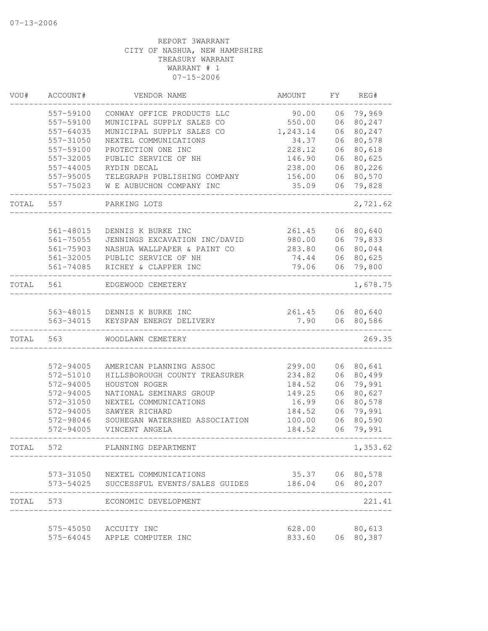| VOU#  | ACCOUNT#  | VENDOR NAME                              | AMOUNT           | FΥ | REG#            |
|-------|-----------|------------------------------------------|------------------|----|-----------------|
|       | 557-59100 | CONWAY OFFICE PRODUCTS LLC               | 90.00            | 06 | 79,969          |
|       | 557-59100 | MUNICIPAL SUPPLY SALES CO                | 550.00           | 06 | 80,247          |
|       | 557-64035 | MUNICIPAL SUPPLY SALES CO                | 1,243.14         | 06 | 80,247          |
|       | 557-31050 | NEXTEL COMMUNICATIONS                    | 34.37            | 06 | 80,578          |
|       | 557-59100 | PROTECTION ONE INC                       | 228.12           | 06 | 80,618          |
|       | 557-32005 | PUBLIC SERVICE OF NH                     | 146.90           | 06 | 80,625          |
|       | 557-44005 | RYDIN DECAL                              | 238.00           | 06 | 80,226          |
|       | 557-95005 | TELEGRAPH PUBLISHING COMPANY             | 156.00           | 06 | 80,570          |
|       | 557-75023 | W E AUBUCHON COMPANY INC                 | 35.09            | 06 | 79,828          |
| TOTAL | 557       | PARKING LOTS                             |                  |    | 2,721.62        |
|       | 561-48015 | DENNIS K BURKE INC                       | 261.45           |    | 06 80,640       |
|       | 561-75055 | JENNINGS EXCAVATION INC/DAVID            | 980.00           | 06 | 79,833          |
|       | 561-75903 | NASHUA WALLPAPER & PAINT CO              | 283.80           | 06 | 80,044          |
|       | 561-32005 | PUBLIC SERVICE OF NH                     | 74.44            | 06 | 80,625          |
|       | 561-74085 | RICHEY & CLAPPER INC                     | 79.06            | 06 | 79,800          |
| TOTAL | 561       | EDGEWOOD CEMETERY                        |                  |    | 1,678.75        |
|       |           |                                          |                  |    |                 |
|       |           | 563-48015 DENNIS K BURKE INC             | 261.45           |    | 06 80,640       |
|       | 563-34015 | KEYSPAN ENERGY DELIVERY                  | 7.90             | 06 | 80,586          |
| TOTAL | 563       | WOODLAWN CEMETERY                        |                  |    | 269.35          |
|       |           |                                          |                  |    |                 |
|       | 572-94005 | AMERICAN PLANNING ASSOC                  | 299.00           | 06 | 80,641          |
|       | 572-51010 | HILLSBOROUGH COUNTY TREASURER            | 234.82           | 06 | 80,499          |
|       | 572-94005 | HOUSTON ROGER                            | 184.52           | 06 | 79,991          |
|       | 572-94005 | NATIONAL SEMINARS GROUP                  | 149.25           | 06 | 80,627          |
|       | 572-31050 | NEXTEL COMMUNICATIONS                    | 16.99            | 06 | 80,578          |
|       | 572-94005 | SAWYER RICHARD                           | 184.52           | 06 | 79,991          |
|       | 572-98046 | SOUHEGAN WATERSHED ASSOCIATION           | 100.00           | 06 | 80,590          |
|       | 572-94005 | VINCENT ANGELA                           | 184.52           | 06 | 79,991          |
| TOTAL | 572       | PLANNING DEPARTMENT                      |                  |    | 1,353.62        |
|       |           | 573-31050 NEXTEL COMMUNICATIONS          |                  |    | 35.37 06 80,578 |
|       |           | 573-54025 SUCCESSFUL EVENTS/SALES GUIDES | 186.04 06 80,207 |    |                 |
| TOTAL | 573       | ECONOMIC DEVELOPMENT                     |                  |    | 221.41          |
|       |           | 575-45050 ACCUITY INC                    | 628.00           |    | 80,613          |
|       |           | 575-64045 APPLE COMPUTER INC             | 833.60           |    | 06 80,387       |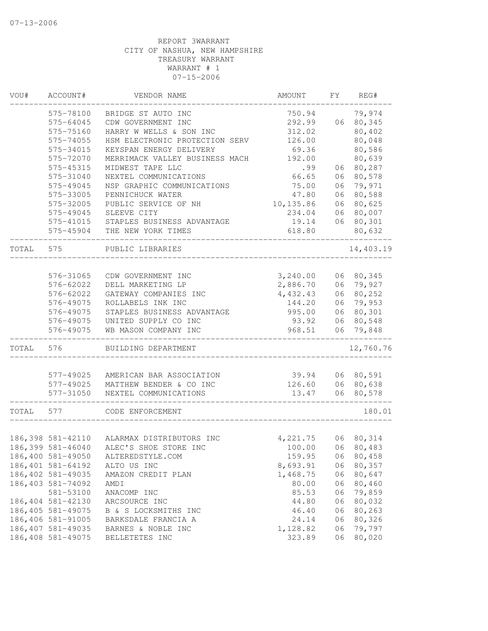| VOU#  | ACCOUNT#           | VENDOR NAME                    | AMOUNT     | FΥ | REG#       |
|-------|--------------------|--------------------------------|------------|----|------------|
|       | 575-78100          | BRIDGE ST AUTO INC             | 750.94     |    | 79,974     |
|       | 575-64045          | CDW GOVERNMENT INC             | 292.99     | 06 | 80,345     |
|       | 575-75160          | HARRY W WELLS & SON INC        | 312.02     |    | 80,402     |
|       | 575-74055          | HSM ELECTRONIC PROTECTION SERV | 126.00     |    | 80,048     |
|       | 575-34015          | KEYSPAN ENERGY DELIVERY        | 69.36      |    | 80,586     |
|       | 575-72070          | MERRIMACK VALLEY BUSINESS MACH | 192.00     |    | 80,639     |
|       | 575-45315          | MIDWEST TAPE LLC               | .99        | 06 | 80,287     |
|       | 575-31040          | NEXTEL COMMUNICATIONS          | 66.65      | 06 | 80,578     |
|       | 575-49045          | NSP GRAPHIC COMMUNICATIONS     | 75.00      | 06 | 79,971     |
|       | 575-33005          | PENNICHUCK WATER               | 47.80      | 06 | 80,588     |
|       | 575-32005          | PUBLIC SERVICE OF NH           | 10, 135.86 | 06 | 80,625     |
|       | 575-49045          | SLEEVE CITY                    | 234.04     | 06 | 80,007     |
|       | 575-41015          | STAPLES BUSINESS ADVANTAGE     | 19.14      |    | 06 80,301  |
|       | 575-45904          | THE NEW YORK TIMES             | 618.80     |    | 80,632     |
| TOTAL | 575                | PUBLIC LIBRARIES               |            |    | 14,403.19  |
|       |                    |                                |            |    |            |
|       | 576-31065          | CDW GOVERNMENT INC             | 3,240.00   |    | 06 80,345  |
|       | 576-62022          | DELL MARKETING LP              | 2,886.70   | 06 | 79,927     |
|       | 576-62022          | GATEWAY COMPANIES INC          | 4,432.43   | 06 | 80,252     |
|       | 576-49075          | ROLLABELS INK INC              | 144.20     | 06 | 79,953     |
|       | 576-49075          | STAPLES BUSINESS ADVANTAGE     | 995.00     | 06 | 80,301     |
|       | 576-49075          | UNITED SUPPLY CO INC           | 93.92      | 06 | 80,548     |
|       | 576-49075          | WB MASON COMPANY INC           | 968.51     | 06 | 79,848     |
| TOTAL | 576                | BUILDING DEPARTMENT            |            |    | 12,760.76  |
|       |                    |                                |            |    |            |
|       | 577-49025          | AMERICAN BAR ASSOCIATION       | 39.94      |    | 06 80,591  |
|       | 577-49025          | MATTHEW BENDER & CO INC        | 126.60     |    | 06 80,638  |
|       | 577-31050          | NEXTEL COMMUNICATIONS          | 13.47      | 06 | 80,578     |
| TOTAL | 577                | CODE ENFORCEMENT               |            |    | 180.01     |
|       |                    |                                |            |    |            |
|       | 186,398 581-42110  | ALARMAX DISTRIBUTORS INC       | 4,221.75   |    | 06 80, 314 |
|       | 186,399 581-46040  | ALEC'S SHOE STORE INC          | 100.00     |    | 06 80,483  |
|       | 186,400 581-49050  | ALTEREDSTYLE.COM               | 159.95     | 06 | 80,458     |
|       | 186, 401 581-64192 | ALTO US INC                    | 8,693.91   | 06 | 80,357     |
|       | 186,402 581-49035  | AMAZON CREDIT PLAN             | 1,468.75   | 06 | 80,647     |
|       | 186,403 581-74092  | <b>AMDI</b>                    | 80.00      | 06 | 80,460     |
|       | 581-53100          | ANACOMP INC                    | 85.53      | 06 | 79,859     |
|       | 186,404 581-42130  | ARCSOURCE INC                  | 44.80      | 06 | 80,032     |
|       | 186, 405 581-49075 | B & S LOCKSMITHS INC           | 46.40      | 06 | 80,263     |
|       | 186,406 581-91005  | BARKSDALE FRANCIA A            | 24.14      | 06 | 80,326     |
|       | 186, 407 581-49035 | BARNES & NOBLE INC             | 1,128.82   | 06 | 79,797     |
|       | 186,408 581-49075  | BELLETETES INC                 | 323.89     | 06 | 80,020     |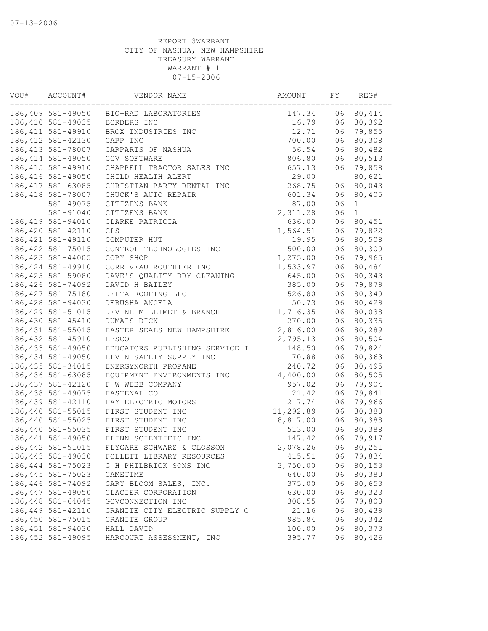| VOU# | ACCOUNT#           | VENDOR NAME                                               | AMOUNT    | FΥ       | REG#   |
|------|--------------------|-----------------------------------------------------------|-----------|----------|--------|
|      |                    | 186,409 581-49050 BIO-RAD LABORATORIES                    | 147.34    | 06       | 80,414 |
|      | 186,410 581-49035  | BORDERS INC                                               | 16.79     | 06       | 80,392 |
|      | 186, 411 581-49910 | BROX INDUSTRIES INC                                       | 12.71     | 06       | 79,855 |
|      | 186, 412 581-42130 | CAPP INC                                                  | 700.00    | 06       | 80,308 |
|      | 186, 413 581-78007 | CARPARTS OF NASHUA                                        | 56.54     | 06       | 80,482 |
|      | 186, 414 581-49050 | CCV SOFTWARE                                              | 806.80    | 06       | 80,513 |
|      | 186, 415 581-49910 | CHAPPELL TRACTOR SALES INC                                | 657.13    | 06       | 79,858 |
|      | 186, 416 581-49050 | CHILD HEALTH ALERT                                        | 29.00     |          | 80,621 |
|      | 186, 417 581-63085 | CHRISTIAN PARTY RENTAL INC                                | 268.75    | 06       | 80,043 |
|      | 186,418 581-78007  | CHUCK'S AUTO REPAIR                                       | 601.34    | 06       | 80,405 |
|      | 581-49075          | CITIZENS BANK                                             | 87.00     | 06       | 1      |
|      | 581-91040          | CITIZENS BANK                                             | 2,311.28  | 06       | 1      |
|      | 186, 419 581-94010 | CLARKE PATRICIA                                           | 636.00    | 06       | 80,451 |
|      | 186,420 581-42110  | CLS                                                       | 1,564.51  | 06       | 79,822 |
|      | 186, 421 581-49110 | COMPUTER HUT                                              | 19.95     | 06       | 80,508 |
|      | 186, 422 581-75015 | CONTROL TECHNOLOGIES INC                                  | 500.00    | 06       | 80,309 |
|      | 186, 423 581-44005 | COPY SHOP                                                 | 1,275.00  | 06       | 79,965 |
|      | 186, 424 581-49910 | CORRIVEAU ROUTHIER INC                                    | 1,533.97  | 06       | 80,484 |
|      | 186,425 581-59080  | DAVE'S QUALITY DRY CLEANING                               | 645.00    | 06       | 80,343 |
|      | 186,426 581-74092  | DAVID H BAILEY                                            | 385.00    | 06       | 79,879 |
|      | 186, 427 581-75180 | DELTA ROOFING LLC                                         | 526.80    | 06       | 80,349 |
|      | 186,428 581-94030  | DERUSHA ANGELA                                            | 50.73     | 06       | 80,429 |
|      | 186, 429 581-51015 | DEVINE MILLIMET & BRANCH                                  | 1,716.35  | 06       | 80,038 |
|      | 186,430 581-45410  | DUMAIS DICK                                               | 270.00    | 06       | 80,335 |
|      | 186, 431 581-55015 | EASTER SEALS NEW HAMPSHIRE                                | 2,816.00  | 06       | 80,289 |
|      | 186, 432 581-45910 | EBSCO                                                     | 2,795.13  | 06       | 80,504 |
|      | 186, 433 581-49050 |                                                           | 148.50    | 06       | 79,824 |
|      | 186,434 581-49050  | EDUCATORS PUBLISHING SERVICE I<br>ELVIN SAFETY SUPPLY INC | 70.88     | 06       | 80,363 |
|      | 186, 435 581-34015 |                                                           |           |          |        |
|      | 186,436 581-63085  | ENERGYNORTH PROPANE                                       | 240.72    | 06<br>06 | 80,495 |
|      |                    | EQUIPMENT ENVIRONMENTS INC                                | 4,400.00  |          | 80,505 |
|      | 186, 437 581-42120 | F W WEBB COMPANY                                          | 957.02    | 06       | 79,904 |
|      | 186, 438 581-49075 | FASTENAL CO                                               | 21.42     | 06       | 79,841 |
|      | 186, 439 581-42110 | FAY ELECTRIC MOTORS                                       | 217.74    | 06       | 79,966 |
|      | 186,440 581-55015  | FIRST STUDENT INC                                         | 11,292.89 | 06       | 80,388 |
|      | 186,440 581-55025  | FIRST STUDENT INC                                         | 8,817.00  | 06       | 80,388 |
|      | 186,440 581-55035  | FIRST STUDENT INC                                         | 513.00    | 06       | 80,388 |
|      | 186, 441 581-49050 | FLINN SCIENTIFIC INC                                      | 147.42    | 06       | 79,917 |
|      | 186, 442 581-51015 | FLYGARE SCHWARZ & CLOSSON                                 | 2,078.26  | 06       | 80,251 |
|      | 186, 443 581-49030 | FOLLETT LIBRARY RESOURCES                                 | 415.51    | 06       | 79,834 |
|      | 186, 444 581-75023 | G H PHILBRICK SONS INC                                    | 3,750.00  | 06       | 80,153 |
|      | 186, 445 581-75023 | GAMETIME                                                  | 640.00    | 06       | 80,380 |
|      | 186, 446 581-74092 | GARY BLOOM SALES, INC.                                    | 375.00    | 06       | 80,653 |
|      | 186, 447 581-49050 | GLACIER CORPORATION                                       | 630.00    | 06       | 80,323 |
|      | 186,448 581-64045  | GOVCONNECTION INC                                         | 308.55    | 06       | 79,803 |
|      | 186,449 581-42110  | GRANITE CITY ELECTRIC SUPPLY C                            | 21.16     | 06       | 80,439 |
|      | 186,450 581-75015  | GRANITE GROUP                                             | 985.84    | 06       | 80,342 |
|      | 186, 451 581-94030 | HALL DAVID                                                | 100.00    | 06       | 80,373 |
|      | 186, 452 581-49095 | HARCOURT ASSESSMENT, INC                                  | 395.77    | 06       | 80,426 |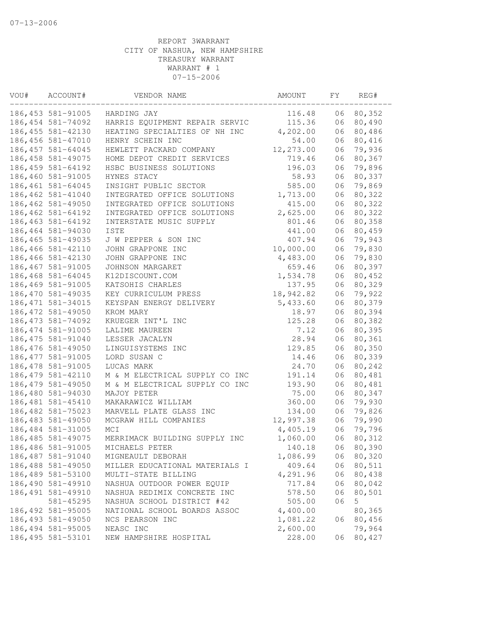| VOU# | ACCOUNT#           | VENDOR NAME                    | AMOUNT    | FΥ | REG#   |
|------|--------------------|--------------------------------|-----------|----|--------|
|      | 186,453 581-91005  | HARDING JAY                    | 116.48    | 06 | 80,352 |
|      | 186,454 581-74092  | HARRIS EQUIPMENT REPAIR SERVIC | 115.36    | 06 | 80,490 |
|      | 186, 455 581-42130 | HEATING SPECIALTIES OF NH INC  | 4,202.00  | 06 | 80,486 |
|      | 186, 456 581-47010 | HENRY SCHEIN INC               | 54.00     | 06 | 80,416 |
|      | 186, 457 581-64045 | HEWLETT PACKARD COMPANY        | 12,273.00 | 06 | 79,936 |
|      | 186, 458 581-49075 | HOME DEPOT CREDIT SERVICES     | 719.46    | 06 | 80,367 |
|      | 186, 459 581-64192 | HSBC BUSINESS SOLUTIONS        | 196.03    | 06 | 79,896 |
|      | 186,460 581-91005  | HYNES STACY                    | 58.93     | 06 | 80,337 |
|      | 186,461 581-64045  | INSIGHT PUBLIC SECTOR          | 585.00    | 06 | 79,869 |
|      | 186,462 581-41040  | INTEGRATED OFFICE SOLUTIONS    | 1,713.00  | 06 | 80,322 |
|      | 186,462 581-49050  | INTEGRATED OFFICE SOLUTIONS    | 415.00    | 06 | 80,322 |
|      | 186,462 581-64192  | INTEGRATED OFFICE SOLUTIONS    | 2,625.00  | 06 | 80,322 |
|      | 186, 463 581-64192 | INTERSTATE MUSIC SUPPLY        | 801.46    | 06 | 80,358 |
|      | 186,464 581-94030  | <b>ISTE</b>                    | 441.00    | 06 | 80,459 |
|      | 186, 465 581-49035 | J W PEPPER & SON INC           | 407.94    | 06 | 79,943 |
|      | 186,466 581-42110  | JOHN GRAPPONE INC              | 10,000.00 | 06 | 79,830 |
|      | 186,466 581-42130  | JOHN GRAPPONE INC              | 4,483.00  | 06 | 79,830 |
|      | 186,467 581-91005  | JOHNSON MARGARET               | 659.46    | 06 | 80,397 |
|      | 186,468 581-64045  | K12DISCOUNT.COM                | 1,534.78  | 06 | 80,452 |
|      | 186,469 581-91005  | KATSOHIS CHARLES               | 137.95    | 06 | 80,329 |
|      | 186,470 581-49035  | KEY CURRICULUM PRESS           | 18,942.82 | 06 | 79,922 |
|      | 186, 471 581-34015 | KEYSPAN ENERGY DELIVERY        | 5,433.60  | 06 | 80,379 |
|      | 186, 472 581-49050 | KROM MARY                      | 18.97     | 06 | 80,394 |
|      | 186, 473 581-74092 | KRUEGER INT'L INC              | 125.28    | 06 | 80,382 |
|      | 186, 474 581-91005 | LALIME MAUREEN                 | 7.12      | 06 | 80,395 |
|      | 186, 475 581-91040 | LESSER JACALYN                 | 28.94     | 06 | 80,361 |
|      | 186,476 581-49050  | LINGUISYSTEMS INC              | 129.85    | 06 | 80,350 |
|      | 186, 477 581-91005 | LORD SUSAN C                   | 14.46     | 06 | 80,339 |
|      | 186,478 581-91005  | LUCAS MARK                     | 24.70     | 06 | 80,242 |
|      | 186, 479 581-42110 | M & M ELECTRICAL SUPPLY CO INC | 191.14    | 06 | 80,481 |
|      | 186,479 581-49050  | M & M ELECTRICAL SUPPLY CO INC | 193.90    | 06 | 80,481 |
|      | 186,480 581-94030  | MAJOY PETER                    | 75.00     | 06 | 80,347 |
|      | 186, 481 581-45410 | MAKARAWICZ WILLIAM             | 360.00    | 06 | 79,930 |
|      | 186,482 581-75023  | MARVELL PLATE GLASS INC        | 134.00    | 06 | 79,826 |
|      | 186,483 581-49050  | MCGRAW HILL COMPANIES          | 12,997.38 | 06 | 79,990 |
|      | 186,484 581-31005  | MCI                            | 4,405.19  | 06 | 79,796 |
|      | 186, 485 581-49075 | MERRIMACK BUILDING SUPPLY INC  | 1,060.00  | 06 | 80,312 |
|      | 186,486 581-91005  | MICHAELS PETER                 | 140.18    | 06 | 80,390 |
|      | 186, 487 581-91040 | MIGNEAULT DEBORAH              | 1,086.99  | 06 | 80,320 |
|      | 186,488 581-49050  | MILLER EDUCATIONAL MATERIALS I | 409.64    | 06 | 80,511 |
|      | 186,489 581-53100  | MULTI-STATE BILLING            | 4,291.96  | 06 | 80,438 |
|      | 186,490 581-49910  | NASHUA OUTDOOR POWER EQUIP     | 717.84    | 06 | 80,042 |
|      | 186, 491 581-49910 | NASHUA REDIMIX CONCRETE INC    | 578.50    | 06 | 80,501 |
|      | 581-45295          | NASHUA SCHOOL DISTRICT #42     | 505.00    | 06 | 5      |
|      | 186, 492 581-95005 | NATIONAL SCHOOL BOARDS ASSOC   | 4,400.00  |    | 80,365 |
|      | 186, 493 581-49050 | NCS PEARSON INC                | 1,081.22  | 06 | 80,456 |
|      | 186,494 581-95005  | NEASC INC                      | 2,600.00  |    | 79,964 |
|      | 186, 495 581-53101 | NEW HAMPSHIRE HOSPITAL         | 228.00    | 06 | 80,427 |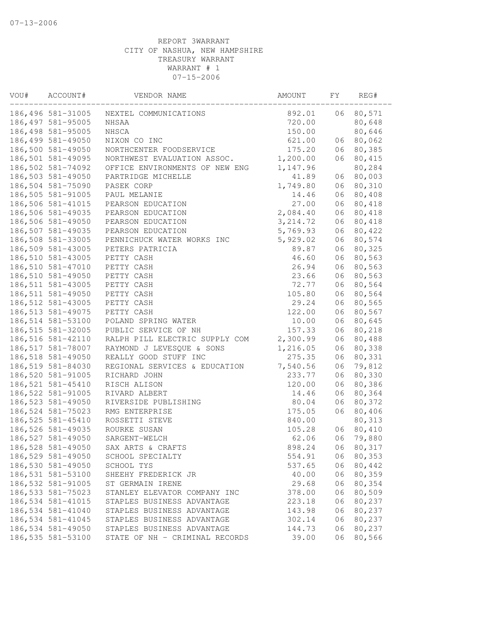| VOU# | ACCOUNT#           | VENDOR NAME                    | AMOUNT    | FΥ | REG#   |
|------|--------------------|--------------------------------|-----------|----|--------|
|      | 186,496 581-31005  | NEXTEL COMMUNICATIONS          | 892.01    | 06 | 80,571 |
|      | 186, 497 581-95005 | NHSAA                          | 720.00    |    | 80,648 |
|      | 186,498 581-95005  | NHSCA                          | 150.00    |    | 80,646 |
|      | 186,499 581-49050  | NIXON CO INC                   | 621.00    | 06 | 80,062 |
|      | 186,500 581-49050  | NORTHCENTER FOODSERVICE        | 175.20    | 06 | 80,385 |
|      | 186,501 581-49095  | NORTHWEST EVALUATION ASSOC.    | 1,200.00  | 06 | 80,415 |
|      | 186,502 581-74092  | OFFICE ENVIRONMENTS OF NEW ENG | 1,147.96  |    | 80,284 |
|      | 186,503 581-49050  | PARTRIDGE MICHELLE             | 41.89     | 06 | 80,003 |
|      | 186,504 581-75090  | PASEK CORP                     | 1,749.80  | 06 | 80,310 |
|      | 186,505 581-91005  | PAUL MELANIE                   | 14.46     | 06 | 80,408 |
|      | 186,506 581-41015  | PEARSON EDUCATION              | 27.00     | 06 | 80,418 |
|      | 186,506 581-49035  | PEARSON EDUCATION              | 2,084.40  | 06 | 80,418 |
|      | 186,506 581-49050  | PEARSON EDUCATION              | 3, 214.72 | 06 | 80,418 |
|      | 186,507 581-49035  | PEARSON EDUCATION              | 5,769.93  | 06 | 80,422 |
|      | 186,508 581-33005  | PENNICHUCK WATER WORKS INC     | 5,929.02  | 06 | 80,574 |
|      | 186,509 581-43005  | PETERS PATRICIA                | 89.87     | 06 | 80,325 |
|      | 186,510 581-43005  | PETTY CASH                     | 46.60     | 06 | 80,563 |
|      | 186,510 581-47010  | PETTY CASH                     | 26.94     | 06 | 80,563 |
|      | 186,510 581-49050  | PETTY CASH                     | 23.66     | 06 | 80,563 |
|      | 186, 511 581-43005 | PETTY CASH                     | 72.77     | 06 | 80,564 |
|      | 186, 511 581-49050 | PETTY CASH                     | 105.80    | 06 | 80,564 |
|      | 186, 512 581-43005 | PETTY CASH                     | 29.24     | 06 | 80,565 |
|      | 186, 513 581-49075 | PETTY CASH                     | 122.00    | 06 | 80,567 |
|      | 186,514 581-53100  | POLAND SPRING WATER            | 10.00     | 06 | 80,645 |
|      | 186, 515 581-32005 | PUBLIC SERVICE OF NH           | 157.33    | 06 | 80,218 |
|      | 186,516 581-42110  | RALPH PILL ELECTRIC SUPPLY COM | 2,300.99  | 06 | 80,488 |
|      | 186,517 581-78007  | RAYMOND J LEVESQUE & SONS      | 1,216.05  | 06 | 80,338 |
|      | 186,518 581-49050  | REALLY GOOD STUFF INC          | 275.35    | 06 | 80,331 |
|      | 186,519 581-84030  | REGIONAL SERVICES & EDUCATION  | 7,540.56  | 06 | 79,812 |
|      | 186,520 581-91005  | RICHARD JOHN                   | 233.77    | 06 | 80,330 |
|      | 186, 521 581-45410 | RISCH ALISON                   | 120.00    | 06 | 80,386 |
|      | 186, 522 581-91005 | RIVARD ALBERT                  | 14.46     | 06 | 80,364 |
|      | 186, 523 581-49050 | RIVERSIDE PUBLISHING           | 80.04     | 06 | 80,372 |
|      | 186,524 581-75023  | RMG ENTERPRISE                 | 175.05    | 06 | 80,406 |
|      | 186,525 581-45410  | ROSSETTI STEVE                 | 840.00    |    | 80,313 |
|      | 186,526 581-49035  | ROURKE SUSAN                   | 105.28    | 06 | 80,410 |
|      | 186,527 581-49050  | SARGENT-WELCH                  | 62.06     | 06 | 79,880 |
|      | 186,528 581-49050  | SAX ARTS & CRAFTS              | 898.24    | 06 | 80,317 |
|      | 186,529 581-49050  | SCHOOL SPECIALTY               | 554.91    | 06 | 80,353 |
|      | 186,530 581-49050  | SCHOOL TYS                     | 537.65    | 06 | 80,442 |
|      | 186,531 581-53100  | SHEEHY FREDERICK JR            | 40.00     | 06 | 80,359 |
|      | 186,532 581-91005  | ST GERMAIN IRENE               | 29.68     | 06 | 80,354 |
|      | 186, 533 581-75023 | STANLEY ELEVATOR COMPANY INC   | 378.00    | 06 | 80,509 |
|      | 186,534 581-41015  | STAPLES BUSINESS ADVANTAGE     | 223.18    | 06 | 80,237 |
|      | 186,534 581-41040  | STAPLES BUSINESS ADVANTAGE     | 143.98    | 06 | 80,237 |
|      | 186,534 581-41045  | STAPLES BUSINESS ADVANTAGE     | 302.14    | 06 | 80,237 |
|      | 186,534 581-49050  | STAPLES BUSINESS ADVANTAGE     | 144.73    | 06 | 80,237 |
|      | 186,535 581-53100  | STATE OF NH - CRIMINAL RECORDS | 39.00     | 06 | 80,566 |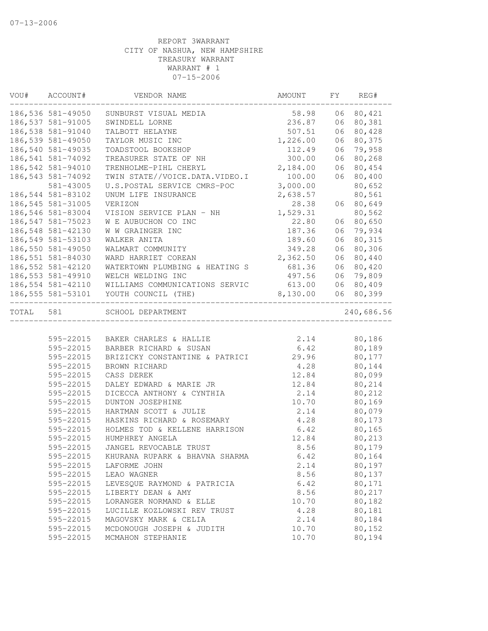| VOU#  | ACCOUNT#          | VENDOR NAME                          | AMOUNT   | FY | REG#       |
|-------|-------------------|--------------------------------------|----------|----|------------|
|       | 186,536 581-49050 | SUNBURST VISUAL MEDIA                | 58.98    |    | 06 80,421  |
|       | 186,537 581-91005 | SWINDELL LORNE                       | 236.87   |    | 06 80,381  |
|       | 186,538 581-91040 | TALBOTT HELAYNE                      | 507.51   | 06 | 80,428     |
|       | 186,539 581-49050 | TAYLOR MUSIC INC                     | 1,226.00 | 06 | 80,375     |
|       | 186,540 581-49035 | TOADSTOOL BOOKSHOP                   | 112.49   |    | 06 79,958  |
|       | 186,541 581-74092 | TREASURER STATE OF NH                | 300.00   | 06 | 80,268     |
|       | 186,542 581-94010 | TRENHOLME-PIHL CHERYL                | 2,184.00 | 06 | 80,454     |
|       | 186,543 581-74092 | TWIN STATE//VOICE.DATA.VIDEO.I       | 100.00   | 06 | 80,400     |
|       | 581-43005         | U.S.POSTAL SERVICE CMRS-POC          | 3,000.00 |    | 80,652     |
|       | 186,544 581-83102 | UNUM LIFE INSURANCE                  | 2,638.57 |    | 80,561     |
|       | 186,545 581-31005 | VERIZON                              | 28.38    |    | 06 80,649  |
|       | 186,546 581-83004 | VISION SERVICE PLAN - NH             | 1,529.31 |    | 80,562     |
|       | 186,547 581-75023 | W E AUBUCHON CO INC                  | 22.80    |    | 06 80,650  |
|       | 186,548 581-42130 | W W GRAINGER INC                     | 187.36   |    | 06 79,934  |
|       | 186,549 581-53103 | WALKER ANITA                         | 189.60   | 06 | 80,315     |
|       | 186,550 581-49050 | WALMART COMMUNITY                    | 349.28   | 06 | 80,306     |
|       | 186,551 581-84030 | WARD HARRIET COREAN                  | 2,362.50 | 06 | 80,440     |
|       | 186,552 581-42120 | WATERTOWN PLUMBING & HEATING S       | 681.36   | 06 | 80,420     |
|       | 186,553 581-49910 | WELCH WELDING INC                    | 497.56   | 06 | 79,809     |
|       | 186,554 581-42110 | WILLIAMS COMMUNICATIONS SERVIC       | 613.00   |    | 06 80,409  |
|       | 186,555 581-53101 | YOUTH COUNCIL (THE)                  | 8,130.00 | 06 | 80,399     |
| TOTAL | 581               | SCHOOL DEPARTMENT                    |          |    | 240,686.56 |
|       |                   |                                      |          |    |            |
|       | 595-22015         | BAKER CHARLES & HALLIE               | 2.14     |    | 80,186     |
|       | 595-22015         | BARBER RICHARD & SUSAN               | 6.42     |    | 80,189     |
|       | 595-22015         | BRIZICKY CONSTANTINE & PATRICI 29.96 |          |    | 80,177     |
|       | 595-22015         | BROWN RICHARD                        | 4.28     |    | 80,144     |
|       | 595-22015         | CASS DEREK                           | 12.84    |    | 80,099     |
|       | 595-22015         | DALEY EDWARD & MARIE JR              | 12.84    |    | 80,214     |
|       | 595-22015         | DICECCA ANTHONY & CYNTHIA            | 2.14     |    | 80,212     |
|       | 595-22015         | DUNTON JOSEPHINE                     | 10.70    |    | 80,169     |
|       | 595-22015         | HARTMAN SCOTT & JULIE                | 2.14     |    | 80,079     |
|       | 595-22015         | HASKINS RICHARD & ROSEMARY           | 4.28     |    | 80,173     |
|       | 595-22015         | HOLMES TOD & KELLENE HARRISON        | 6.42     |    | 80,165     |
|       | 595-22015         | HUMPHREY ANGELA                      | 12.84    |    | 80,213     |
|       | 595-22015         | JANGEL REVOCABLE TRUST               | 8.56     |    | 80,179     |
|       | 595-22015         | KHURANA RUPARK & BHAVNA SHARMA       | 6.42     |    | 80,164     |
|       | 595-22015         | LAFORME JOHN                         | 2.14     |    | 80,197     |
|       | 595-22015         | LEAO WAGNER                          | 8.56     |    | 80,137     |
|       | 595-22015         | LEVESQUE RAYMOND & PATRICIA          | 6.42     |    | 80,171     |
|       | 595-22015         | LIBERTY DEAN & AMY                   | 8.56     |    | 80,217     |
|       | 595-22015         | LORANGER NORMAND & ELLE              | 10.70    |    | 80,182     |
|       | 595-22015         | LUCILLE KOZLOWSKI REV TRUST          | 4.28     |    | 80,181     |
|       | 595-22015         | MAGOVSKY MARK & CELIA                | 2.14     |    | 80,184     |
|       | 595-22015         | MCDONOUGH JOSEPH & JUDITH            | 10.70    |    | 80,152     |
|       | 595-22015         | MCMAHON STEPHANIE                    | 10.70    |    | 80,194     |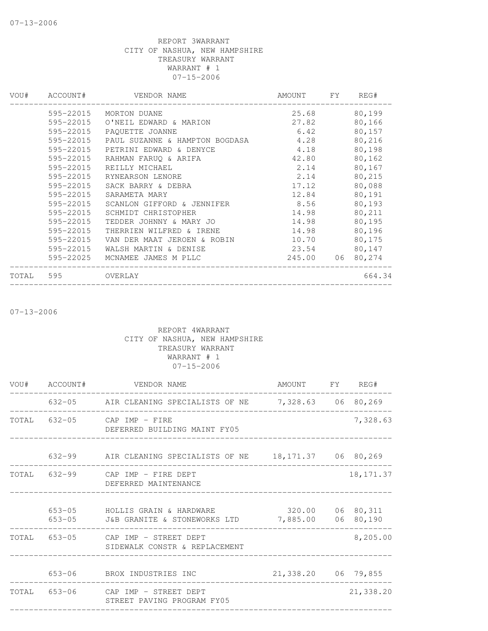| VOU#  | ACCOUNT#  | VENDOR NAME                    | AMOUNT | FY. | REG#   |
|-------|-----------|--------------------------------|--------|-----|--------|
|       | 595-22015 | MORTON DUANE                   | 25.68  |     | 80,199 |
|       | 595-22015 | O'NEIL EDWARD & MARION         | 27.82  |     | 80,166 |
|       | 595-22015 | PAOUETTE JOANNE                | 6.42   |     | 80,157 |
|       | 595-22015 | PAUL SUZANNE & HAMPTON BOGDASA | 4.28   |     | 80,216 |
|       | 595-22015 | PETRINI EDWARD & DENYCE        | 4.18   |     | 80,198 |
|       | 595-22015 | RAHMAN FARUQ & ARIFA           | 42.80  |     | 80,162 |
|       | 595-22015 | REILLY MICHAEL                 | 2.14   |     | 80,167 |
|       | 595-22015 | RYNEARSON LENORE               | 2.14   |     | 80,215 |
|       | 595-22015 | SACK BARRY & DEBRA             | 17.12  |     | 80,088 |
|       | 595-22015 | SARAMETA MARY                  | 12.84  |     | 80,191 |
|       | 595-22015 | SCANLON GIFFORD & JENNIFER     | 8.56   |     | 80,193 |
|       | 595-22015 | SCHMIDT CHRISTOPHER            | 14.98  |     | 80,211 |
|       | 595-22015 | TEDDER JOHNNY & MARY JO        | 14.98  |     | 80,195 |
|       | 595-22015 | THERRIEN WILFRED & IRENE       | 14.98  |     | 80,196 |
|       | 595-22015 | VAN DER MAAT JEROEN & ROBIN    | 10.70  |     | 80,175 |
|       | 595-22015 | WALSH MARTIN & DENISE          | 23.54  |     | 80,147 |
|       | 595-22025 | MCNAMEE JAMES M PLLC           | 245.00 | 06  | 80,274 |
| TOTAL | 595       | OVERLAY                        |        |     | 664.34 |
|       |           |                                |        |     |        |

07-13-2006

|  | VOU# ACCOUNT# VENDOR NAME                                                                | AMOUNT FY REG#      |            |
|--|------------------------------------------------------------------------------------------|---------------------|------------|
|  | 632-05 AIR CLEANING SPECIALISTS OF NE 7,328.63 06 80,269<br>----------                   |                     |            |
|  | TOTAL 632-05 CAP IMP - FIRE<br>DEFERRED BUILDING MAINT FY05                              |                     | 7,328.63   |
|  | 632-99 AIR CLEANING SPECIALISTS OF NE 18,171.37 06 80,269                                |                     |            |
|  | TOTAL 632-99 CAP IMP - FIRE DEPT<br>DEFERRED MAINTENANCE                                 |                     | 18, 171.37 |
|  | 653-05 HOLLIS GRAIN & HARDWARE<br>653-05 J&B GRANITE & STONEWORKS LTD 7,885.00 06 80,190 | 320.00 06 80, 311   |            |
|  | TOTAL 653-05 CAP IMP - STREET DEPT<br>SIDEWALK CONSTR & REPLACEMENT                      |                     | 8,205.00   |
|  | 653-06 BROX INDUSTRIES INC                                                               | 21,338.20 06 79,855 |            |
|  | TOTAL 653-06 CAP IMP - STREET DEPT<br>STREET PAVING PROGRAM FY05                         |                     | 21,338.20  |
|  |                                                                                          |                     |            |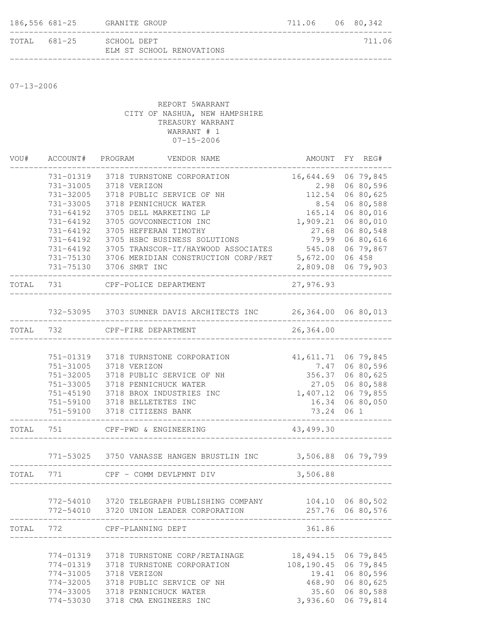| 186,556 681-25 | GRANITE GROUP                            | 711.06 06 80,342 |        |
|----------------|------------------------------------------|------------------|--------|
| TOTAL 681-25   | SCHOOL DEPT<br>ELM ST SCHOOL RENOVATIONS |                  | 711.06 |

07-13-2006

| VOU#      | ACCOUNT#  |                                 | PROGRAM VENDOR NAME                                            | AMOUNT FY REG#      |      |                  |
|-----------|-----------|---------------------------------|----------------------------------------------------------------|---------------------|------|------------------|
|           | 731-01319 |                                 | 3718 TURNSTONE CORPORATION                                     | 16,644.69           |      | 06 79,845        |
|           | 731-31005 | 3718 VERIZON                    |                                                                | 2.98                |      | 06 80,596        |
|           | 731-32005 |                                 | 3718 PUBLIC SERVICE OF NH                                      | 112.54              |      | 06 80,625        |
|           | 731-33005 |                                 | 3718 PENNICHUCK WATER                                          | 8.54                |      | 06 80,588        |
|           | 731-64192 |                                 | 3705 DELL MARKETING LP                                         | 165.14              |      | 06 80,016        |
|           | 731-64192 |                                 | 3705 GOVCONNECTION INC                                         | 1,909.21            |      | 06 80,010        |
|           | 731-64192 |                                 | 3705 HEFFERAN TIMOTHY                                          | 27.68               |      | 06 80,548        |
|           | 731-64192 |                                 | 3705 HSBC BUSINESS SOLUTIONS                                   | 79.99               |      | 06 80,616        |
|           |           |                                 | 731-64192 3705 TRANSCOR-IT/HAYWOOD ASSOCIATES                  | 545.08              |      | 06 79,867        |
|           |           |                                 | 731-75130 3706 MERIDIAN CONSTRUCTION CORP/RET                  | 5,672.00            |      | 06 458           |
|           |           | 731-75130 3706 SMRT INC         |                                                                | 2,809.08 06 79,903  |      |                  |
| TOTAL 731 |           |                                 | CPF-POLICE DEPARTMENT                                          | 27,976.93           |      |                  |
|           |           |                                 | 732-53095 3703 SUMNER DAVIS ARCHITECTS INC 26,364.00 06 80,013 |                     |      |                  |
|           |           |                                 |                                                                |                     |      |                  |
| TOTAL     | 732       | CPF-FIRE DEPARTMENT             | ______________________                                         | 26,364.00           |      |                  |
|           |           |                                 |                                                                |                     |      |                  |
|           | 751-01319 |                                 | 3718 TURNSTONE CORPORATION                                     | 41,611.71           |      | 06 79,845        |
|           | 751-31005 | 3718 VERIZON                    |                                                                | 7.47                |      | 06 80,596        |
|           | 751-32005 |                                 | 3718 PUBLIC SERVICE OF NH                                      | 356.37              |      | 06 80,625        |
|           | 751-33005 |                                 | 3718 PENNICHUCK WATER                                          |                     |      | 27.05 06 80,588  |
|           | 751-45190 |                                 | 3718 BROX INDUSTRIES INC                                       | 1,407.12            |      | 06 79,855        |
|           |           | 751-59100 3718 BELLETETES INC   |                                                                | 16.34               |      | 06 80,050        |
|           |           | 751-59100 3718 CITIZENS BANK    |                                                                | 73.24               | 06 1 |                  |
| TOTAL     | 751       |                                 | CPF-PWD & ENGINEERING                                          | 43,499.30           |      |                  |
|           |           |                                 | 771-53025 3750 VANASSE HANGEN BRUSTLIN INC 3,506.88 06 79,799  |                     |      |                  |
|           |           |                                 |                                                                |                     |      |                  |
| TOTAL 771 |           |                                 | CPF - COMM DEVLPMNT DIV                                        | 3,506.88            |      |                  |
|           |           |                                 |                                                                |                     |      |                  |
|           |           |                                 | 772-54010 3720 TELEGRAPH PUBLISHING COMPANY                    | 104.10 06 80,502    |      |                  |
|           |           |                                 | 772-54010 3720 UNION LEADER CORPORATION                        |                     |      | 257.76 06 80,576 |
|           |           | TOTAL 772 CPF-PLANNING DEPT     | _____________________________                                  | 361.86              |      |                  |
|           |           |                                 |                                                                |                     |      |                  |
|           | 774-01319 |                                 | 3718 TURNSTONE CORP/RETAINAGE                                  | 18,494.15 06 79,845 |      |                  |
|           | 774-01319 |                                 | 3718 TURNSTONE CORPORATION                                     | 108,190.45          |      | 06 79,845        |
|           | 774-31005 | 3718 VERIZON                    |                                                                | 19.41               |      | 06 80,596        |
|           | 774-32005 |                                 | 3718 PUBLIC SERVICE OF NH                                      | 468.90              |      | 06 80,625        |
|           |           | 774-33005 3718 PENNICHUCK WATER |                                                                | 35.60               |      | 06 80,588        |
|           | 774-53030 |                                 | 3718 CMA ENGINEERS INC                                         | 3,936.60            |      | 06 79,814        |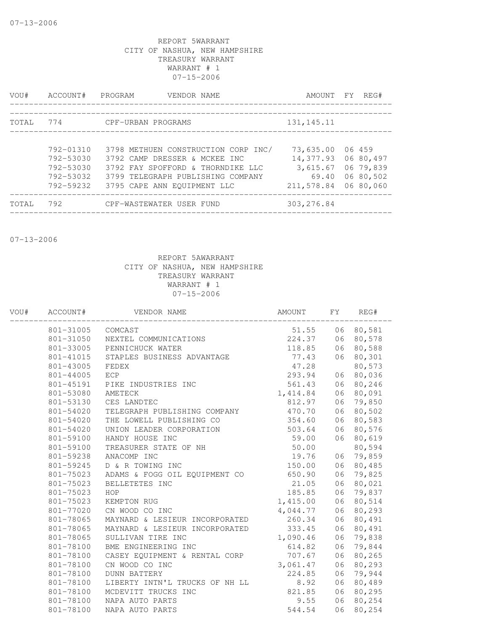| VOU#         | ACCOUNT#                                                      | PROGRAM<br>VENDOR NAME                                                                                                                                                        | AMOUNT                                                    | FY | REG#                                                       |
|--------------|---------------------------------------------------------------|-------------------------------------------------------------------------------------------------------------------------------------------------------------------------------|-----------------------------------------------------------|----|------------------------------------------------------------|
| <b>TOTAL</b> | 774                                                           | CPF-URBAN PROGRAMS                                                                                                                                                            | 131, 145. 11                                              |    |                                                            |
|              | 792-01310<br>792-53030<br>792-53030<br>792-53032<br>792-59232 | 3798 METHUEN CONSTRUCTION CORP INC/<br>3792 CAMP DRESSER & MCKEE INC<br>3792 FAY SPOFFORD & THORNDIKE LLC<br>3799 TELEGRAPH PUBLISHING COMPANY<br>3795 CAPE ANN EOUIPMENT LLC | 73,635.00<br>14,377.93<br>3,615.67<br>69.40<br>211,578.84 |    | 06 459<br>06 80,497<br>06 79,839<br>06 80,502<br>06 80,060 |
| TOTAL        | 792                                                           | CPF-WASTEWATER USER FUND                                                                                                                                                      | 303, 276.84                                               |    |                                                            |

07-13-2006

| WOU# | ACCOUNT#  | VENDOR NAME                    | AMOUNT   | FY | REG#      |
|------|-----------|--------------------------------|----------|----|-----------|
|      | 801-31005 | COMCAST                        | 51.55    |    | 06 80,581 |
|      | 801-31050 | NEXTEL COMMUNICATIONS          | 224.37   | 06 | 80,578    |
|      | 801-33005 | PENNICHUCK WATER               | 118.85   | 06 | 80,588    |
|      | 801-41015 | STAPLES BUSINESS ADVANTAGE     | 77.43    | 06 | 80,301    |
|      | 801-43005 | FEDEX                          | 47.28    |    | 80,573    |
|      | 801-44005 | ECP                            | 293.94   | 06 | 80,036    |
|      | 801-45191 | PIKE INDUSTRIES INC            | 561.43   | 06 | 80,246    |
|      | 801-53080 | AMETECK                        | 1,414.84 | 06 | 80,091    |
|      | 801-53130 | CES LANDTEC                    | 812.97   | 06 | 79,850    |
|      | 801-54020 | TELEGRAPH PUBLISHING COMPANY   | 470.70   | 06 | 80,502    |
|      | 801-54020 | THE LOWELL PUBLISHING CO       | 354.60   | 06 | 80,583    |
|      | 801-54020 | UNION LEADER CORPORATION       | 503.64   | 06 | 80,576    |
|      | 801-59100 | HANDY HOUSE INC                | 59.00    | 06 | 80,619    |
|      | 801-59100 | TREASURER STATE OF NH          | 50.00    |    | 80,594    |
|      | 801-59238 | ANACOMP INC                    | 19.76    | 06 | 79,859    |
|      | 801-59245 | D & R TOWING INC               | 150.00   | 06 | 80,485    |
|      | 801-75023 | ADAMS & FOGG OIL EQUIPMENT CO  | 650.90   | 06 | 79,825    |
|      | 801-75023 | BELLETETES INC                 | 21.05    | 06 | 80,021    |
|      | 801-75023 | HOP                            | 185.85   | 06 | 79,837    |
|      | 801-75023 | KEMPTON RUG                    | 1,415.00 | 06 | 80,514    |
|      | 801-77020 | CN WOOD CO INC                 | 4,044.77 | 06 | 80,293    |
|      | 801-78065 | MAYNARD & LESIEUR INCORPORATED | 260.34   | 06 | 80,491    |
|      | 801-78065 | MAYNARD & LESIEUR INCORPORATED | 333.45   | 06 | 80,491    |
|      | 801-78065 | SULLIVAN TIRE INC              | 1,090.46 | 06 | 79,838    |
|      | 801-78100 | BME ENGINEERING INC            | 614.82   | 06 | 79,844    |
|      | 801-78100 | CASEY EQUIPMENT & RENTAL CORP  | 707.67   | 06 | 80,265    |
|      | 801-78100 | CN WOOD CO INC                 | 3,061.47 | 06 | 80,293    |
|      | 801-78100 | <b>DUNN BATTERY</b>            | 224.85   | 06 | 79,944    |
|      | 801-78100 | LIBERTY INTN'L TRUCKS OF NH LL | 8.92     | 06 | 80,489    |
|      | 801-78100 | MCDEVITT TRUCKS INC            | 821.85   | 06 | 80,295    |
|      | 801-78100 | NAPA AUTO PARTS                | 9.55     | 06 | 80,254    |
|      | 801-78100 | NAPA AUTO PARTS                | 544.54   | 06 | 80,254    |
|      |           |                                |          |    |           |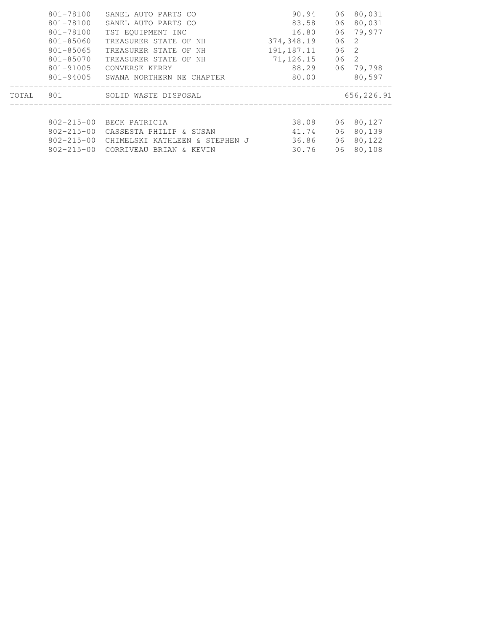|       | 801-78100<br>801-78100<br>801-78100<br>801-85060<br>801-85065<br>801-85070<br>801-91005<br>801-94005 | SANEL AUTO PARTS CO<br>SANEL AUTO PARTS CO<br>TST EQUIPMENT INC<br>TREASURER STATE OF NH<br>TREASURER STATE OF<br>NH<br>TREASURER STATE OF NH<br>CONVERSE KERRY<br>SWANA NORTHERN NE CHAPTER | 90.94<br>83.58<br>16.80<br>374,348.19<br>191,187.11<br>71,126.15<br>88.29<br>80.00 | 06<br>06<br>06<br>06<br>06<br>06<br>06 | 80,031<br>80,031<br>79,977<br>2<br>$\overline{2}$<br>-2<br>79,798<br>80,597 |  |
|-------|------------------------------------------------------------------------------------------------------|----------------------------------------------------------------------------------------------------------------------------------------------------------------------------------------------|------------------------------------------------------------------------------------|----------------------------------------|-----------------------------------------------------------------------------|--|
| TOTAL | 801                                                                                                  | SOLID WASTE DISPOSAL                                                                                                                                                                         |                                                                                    |                                        | 656,226.91                                                                  |  |
|       | $802 - 215 - 00$<br>$802 - 215 - 00$<br>802-215-00<br>$802 - 215 - 00$                               | BECK PATRICIA<br>CASSESTA PHILIP<br>& SUSAN<br>CHIMELSKI KATHLEEN & STEPHEN J<br>CORRIVEAU BRIAN & KEVIN                                                                                     | 38.08<br>41.74<br>36.86<br>30.76                                                   | 06<br>06<br>06<br>06                   | 80,127<br>80,139<br>80,122<br>80,108                                        |  |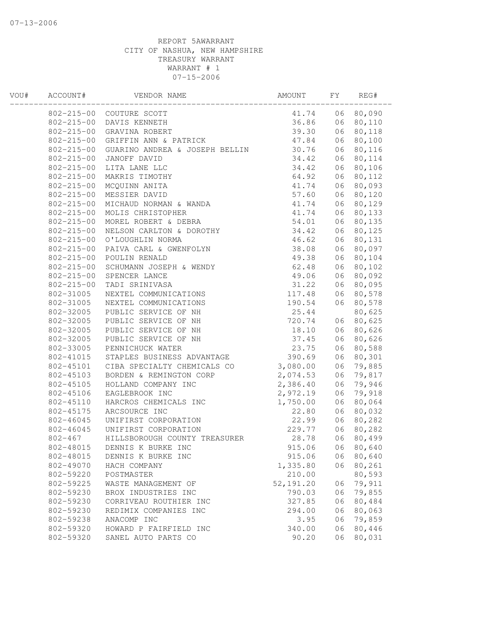| WOU# | ACCOUNT#         | VENDOR NAME                    | AMOUNT     | FY | REG#   |  |
|------|------------------|--------------------------------|------------|----|--------|--|
|      |                  | 802-215-00 COUTURE SCOTT       | 41.74      | 06 | 80,090 |  |
|      | $802 - 215 - 00$ | DAVIS KENNETH                  | 36.86      | 06 | 80,110 |  |
|      | $802 - 215 - 00$ | GRAVINA ROBERT                 | 39.30      | 06 | 80,118 |  |
|      | $802 - 215 - 00$ | GRIFFIN ANN & PATRICK          | 47.84      | 06 | 80,100 |  |
|      | $802 - 215 - 00$ | GUARINO ANDREA & JOSEPH BELLIN | 30.76      | 06 | 80,116 |  |
|      | $802 - 215 - 00$ | JANOFF DAVID                   | 34.42      | 06 | 80,114 |  |
|      | $802 - 215 - 00$ | LITA LANE LLC                  | 34.42      | 06 | 80,106 |  |
|      | $802 - 215 - 00$ | MAKRIS TIMOTHY                 | 64.92      | 06 | 80,112 |  |
|      | $802 - 215 - 00$ | MCQUINN ANITA                  | 41.74      | 06 | 80,093 |  |
|      | $802 - 215 - 00$ | MESSIER DAVID                  | 57.60      | 06 | 80,120 |  |
|      | $802 - 215 - 00$ | MICHAUD NORMAN & WANDA         | 41.74      | 06 | 80,129 |  |
|      | $802 - 215 - 00$ | MOLIS CHRISTOPHER              | 41.74      | 06 | 80,133 |  |
|      | $802 - 215 - 00$ | MOREL ROBERT & DEBRA           | 54.01      | 06 | 80,135 |  |
|      | $802 - 215 - 00$ | NELSON CARLTON & DOROTHY       | 34.42      | 06 | 80,125 |  |
|      | $802 - 215 - 00$ | O'LOUGHLIN NORMA               | 46.62      | 06 | 80,131 |  |
|      | $802 - 215 - 00$ | PAIVA CARL & GWENFOLYN         | 38.08      | 06 | 80,097 |  |
|      | $802 - 215 - 00$ | POULIN RENALD                  | 49.38      | 06 | 80,104 |  |
|      | $802 - 215 - 00$ | SCHUMANN JOSEPH & WENDY        | 62.48      | 06 | 80,102 |  |
|      | $802 - 215 - 00$ | SPENCER LANCE                  | 49.06      | 06 | 80,092 |  |
|      | $802 - 215 - 00$ | TADI SRINIVASA                 | 31.22      | 06 | 80,095 |  |
|      | 802-31005        | NEXTEL COMMUNICATIONS          | 117.48     | 06 | 80,578 |  |
|      | 802-31005        | NEXTEL COMMUNICATIONS          | 190.54     | 06 | 80,578 |  |
|      | 802-32005        | PUBLIC SERVICE OF NH           | 25.44      |    | 80,625 |  |
|      | 802-32005        | PUBLIC SERVICE OF NH           | 720.74     | 06 | 80,625 |  |
|      | 802-32005        | PUBLIC SERVICE OF NH           | 18.10      | 06 | 80,626 |  |
|      | 802-32005        | PUBLIC SERVICE OF NH           | 37.45      | 06 | 80,626 |  |
|      | 802-33005        | PENNICHUCK WATER               | 23.75      | 06 | 80,588 |  |
|      | 802-41015        | STAPLES BUSINESS ADVANTAGE     | 390.69     | 06 | 80,301 |  |
|      | 802-45101        | CIBA SPECIALTY CHEMICALS CO    | 3,080.00   | 06 | 79,885 |  |
|      | 802-45103        | BORDEN & REMINGTON CORP        | 2,074.53   | 06 | 79,817 |  |
|      | 802-45105        | HOLLAND COMPANY INC            | 2,386.40   | 06 | 79,946 |  |
|      | 802-45106        | EAGLEBROOK INC                 | 2,972.19   | 06 | 79,918 |  |
|      | 802-45110        | HARCROS CHEMICALS INC          | 1,750.00   | 06 | 80,064 |  |
|      | 802-45175        | ARCSOURCE INC                  | 22.80      | 06 | 80,032 |  |
|      | 802-46045        | UNIFIRST CORPORATION           | 22.99      | 06 | 80,282 |  |
|      | 802-46045        | UNIFIRST CORPORATION           | 229.77     | 06 | 80,282 |  |
|      | $802 - 467$      | HILLSBOROUGH COUNTY TREASURER  | 28.78      | 06 | 80,499 |  |
|      | 802-48015        | DENNIS K BURKE INC             | 915.06     | 06 | 80,640 |  |
|      | 802-48015        | DENNIS K BURKE INC             | 915.06     | 06 | 80,640 |  |
|      | 802-49070        | HACH COMPANY                   | 1,335.80   | 06 | 80,261 |  |
|      | 802-59220        | POSTMASTER                     | 210.00     |    | 80,593 |  |
|      | 802-59225        | WASTE MANAGEMENT OF            | 52, 191.20 | 06 | 79,911 |  |
|      | 802-59230        | BROX INDUSTRIES INC            | 790.03     | 06 | 79,855 |  |
|      | 802-59230        | CORRIVEAU ROUTHIER INC         | 327.85     | 06 | 80,484 |  |
|      | 802-59230        | REDIMIX COMPANIES INC          | 294.00     | 06 | 80,063 |  |
|      | 802-59238        | ANACOMP INC                    | 3.95       | 06 | 79,859 |  |
|      | 802-59320        | HOWARD P FAIRFIELD INC         | 340.00     | 06 | 80,446 |  |
|      | 802-59320        | SANEL AUTO PARTS CO            | 90.20      | 06 | 80,031 |  |
|      |                  |                                |            |    |        |  |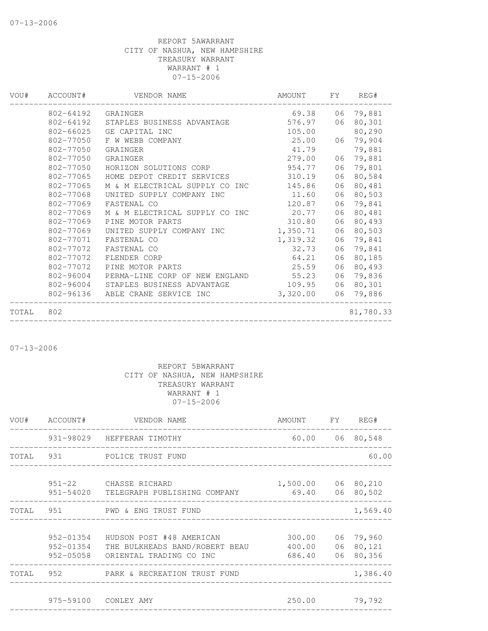| VOU#  | ACCOUNT#  | VENDOR NAME                    | AMOUNT   | FY. | REG#      |
|-------|-----------|--------------------------------|----------|-----|-----------|
|       | 802-64192 | GRAINGER                       | 69.38    |     | 06 79,881 |
|       | 802-64192 | STAPLES BUSINESS ADVANTAGE     | 576.97   | 06  | 80,301    |
|       | 802-66025 | GE CAPITAL INC                 | 105.00   |     | 80,290    |
|       | 802-77050 | F W WEBB COMPANY               | 25.00    | 06  | 79,904    |
|       | 802-77050 | GRAINGER                       | 41.79    |     | 79,881    |
|       | 802-77050 | GRAINGER                       | 279.00   | 06  | 79,881    |
|       | 802-77050 | HORIZON SOLUTIONS CORP         | 954.77   | 06  | 79,801    |
|       | 802-77065 | HOME DEPOT CREDIT SERVICES     | 310.19   | 06  | 80,584    |
|       | 802-77065 | M & M ELECTRICAL SUPPLY CO INC | 145.86   | 06  | 80,481    |
|       | 802-77068 | UNITED SUPPLY COMPANY INC      | 11.60    | 06  | 80,503    |
|       | 802-77069 | FASTENAL CO                    | 120.87   | 06  | 79,841    |
|       | 802-77069 | M & M ELECTRICAL SUPPLY CO INC | 20.77    | 06  | 80,481    |
|       | 802-77069 | PINE MOTOR PARTS               | 310.80   | 06  | 80,493    |
|       | 802-77069 | UNITED SUPPLY COMPANY INC      | 1,350.71 | 06  | 80,503    |
|       | 802-77071 | FASTENAL CO                    | 1,319.32 | 06  | 79,841    |
|       | 802-77072 | FASTENAL CO                    | 32.73    | 06  | 79,841    |
|       | 802-77072 | FLENDER CORP                   | 64.21    | 06  | 80,185    |
|       | 802-77072 | PINE MOTOR PARTS               | 25.59    | 06  | 80,493    |
|       | 802-96004 | PERMA-LINE CORP OF NEW ENGLAND | 55.23    | 06  | 79,836    |
|       | 802-96004 | STAPLES BUSINESS ADVANTAGE     | 109.95   | 06  | 80,301    |
|       | 802-96136 | ABLE CRANE SERVICE INC         | 3,320.00 | 06  | 79,886    |
| TOTAL | 802       |                                |          |     | 81,780.33 |

07-13-2006

| VOU# ACCOUNT# | VENDOR NAME                                                                                               | AMOUNT FY REG#                                 |                 |
|---------------|-----------------------------------------------------------------------------------------------------------|------------------------------------------------|-----------------|
|               | 931-98029 HEFFERAN TIMOTHY<br>___________________________________                                         |                                                | 60.00 06 80,548 |
|               | TOTAL 931 POLICE TRUST FUND                                                                               |                                                | 60.00           |
|               | 951-22 CHASSE RICHARD<br>951-54020 TELEGRAPH PUBLISHING COMPANY 69.40 06 80,502                           | 1,500.00 06 80,210                             |                 |
|               | TOTAL 951 PWD & ENG TRUST FUND                                                                            |                                                | 1,569.40        |
| 952-01354     | HUDSON POST #48 AMERICAN<br>952-01354 THE BULKHEADS BAND/ROBERT BEAU<br>952-05058 ORIENTAL TRADING CO INC | 300.00 06 79,960<br>400.00 06 80,121<br>686.40 | 06 80,356       |
|               | TOTAL 952 PARK & RECREATION TRUST FUND                                                                    |                                                | 1,386.40        |
|               | 975-59100 CONLEY AMY                                                                                      | 250.00 79,792                                  |                 |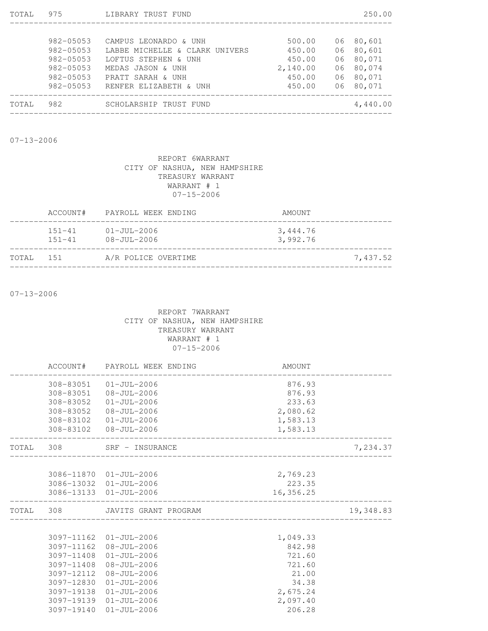| 975           | LIBRARY TRUST FUND             |          |    | 250.00    |
|---------------|--------------------------------|----------|----|-----------|
|               |                                |          |    |           |
| $982 - 05053$ | CAMPUS LEONARDO & UNH          | 500.00   | 06 | 80,601    |
| 982-05053     | LABBE MICHELLE & CLARK UNIVERS | 450.00   | 06 | 80,601    |
| $982 - 05053$ | LOFTUS STEPHEN & UNH           | 450.00   | 06 | 80,071    |
| $982 - 05053$ | MEDAS JASON & UNH              | 2,140.00 | 06 | 80,074    |
| $982 - 05053$ | PRATT SARAH & UNH              | 450.00   |    | 06 80,071 |
| $982 - 05053$ | RENFER ELIZABETH & UNH         | 450.00   | 06 | 80,071    |
| 982           | SCHOLARSHIP TRUST FUND         |          |    | 4,440.00  |
|               |                                |          |    |           |

07-13-2006

# REPORT 6WARRANT CITY OF NASHUA, NEW HAMPSHIRE TREASURY WARRANT WARRANT # 1 07-15-2006

|           |                          | ACCOUNT# PAYROLL WEEK ENDING           | AMOUNT               |          |
|-----------|--------------------------|----------------------------------------|----------------------|----------|
|           | $151 - 41$<br>$151 - 41$ | $01 - JU1 - 2006$<br>$08 - JU1 - 2006$ | 3,444.76<br>3,992.76 |          |
| TOTAL 151 |                          | A/R POLICE OVERTIME                    |                      | 7,437.52 |

07-13-2006

|            | ACCOUNT# PAYROLL WEEK ENDING     | AMOUNT    |           |
|------------|----------------------------------|-----------|-----------|
|            | 308-83051 01-JUL-2006            | 876.93    |           |
|            | 308-83051 08-JUL-2006            | 876.93    |           |
| 308-83052  | 01-JUL-2006                      | 233.63    |           |
| 308-83052  | 08-JUL-2006                      | 2,080.62  |           |
|            | 308-83102 01-JUL-2006            | 1,583.13  |           |
|            | 308-83102 08-JUL-2006            | 1,583.13  |           |
|            | TOTAL 308 SRF - INSURANCE        |           | 7,234.37  |
|            |                                  |           |           |
|            | 3086-11870 01-JUL-2006           | 2,769.23  |           |
|            | 3086-13032 01-JUL-2006           | 223.35    |           |
|            | 3086-13133 01-JUL-2006           | 16,356.25 |           |
|            | TOTAL 308 JAVITS GRANT PROGRAM   |           | 19,348.83 |
|            |                                  |           |           |
|            | 3097-11162 01-JUL-2006           | 1,049.33  |           |
|            | $3097 - 11162$ $08 - JUL - 2006$ | 842.98    |           |
|            | 3097-11408 01-JUL-2006           | 721.60    |           |
| 3097-11408 | 08-JUL-2006                      | 721.60    |           |
| 3097-12112 | 08-JUL-2006                      | 21.00     |           |
| 3097-12830 | $01 - JUL - 2006$                | 34.38     |           |
| 3097-19138 | $01 - JUL - 2006$                | 2,675.24  |           |
| 3097-19139 | $01 - JUL - 2006$                | 2,097.40  |           |
| 3097-19140 | $01 - JUL - 2006$                | 206.28    |           |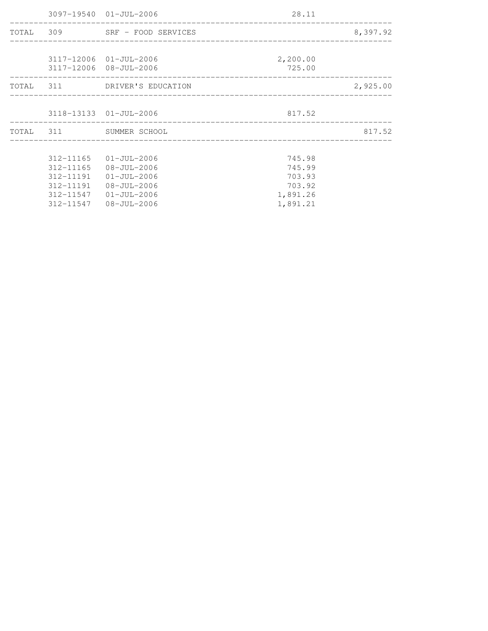|           | 3097-19540 01-JUL-2006        | 28.11<br>_________________________________ |          |
|-----------|-------------------------------|--------------------------------------------|----------|
|           | TOTAL 309 SRF - FOOD SERVICES |                                            | 8,397.92 |
|           |                               |                                            |          |
|           | 3117-12006 01-JUL-2006        | 2,200.00                                   |          |
|           | 3117-12006 08-JUL-2006        | 725.00                                     |          |
|           | TOTAL 311 DRIVER'S EDUCATION  |                                            | 2,925.00 |
|           | 3118-13133 01-JUL-2006        | 817.52                                     |          |
|           | TOTAL 311 SUMMER SCHOOL       |                                            | 817.52   |
|           |                               |                                            |          |
| 312-11165 | 01-JUL-2006                   | 745.98                                     |          |
| 312-11165 | 08-JUL-2006                   | 745.99                                     |          |
| 312-11191 | 01-JUL-2006                   | 703.93                                     |          |
| 312-11191 | 08-JUL-2006                   | 703.92                                     |          |
| 312-11547 | $01 - JUL - 2006$             | 1,891.26                                   |          |
| 312-11547 | 08-JUL-2006                   | 1,891.21                                   |          |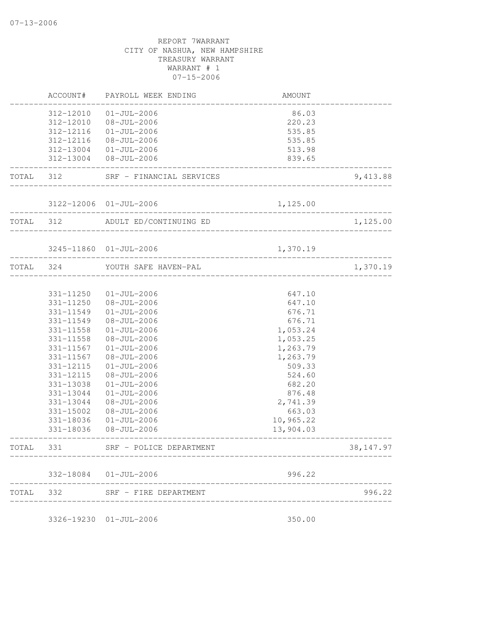| TOTAL | 332                    | SRF - FIRE DEPARTMENT                  | ____________________      | 996.22     |
|-------|------------------------|----------------------------------------|---------------------------|------------|
|       |                        | 332-18084 01-JUL-2006                  | 996.22                    |            |
| TOTAL | 331                    | SRF - POLICE DEPARTMENT                |                           | 38, 147.97 |
|       | 331-18036              | $08 - JUL - 2006$                      | 13,904.03                 |            |
|       | 331-18036              | $01 - JUL - 2006$                      | 10,965.22                 |            |
|       | 331-15002              | $08 - JUL - 2006$                      | 663.03                    |            |
|       | 331-13044              | $08 - JUL - 2006$                      | 2,741.39                  |            |
|       | 331-13044              | $01 - JUL - 2006$                      | 876.48                    |            |
|       | 331-13038              | $01 - JUL - 2006$                      | 682.20                    |            |
|       | 331-12115              | $08 - JUL - 2006$                      | 524.60                    |            |
|       | 331-12115              | $01 - JUL - 2006$                      | 509.33                    |            |
|       | 331-11567              | $08 - JUL - 2006$                      | 1,263.79                  |            |
|       | 331-11567              | $01 - JUL - 2006$                      | 1,053.25<br>1,263.79      |            |
|       | 331-11558<br>331-11558 | $01 - JUL - 2006$<br>$08 - JUL - 2006$ | 1,053.24                  |            |
|       | 331-11549              | $08 - JUL - 2006$                      | 676.71                    |            |
|       | 331-11549              | $01 - JUL - 2006$                      | 676.71                    |            |
|       | 331-11250              | $08 - JUL - 2006$                      | 647.10                    |            |
|       | 331-11250              | $01 - JUL - 2006$                      | 647.10                    |            |
| TOTAL | 324                    | YOUTH SAFE HAVEN-PAL                   |                           | 1,370.19   |
|       |                        | 3245-11860 01-JUL-2006                 | 1,370.19                  |            |
| TOTAL | 312                    | ADULT ED/CONTINUING ED                 | ___________________       | 1,125.00   |
|       | ----------             | 3122-12006 01-JUL-2006                 | 1,125.00<br>_____________ |            |
| TOTAL | 312                    | SRF - FINANCIAL SERVICES               |                           | 9,413.88   |
|       | 312-13004<br>312-13004 | $01 - JUL - 2006$<br>08-JUL-2006       | 513.98<br>839.65          |            |
|       | 312-12116              | $08 - JUL - 2006$                      | 535.85                    |            |
|       | 312-12116              | $01 - JUL - 2006$                      | 535.85                    |            |
|       | 312-12010              | $08 - JUL - 2006$                      | 220.23                    |            |
|       | 312-12010              | $01 - JUL - 2006$                      | 86.03                     |            |
|       | ACCOUNT#               | PAYROLL WEEK ENDING                    | AMOUNT                    |            |

3326-19230 01-JUL-2006 350.00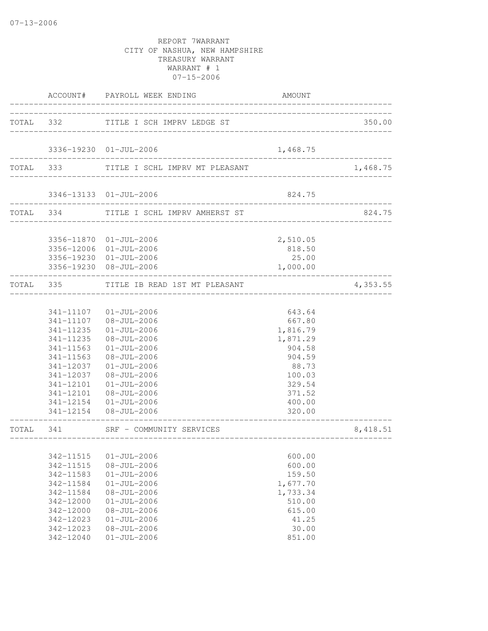|           |                        | ACCOUNT# PAYROLL WEEK ENDING             | AMOUNT                            |          |
|-----------|------------------------|------------------------------------------|-----------------------------------|----------|
| TOTAL 332 |                        | TITLE I SCH IMPRV LEDGE ST               | _________________________________ | 350.00   |
|           |                        | 3336-19230 01-JUL-2006                   | 1,468.75                          |          |
|           |                        | TOTAL 333 TITLE I SCHL IMPRV MT PLEASANT |                                   | 1,468.75 |
|           |                        |                                          |                                   |          |
|           |                        | 3346-13133 01-JUL-2006                   | 824.75                            |          |
|           |                        | TOTAL 334 TITLE I SCHL IMPRV AMHERST ST  |                                   | 824.75   |
|           |                        | 3356-11870 01-JUL-2006                   | 2,510.05                          |          |
|           |                        | 3356-12006 01-JUL-2006                   | 818.50                            |          |
|           |                        | 3356-19230 01-JUL-2006                   | 25.00                             |          |
|           |                        | 3356-19230 08-JUL-2006                   | 1,000.00                          |          |
|           | TOTAL 335              | TITLE IB READ 1ST MT PLEASANT            |                                   | 4,353.55 |
|           |                        |                                          |                                   |          |
|           |                        | 341-11107 01-JUL-2006                    | 643.64                            |          |
|           |                        | 341-11107 08-JUL-2006                    | 667.80                            |          |
|           | 341-11235              | 01-JUL-2006                              | 1,816.79                          |          |
|           | 341-11235              | 08-JUL-2006                              | 1,871.29                          |          |
|           | 341-11563<br>341-11563 | $01 - JUL - 2006$<br>08-JUL-2006         | 904.58<br>904.59                  |          |
|           | 341-12037              | $01 - JUL - 2006$                        | 88.73                             |          |
|           | 341-12037              | 08-JUL-2006                              | 100.03                            |          |
|           | 341-12101              | 01-JUL-2006                              | 329.54                            |          |
|           | 341-12101              | 08-JUL-2006                              | 371.52                            |          |
|           |                        | 341-12154 01-JUL-2006                    | 400.00                            |          |
|           |                        | 341-12154 08-JUL-2006                    | 320.00                            |          |
| TOTAL     | 341                    | SRF - COMMUNITY SERVICES                 | ---------------                   | 8,418.51 |
|           |                        |                                          | ____________________________      |          |
|           | 342-11515              | $01 - JUL - 2006$                        | 600.00                            |          |
|           | 342-11515              | $08 - JUL - 2006$                        | 600.00                            |          |
|           | 342-11583              | $01 - JUL - 2006$                        | 159.50                            |          |
|           | 342-11584              | $01 - JUL - 2006$                        | 1,677.70                          |          |
|           | 342-11584              | $08 - JUL - 2006$                        | 1,733.34                          |          |
|           | 342-12000              | $01 - JUL - 2006$                        | 510.00                            |          |
|           | 342-12000              | $08 - JUL - 2006$                        | 615.00                            |          |
|           | 342-12023              | $01 - JUL - 2006$                        | 41.25                             |          |
|           | 342-12023              | $08 - JUL - 2006$                        | 30.00                             |          |
|           | 342-12040              | $01 - JUL - 2006$                        | 851.00                            |          |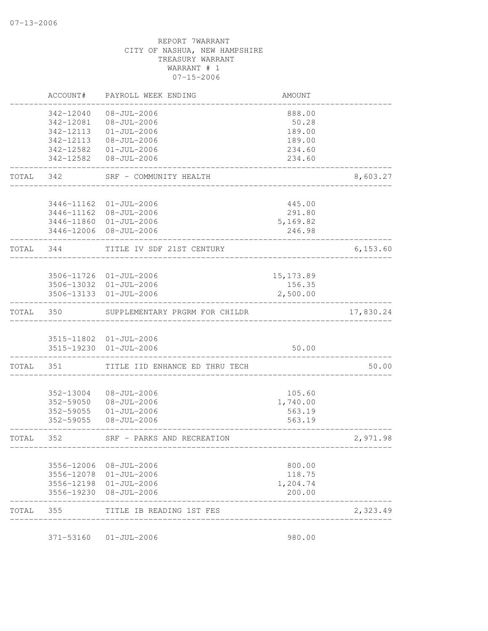| AMOUNT     | PAYROLL WEEK ENDING                                                                         | ACCOUNT#                                                                |                                                                                                                                                                                                                                                                                                                                                                                                                                                     |
|------------|---------------------------------------------------------------------------------------------|-------------------------------------------------------------------------|-----------------------------------------------------------------------------------------------------------------------------------------------------------------------------------------------------------------------------------------------------------------------------------------------------------------------------------------------------------------------------------------------------------------------------------------------------|
|            |                                                                                             |                                                                         |                                                                                                                                                                                                                                                                                                                                                                                                                                                     |
| 50.28      |                                                                                             | 342-12081                                                               |                                                                                                                                                                                                                                                                                                                                                                                                                                                     |
| 189.00     | $01 - JUL - 2006$                                                                           | 342-12113                                                               |                                                                                                                                                                                                                                                                                                                                                                                                                                                     |
| 189.00     |                                                                                             | 342-12113                                                               |                                                                                                                                                                                                                                                                                                                                                                                                                                                     |
| 234.60     |                                                                                             |                                                                         |                                                                                                                                                                                                                                                                                                                                                                                                                                                     |
| 234.60     | $08 - JUL - 2006$                                                                           | 342-12582                                                               |                                                                                                                                                                                                                                                                                                                                                                                                                                                     |
|            | SRF - COMMUNITY HEALTH                                                                      | 342                                                                     | TOTAL                                                                                                                                                                                                                                                                                                                                                                                                                                               |
|            |                                                                                             |                                                                         |                                                                                                                                                                                                                                                                                                                                                                                                                                                     |
|            |                                                                                             |                                                                         |                                                                                                                                                                                                                                                                                                                                                                                                                                                     |
|            |                                                                                             |                                                                         |                                                                                                                                                                                                                                                                                                                                                                                                                                                     |
| 246.98     |                                                                                             |                                                                         |                                                                                                                                                                                                                                                                                                                                                                                                                                                     |
|            | TITLE IV SDF 21ST CENTURY                                                                   | 344                                                                     | TOTAL                                                                                                                                                                                                                                                                                                                                                                                                                                               |
|            |                                                                                             |                                                                         |                                                                                                                                                                                                                                                                                                                                                                                                                                                     |
| 15, 173.89 |                                                                                             |                                                                         |                                                                                                                                                                                                                                                                                                                                                                                                                                                     |
| 156.35     |                                                                                             |                                                                         |                                                                                                                                                                                                                                                                                                                                                                                                                                                     |
|            |                                                                                             |                                                                         |                                                                                                                                                                                                                                                                                                                                                                                                                                                     |
|            | SUPPLEMENTARY PRGRM FOR CHILDR                                                              | 350                                                                     | TOTAL                                                                                                                                                                                                                                                                                                                                                                                                                                               |
|            |                                                                                             |                                                                         |                                                                                                                                                                                                                                                                                                                                                                                                                                                     |
|            |                                                                                             |                                                                         |                                                                                                                                                                                                                                                                                                                                                                                                                                                     |
|            |                                                                                             |                                                                         |                                                                                                                                                                                                                                                                                                                                                                                                                                                     |
|            |                                                                                             |                                                                         | TOTAL                                                                                                                                                                                                                                                                                                                                                                                                                                               |
| 105.60     | $08 - JUL - 2006$                                                                           | 352-13004                                                               |                                                                                                                                                                                                                                                                                                                                                                                                                                                     |
| 1,740.00   | 08-JUL-2006                                                                                 | 352-59050                                                               |                                                                                                                                                                                                                                                                                                                                                                                                                                                     |
| 563.19     | $01 - JUL - 2006$                                                                           | 352-59055                                                               |                                                                                                                                                                                                                                                                                                                                                                                                                                                     |
| 563.19     | 08-JUL-2006                                                                                 | 352-59055                                                               |                                                                                                                                                                                                                                                                                                                                                                                                                                                     |
|            |                                                                                             | 352                                                                     | TOTAL                                                                                                                                                                                                                                                                                                                                                                                                                                               |
|            |                                                                                             |                                                                         |                                                                                                                                                                                                                                                                                                                                                                                                                                                     |
|            |                                                                                             |                                                                         |                                                                                                                                                                                                                                                                                                                                                                                                                                                     |
|            |                                                                                             |                                                                         |                                                                                                                                                                                                                                                                                                                                                                                                                                                     |
| 200.00     |                                                                                             | 3556-19230                                                              |                                                                                                                                                                                                                                                                                                                                                                                                                                                     |
|            |                                                                                             |                                                                         |                                                                                                                                                                                                                                                                                                                                                                                                                                                     |
|            | 888.00<br>445.00<br>291.80<br>5,169.82<br>2,500.00<br>50.00<br>800.00<br>118.75<br>1,204.74 | $08 - JUL - 2006$<br>TITLE IID ENHANCE ED THRU TECH<br>________________ | 342-12040<br>08-JUL-2006<br>08-JUL-2006<br>342-12582  01-JUL-2006<br>3446-11162 01-JUL-2006<br>3446-11162 08-JUL-2006<br>3446-11860 01-JUL-2006<br>3446-12006 08-JUL-2006<br>3506-11726 01-JUL-2006<br>3506-13032 01-JUL-2006<br>3506-13133 01-JUL-2006<br>3515-11802 01-JUL-2006<br>3515-19230 01-JUL-2006<br>351<br>SRF - PARKS AND RECREATION<br>3556-12006<br>08-JUL-2006<br>3556-12078<br>01-JUL-2006<br>3556-12198 01-JUL-2006<br>08-JUL-2006 |

371-53160 01-JUL-2006 980.00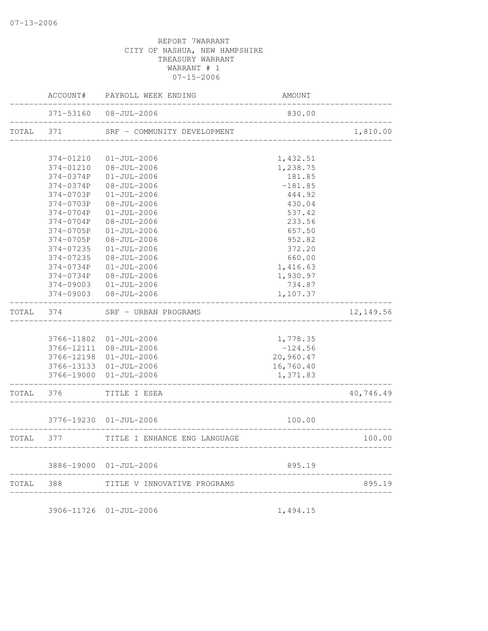|           | AMOUNT           | PAYROLL WEEK ENDING                    | ACCOUNT#               |       |
|-----------|------------------|----------------------------------------|------------------------|-------|
|           | 830.00           | $08 - JUL - 2006$                      | 371-53160              |       |
| 1,810.00  |                  | SRF - COMMUNITY DEVELOPMENT            | 371                    | TOTAL |
|           |                  |                                        |                        |       |
|           | 1,432.51         | $01 - JUL - 2006$                      | 374-01210              |       |
|           | 1,238.75         | $08 - JUL - 2006$                      | 374-01210              |       |
|           | 181.85           | $01 - JUL - 2006$                      | 374-0374P              |       |
|           | $-181.85$        | $08 - JUL - 2006$                      | 374-0374P              |       |
|           | 444.92           | $01 - JUL - 2006$                      | 374-0703P              |       |
|           | 430.04           | $08 - JUL - 2006$                      | 374-0703P              |       |
|           | 537.42           | $01 - JUL - 2006$                      | 374-0704P              |       |
|           | 233.56<br>657.50 | $08 - JUL - 2006$<br>$01 - JUL - 2006$ | 374-0704P<br>374-0705P |       |
|           | 952.82           |                                        |                        |       |
|           | 372.20           | $08 - JUL - 2006$<br>$01 - JUL - 2006$ | 374-0705P<br>374-07235 |       |
|           | 660.00           | $08 - JUL - 2006$                      | 374-07235              |       |
|           | 1,416.63         | $01 - JUL - 2006$                      | 374-0734P              |       |
|           | 1,930.97         | $08 - JUL - 2006$                      | 374-0734P              |       |
|           | 734.87           | $01 - JUL - 2006$                      | 374-09003              |       |
|           | 1,107.37         | $08 - JUL - 2006$                      | 374-09003              |       |
| 12,149.56 |                  | SRF - URBAN PROGRAMS                   | 374                    | TOTAL |
|           |                  |                                        |                        |       |
|           | 1,778.35         | $01 - JUL - 2006$                      | 3766-11802             |       |
|           | $-124.56$        | 08-JUL-2006                            | 3766-12111             |       |
|           | 20,960.47        | $01 - JUL - 2006$                      | 3766-12198             |       |
|           | 16,760.40        | $01 - JUL - 2006$                      | 3766-13133             |       |
|           | 1,371.83         | $01 - JUL - 2006$                      | 3766-19000             |       |
| 40,746.49 |                  | TITLE I ESEA                           | 376                    | TOTAL |
|           | 100.00           | $01 - JUL - 2006$                      | 3776-19230             |       |
|           |                  |                                        |                        |       |
| 100.00    |                  | TITLE I ENHANCE ENG LANGUAGE           | 377                    | TOTAL |
|           | 895.19           | 3886-19000 01-JUL-2006                 |                        |       |
| 895.19    |                  | TITLE V INNOVATIVE PROGRAMS            | 388                    | TOTAL |

3906-11726 01-JUL-2006 1,494.15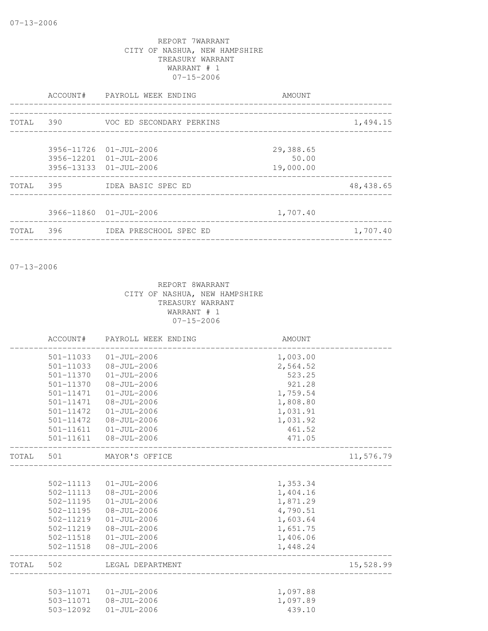|           |     | ACCOUNT# PAYROLL WEEK ENDING                                               | AMOUNT                          |            |
|-----------|-----|----------------------------------------------------------------------------|---------------------------------|------------|
| TOTAL 390 |     | VOC ED SECONDARY PERKINS                                                   |                                 | 1,494.15   |
|           |     | 3956-11726 01-JUL-2006<br>3956-12201 01-JUL-2006<br>3956-13133 01-JUL-2006 | 29,388.65<br>50.00<br>19,000.00 |            |
| TOTAL     | 395 | IDEA BASIC SPEC ED                                                         |                                 | 48, 438.65 |
|           |     | 3966-11860 01-JUL-2006                                                     | 1,707.40                        |            |
| TOTAL     | 396 | IDEA PRESCHOOL SPEC ED                                                     |                                 | 1,707.40   |

07-13-2006

|       | ACCOUNT#      | PAYROLL WEEK ENDING    | AMOUNT   |           |
|-------|---------------|------------------------|----------|-----------|
|       | 501-11033     | $01 - JUL - 2006$      | 1,003.00 |           |
|       | 501-11033     | $08 - JUL - 2006$      | 2,564.52 |           |
|       | 501-11370     | $01 - JUL - 2006$      | 523.25   |           |
|       | 501-11370     | $08 - JUL - 2006$      | 921.28   |           |
|       | 501-11471     | $01 - JUL - 2006$      | 1,759.54 |           |
|       | 501-11471     | 08-JUL-2006            | 1,808.80 |           |
|       | 501-11472     | $01 - JUL - 2006$      | 1,031.91 |           |
|       | 501-11472     | 08-JUL-2006            | 1,031.92 |           |
|       | 501-11611     | 01-JUL-2006            | 461.52   |           |
|       | 501-11611     | 08-JUL-2006            | 471.05   |           |
| TOTAL | 501           | MAYOR'S OFFICE         |          | 11,576.79 |
|       |               |                        |          |           |
|       | 502-11113     | 01-JUL-2006            | 1,353.34 |           |
|       | 502-11113     | $08 - JUL - 2006$      | 1,404.16 |           |
|       | $502 - 11195$ | $01 - JUL - 2006$      | 1,871.29 |           |
|       | $502 - 11195$ | $08 - JUL - 2006$      | 4,790.51 |           |
|       | 502-11219     | $01 - JUL - 2006$      | 1,603.64 |           |
|       | 502-11219     | 08-JUL-2006            | 1,651.75 |           |
|       | 502-11518     | 01-JUL-2006            | 1,406.06 |           |
|       | 502-11518     | $08 - JUL - 2006$      | 1,448.24 |           |
| TOTAL | 502           | LEGAL DEPARTMENT       |          | 15,528.99 |
|       |               |                        |          |           |
|       |               | 503-11071  01-JUL-2006 | 1,097.88 |           |
|       |               | 503-11071 08-JUL-2006  | 1,097.89 |           |
|       | 503-12092     | 01-JUL-2006            | 439.10   |           |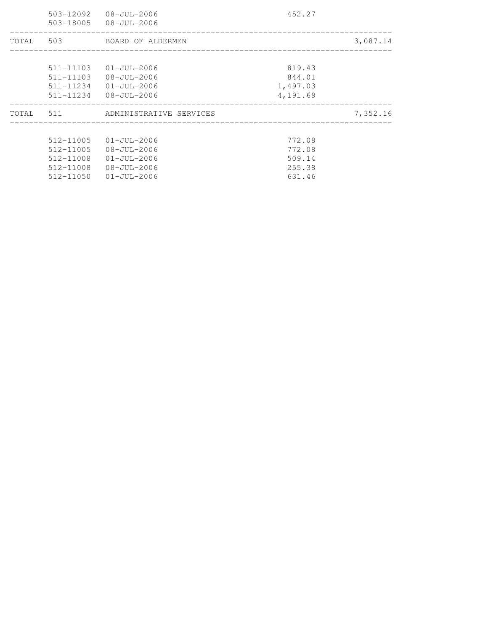|       | 503-12092     | 08-JUL-2006<br>503-18005 08-JUL-2006 | 452.27   |          |
|-------|---------------|--------------------------------------|----------|----------|
| TOTAL |               | 503 BOARD OF ALDERMEN                |          | 3,087.14 |
|       |               |                                      |          |          |
|       | 511-11103     | 01-JUL-2006                          | 819.43   |          |
|       | 511-11103     | 08-JUL-2006                          | 844.01   |          |
|       | 511-11234     | 01-JUL-2006                          | 1,497.03 |          |
|       | 511-11234     | 08-JUL-2006                          | 4,191.69 |          |
|       |               | TOTAL 511 ADMINISTRATIVE SERVICES    |          | 7,352.16 |
|       |               |                                      |          |          |
|       | $512 - 11005$ | $01 - JU1 - 2006$                    | 772.08   |          |
|       | 512-11005     | 08-JUL-2006                          | 772.08   |          |
|       | 512-11008     | 01-JUL-2006                          | 509.14   |          |
|       | 512-11008     | 08-JUL-2006                          | 255.38   |          |
|       | 512-11050     | 01-JUL-2006                          | 631.46   |          |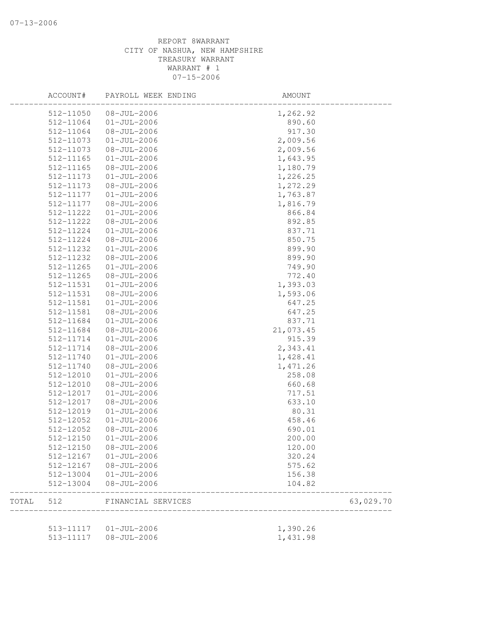|       | ACCOUNT#  | PAYROLL WEEK ENDING    | AMOUNT    |           |
|-------|-----------|------------------------|-----------|-----------|
|       | 512-11050 | $08 - JUL - 2006$      | 1,262.92  |           |
|       | 512-11064 | $01-JUL-2006$          | 890.60    |           |
|       | 512-11064 | $08 - JUL - 2006$      | 917.30    |           |
|       | 512-11073 | $01 - JUL - 2006$      | 2,009.56  |           |
|       | 512-11073 | $08 - JUL - 2006$      | 2,009.56  |           |
|       | 512-11165 | $01 - JUL - 2006$      | 1,643.95  |           |
|       | 512-11165 | $08 - JUL - 2006$      | 1,180.79  |           |
|       | 512-11173 | $01 - JUL - 2006$      | 1,226.25  |           |
|       | 512-11173 | $08 - JUL - 2006$      | 1,272.29  |           |
|       | 512-11177 | $01 - JUL - 2006$      | 1,763.87  |           |
|       | 512-11177 | $08 - JUL - 2006$      | 1,816.79  |           |
|       | 512-11222 | $01 - JUL - 2006$      | 866.84    |           |
|       | 512-11222 | $08 - JUL - 2006$      | 892.85    |           |
|       | 512-11224 | $01 - JUL - 2006$      | 837.71    |           |
|       | 512-11224 | $08 - JUL - 2006$      | 850.75    |           |
|       | 512-11232 | $01 - JUL - 2006$      | 899.90    |           |
|       | 512-11232 | $08 - JUL - 2006$      | 899.90    |           |
|       | 512-11265 | $01 - JUL - 2006$      | 749.90    |           |
|       | 512-11265 | $08 - JUL - 2006$      | 772.40    |           |
|       | 512-11531 | $01 - JUL - 2006$      | 1,393.03  |           |
|       | 512-11531 | $08 - JUL - 2006$      | 1,593.06  |           |
|       | 512-11581 | $01 - JUL - 2006$      | 647.25    |           |
|       | 512-11581 | $08 - JUL - 2006$      | 647.25    |           |
|       | 512-11684 | $01 - JUL - 2006$      | 837.71    |           |
|       | 512-11684 | $08 - JUL - 2006$      | 21,073.45 |           |
|       | 512-11714 | $01 - JUL - 2006$      | 915.39    |           |
|       | 512-11714 | $08 - JUL - 2006$      | 2,343.41  |           |
|       | 512-11740 | $01 - JUL - 2006$      | 1,428.41  |           |
|       | 512-11740 | $08 - JUL - 2006$      | 1,471.26  |           |
|       | 512-12010 | $01 - JUL - 2006$      | 258.08    |           |
|       | 512-12010 | $08 - JUL - 2006$      | 660.68    |           |
|       | 512-12017 | $01 - JUL - 2006$      | 717.51    |           |
|       | 512-12017 | $08 - JUL - 2006$      | 633.10    |           |
|       | 512-12019 | $01 - JUL - 2006$      | 80.31     |           |
|       | 512-12052 | $01 - JUL - 2006$      | 458.46    |           |
|       |           |                        | 690.01    |           |
|       | 512-12052 | $08 - JUL - 2006$      |           |           |
|       | 512-12150 | $01 - JUL - 2006$      | 200.00    |           |
|       | 512-12150 | 08-JUL-2006            | 120.00    |           |
|       | 512-12167 | $01 - JUL - 2006$      | 320.24    |           |
|       | 512-12167 | $08 - JUL - 2006$      | 575.62    |           |
|       | 512-13004 | $01 - JUL - 2006$      | 156.38    |           |
|       | 512-13004 | $08 - JUL - 2006$      | 104.82    |           |
| TOTAL | 512       | FINANCIAL SERVICES     |           | 63,029.70 |
|       |           | 513-11117  01-JUL-2006 | 1,390.26  |           |
|       | 513-11117 | $08 - JUL - 2006$      | 1,431.98  |           |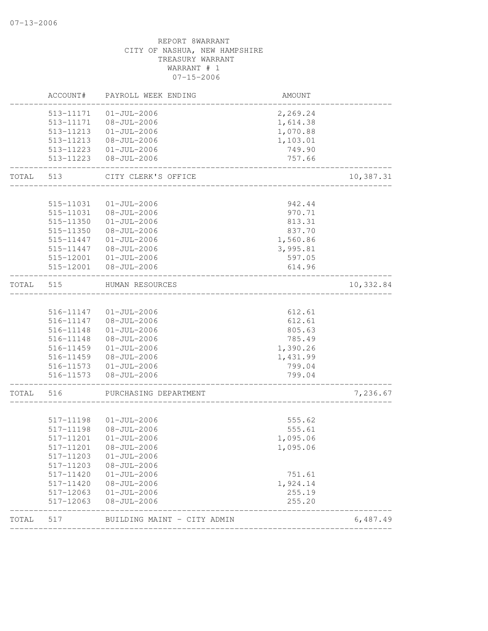|           | ACCOUNT#               | PAYROLL WEEK ENDING                    | AMOUNT                                  |           |
|-----------|------------------------|----------------------------------------|-----------------------------------------|-----------|
|           | 513-11171<br>513-11171 | $01 - JUL - 2006$<br>08-JUL-2006       | 2,269.24<br>1,614.38                    |           |
|           | 513-11213              | $01 - JUL - 2006$                      | 1,070.88                                |           |
|           | 513-11213              | 08-JUL-2006                            | 1,103.01                                |           |
|           | 513-11223<br>513-11223 | $01 - JUL - 2006$<br>$08 - JUL - 2006$ | 749.90<br>757.66                        |           |
| TOTAL     | 513                    | CITY CLERK'S OFFICE                    |                                         | 10,387.31 |
|           |                        |                                        |                                         |           |
|           | 515-11031              | $01 - JUL - 2006$                      | 942.44                                  |           |
|           | 515-11031              | $08 - JUL - 2006$                      | 970.71                                  |           |
|           | 515-11350              | $01 - JUL - 2006$                      | 813.31                                  |           |
|           | 515-11350              | $08 - JUL - 2006$                      | 837.70                                  |           |
|           | 515-11447              | $01 - JUL - 2006$                      | 1,560.86                                |           |
|           | 515-11447              | 08-JUL-2006<br>515-12001  01-JUL-2006  | 3,995.81<br>597.05                      |           |
|           | 515-12001              | $08 - JUL - 2006$                      | 614.96                                  |           |
| TOTAL 515 |                        | HUMAN RESOURCES                        |                                         | 10,332.84 |
|           |                        |                                        |                                         |           |
|           |                        | 516-11147  01-JUL-2006                 | 612.61                                  |           |
|           |                        | 516-11147 08-JUL-2006                  | 612.61                                  |           |
|           | 516-11148              | $01 - JUL - 2006$                      | 805.63                                  |           |
|           | 516-11148              | $08 - JUL - 2006$<br>$01 - JUL - 2006$ | 785.49                                  |           |
|           | 516-11459<br>516-11459 | 08-JUL-2006                            | 1,390.26<br>1,431.99                    |           |
|           |                        | 516-11573 01-JUL-2006                  | 799.04                                  |           |
|           | 516-11573              | $08 - JUL - 2006$                      | 799.04                                  |           |
| TOTAL     | 516                    | PURCHASING DEPARTMENT                  |                                         | 7,236.67  |
|           |                        |                                        |                                         |           |
|           |                        | 517-11198  01-JUL-2006                 | 555.62                                  |           |
|           | 517-11198              | $08 - JUL - 2006$                      | 555.61                                  |           |
|           | 517-11201              | $01 - JUL - 2006$                      | 1,095.06                                |           |
|           | 517-11201<br>517-11203 | 08-JUL-2006<br>$01 - JUL - 2006$       | 1,095.06                                |           |
|           |                        | 517-11203  08-JUL-2006                 |                                         |           |
|           |                        | 517-11420  01-JUL-2006                 | 751.61                                  |           |
|           |                        | 517-11420 08-JUL-2006                  | 1,924.14                                |           |
|           |                        |                                        |                                         |           |
|           | 517-12063              | $08 - JUL - 2006$                      | 255.20                                  |           |
| TOTAL 517 |                        | BUILDING MAINT - CITY ADMIN            |                                         | 6,487.49  |
|           |                        | 517-12063  01-JUL-2006                 | 255.19<br>_____________________________ |           |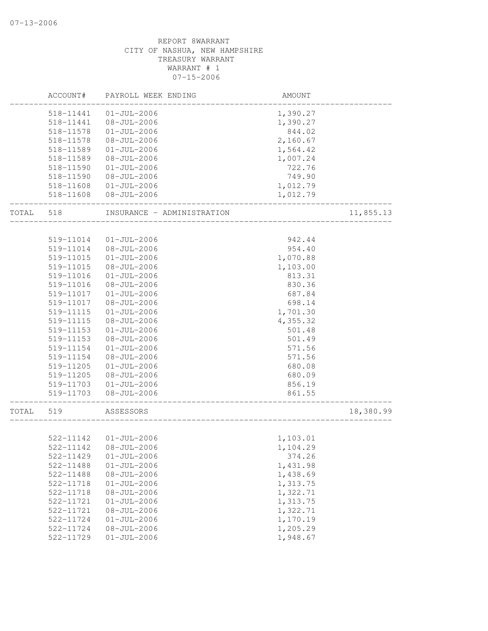|       | ACCOUNT#               | PAYROLL WEEK ENDING                    | AMOUNT           |           |
|-------|------------------------|----------------------------------------|------------------|-----------|
|       | 518-11441              | $01 - JUL - 2006$                      | 1,390.27         |           |
|       | 518-11441              | $08 - JUL - 2006$                      | 1,390.27         |           |
|       | 518-11578              | $01 - JUL - 2006$                      | 844.02           |           |
|       | 518-11578              | $08 - JUL - 2006$                      | 2,160.67         |           |
|       | 518-11589              | $01 - JUL - 2006$                      | 1,564.42         |           |
|       | 518-11589              | $08 - JUL - 2006$                      | 1,007.24         |           |
|       | 518-11590              | $01 - JUL - 2006$                      | 722.76           |           |
|       | 518-11590              | $08 - JUL - 2006$                      | 749.90           |           |
|       | 518-11608              | $01 - JUL - 2006$                      | 1,012.79         |           |
|       | 518-11608              | $08 - JUL - 2006$                      | 1,012.79         |           |
| TOTAL | 518                    | INSURANCE - ADMINISTRATION             |                  | 11,855.13 |
|       |                        |                                        |                  |           |
|       | 519-11014              | $01 - JUL - 2006$                      | 942.44           |           |
|       | 519-11014              | $08 - JUL - 2006$                      | 954.40           |           |
|       | 519-11015              | $01 - JUL - 2006$                      | 1,070.88         |           |
|       | 519-11015              | $08 - JUL - 2006$                      | 1,103.00         |           |
|       | 519-11016              | $01 - JUL - 2006$                      | 813.31           |           |
|       | 519-11016              | $08 - JUL - 2006$                      | 830.36           |           |
|       | 519-11017              | $01 - JUL - 2006$                      | 687.84           |           |
|       | 519-11017              | $08 - JUL - 2006$                      | 698.14           |           |
|       | 519-11115              | $01 - JUL - 2006$                      | 1,701.30         |           |
|       | 519-11115              | $08 - JUL - 2006$                      | 4,355.32         |           |
|       | 519-11153              | $01 - JUL - 2006$                      | 501.48           |           |
|       | 519-11153              | $08 - JUL - 2006$                      | 501.49           |           |
|       | 519-11154              | $01 - JUL - 2006$                      | 571.56           |           |
|       | 519-11154              | $08 - JUL - 2006$                      | 571.56           |           |
|       | 519-11205              | $01 - JUL - 2006$                      | 680.08           |           |
|       | 519-11205              | $08 - JUL - 2006$                      | 680.09           |           |
|       | 519-11703<br>519-11703 | $01 - JUL - 2006$<br>$08 - JUL - 2006$ | 856.19<br>861.55 |           |
| TOTAL | 519                    | ASSESSORS                              |                  | 18,380.99 |
|       |                        |                                        |                  |           |
|       | 522-11142              | $01 - JUL - 2006$                      | 1,103.01         |           |
|       |                        | 522-11142 08-JUL-2006                  | 1,104.29         |           |
|       | 522-11429              | $01 - JUL - 2006$                      | 374.26           |           |
|       | 522-11488              | $01 - JUL - 2006$                      | 1,431.98         |           |
|       | 522-11488              | $08 - JUL - 2006$                      | 1,438.69         |           |
|       | 522-11718              | $01 - JUL - 2006$                      | 1,313.75         |           |
|       | 522-11718              | $08 - JUL - 2006$                      | 1,322.71         |           |
|       | 522-11721              | $01 - JUL - 2006$                      | 1,313.75         |           |
|       | 522-11721              | $08 - JUL - 2006$                      | 1,322.71         |           |
|       | 522-11724              | $01 - JUL - 2006$                      | 1,170.19         |           |
|       | 522-11724              | $08 - JUL - 2006$                      | 1,205.29         |           |
|       | 522-11729              | $01 - JUL - 2006$                      | 1,948.67         |           |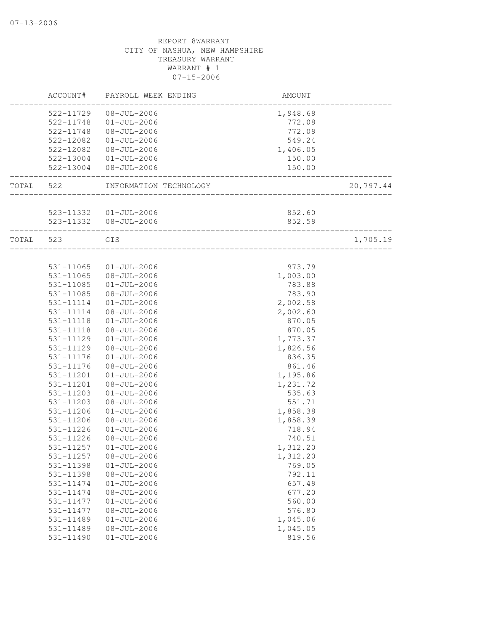|       | ACCOUNT#  | PAYROLL WEEK ENDING                                        | AMOUNT   |           |
|-------|-----------|------------------------------------------------------------|----------|-----------|
|       | 522-11729 | $08 - JUL - 2006$                                          | 1,948.68 |           |
|       | 522-11748 | $01 - JUL - 2006$                                          | 772.08   |           |
|       | 522-11748 | $08 - JUL - 2006$                                          | 772.09   |           |
|       | 522-12082 | $01 - JUL - 2006$                                          | 549.24   |           |
|       | 522-12082 | $08 - JUL - 2006$                                          | 1,406.05 |           |
|       | 522-13004 | $01 - JUL - 2006$                                          | 150.00   |           |
|       | 522-13004 | $08 - JUL - 2006$                                          | 150.00   |           |
| TOTAL | 522       | INFORMATION TECHNOLOGY                                     |          | 20,797.44 |
|       |           |                                                            |          |           |
|       |           | 523-11332  01-JUL-2006                                     | 852.60   |           |
|       |           | 523-11332  08-JUL-2006<br>________________________________ | 852.59   |           |
| TOTAL | 523       | GIS                                                        |          | 1,705.19  |
|       |           |                                                            |          |           |
|       | 531-11065 | $01 - JUL - 2006$                                          | 973.79   |           |
|       | 531-11065 | $08 - JUL - 2006$                                          | 1,003.00 |           |
|       | 531-11085 | $01 - JUL - 2006$                                          | 783.88   |           |
|       | 531-11085 | $08 - JUL - 2006$                                          | 783.90   |           |
|       | 531-11114 | $01 - JUL - 2006$                                          | 2,002.58 |           |
|       | 531-11114 | $08 - JUL - 2006$                                          | 2,002.60 |           |
|       | 531-11118 | $01 - JUL - 2006$                                          | 870.05   |           |
|       | 531-11118 | $08 - JUL - 2006$                                          | 870.05   |           |
|       | 531-11129 | $01 - JUL - 2006$                                          | 1,773.37 |           |
|       | 531-11129 | $08 - JUL - 2006$                                          | 1,826.56 |           |
|       | 531-11176 | $01 - JUL - 2006$                                          | 836.35   |           |
|       | 531-11176 | $08 - JUL - 2006$                                          | 861.46   |           |
|       | 531-11201 | $01 - JUL - 2006$                                          | 1,195.86 |           |
|       | 531-11201 | $08 - JUL - 2006$                                          | 1,231.72 |           |
|       | 531-11203 | $01 - JUL - 2006$                                          | 535.63   |           |
|       | 531-11203 | $08 - JUL - 2006$                                          | 551.71   |           |
|       | 531-11206 | $01 - JUL - 2006$                                          | 1,858.38 |           |
|       | 531-11206 | $08 - JUL - 2006$                                          | 1,858.39 |           |
|       | 531-11226 | $01 - JUL - 2006$                                          | 718.94   |           |
|       | 531-11226 | $08 - JUL - 2006$                                          | 740.51   |           |
|       | 531-11257 | $01 - JUL - 2006$                                          | 1,312.20 |           |
|       | 531-11257 | $08 - JUL - 2006$                                          | 1,312.20 |           |
|       | 531-11398 | $01 - JUL - 2006$                                          | 769.05   |           |
|       | 531-11398 | $08 - JUL - 2006$                                          | 792.11   |           |
|       | 531-11474 | $01 - JUL - 2006$                                          | 657.49   |           |
|       | 531-11474 | $08 - JUL - 2006$                                          | 677.20   |           |
|       | 531-11477 | $01 - JUL - 2006$                                          | 560.00   |           |
|       | 531-11477 | $08 - JUL - 2006$                                          | 576.80   |           |
|       | 531-11489 | $01 - JUL - 2006$                                          | 1,045.06 |           |
|       | 531-11489 | $08 - JUL - 2006$                                          | 1,045.05 |           |
|       | 531-11490 | $01 - JUL - 2006$                                          | 819.56   |           |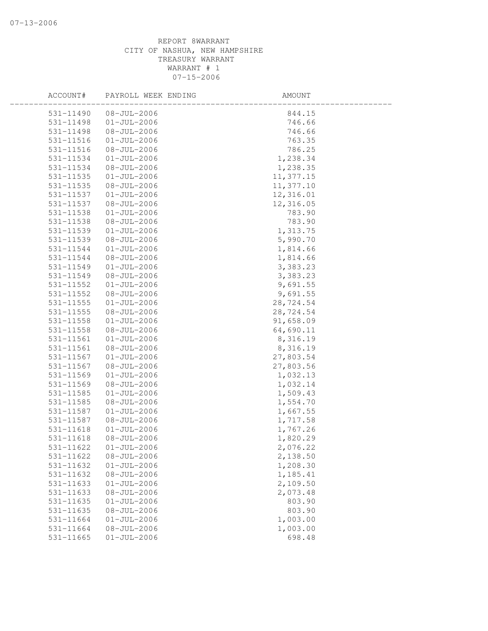| ACCOUNT#  | PAYROLL WEEK ENDING | AMOUNT    |  |
|-----------|---------------------|-----------|--|
| 531-11490 | $08 - JUL - 2006$   | 844.15    |  |
| 531-11498 | $01 - JUL - 2006$   | 746.66    |  |
| 531-11498 | $08 - JUL - 2006$   | 746.66    |  |
| 531-11516 | $01 - JUL - 2006$   | 763.35    |  |
| 531-11516 | $08 - JUL - 2006$   | 786.25    |  |
| 531-11534 | $01 - JUL - 2006$   | 1,238.34  |  |
| 531-11534 | $08 - JUL - 2006$   | 1,238.35  |  |
| 531-11535 | $01 - JUL - 2006$   | 11,377.15 |  |
| 531-11535 | $08 - JUL - 2006$   | 11,377.10 |  |
| 531-11537 | $01 - JUL - 2006$   | 12,316.01 |  |
| 531-11537 | $08 - JUL - 2006$   | 12,316.05 |  |
| 531-11538 | $01 - JUL - 2006$   | 783.90    |  |
| 531-11538 | $08 - JUL - 2006$   | 783.90    |  |
| 531-11539 | $01 - JUL - 2006$   | 1,313.75  |  |
| 531-11539 | $08 - JUL - 2006$   | 5,990.70  |  |
| 531-11544 | $01 - JUL - 2006$   | 1,814.66  |  |
| 531-11544 | $08 - JUL - 2006$   | 1,814.66  |  |
| 531-11549 | $01 - JUL - 2006$   | 3,383.23  |  |
| 531-11549 | $08 - JUL - 2006$   | 3,383.23  |  |
| 531-11552 | $01 - JUL - 2006$   | 9,691.55  |  |
| 531-11552 | $08 - JUL - 2006$   | 9,691.55  |  |
| 531-11555 | $01-JUL-2006$       | 28,724.54 |  |
| 531-11555 | $08 - JUL - 2006$   | 28,724.54 |  |
| 531-11558 | $01 - JUL - 2006$   | 91,658.09 |  |
| 531-11558 | $08 - JUL - 2006$   | 64,690.11 |  |
| 531-11561 | $01 - JUL - 2006$   | 8,316.19  |  |
| 531-11561 | $08 - JUL - 2006$   | 8,316.19  |  |
| 531-11567 | $01 - JUL - 2006$   | 27,803.54 |  |
| 531-11567 | $08 - JUL - 2006$   | 27,803.56 |  |
| 531-11569 | $01 - JUL - 2006$   | 1,032.13  |  |
| 531-11569 | $08 - JUL - 2006$   | 1,032.14  |  |
| 531-11585 | $01 - JUL - 2006$   | 1,509.43  |  |
| 531-11585 | $08 - JUL - 2006$   | 1,554.70  |  |
| 531-11587 | $01 - JUL - 2006$   | 1,667.55  |  |
| 531-11587 | $08 - JUL - 2006$   | 1,717.58  |  |
| 531-11618 | $01 - JUL - 2006$   | 1,767.26  |  |
| 531-11618 | $08 - JUL - 2006$   | 1,820.29  |  |
| 531-11622 | $01 - JUL - 2006$   | 2,076.22  |  |
| 531-11622 | $08 - JUL - 2006$   | 2,138.50  |  |
| 531-11632 | $01 - JUL - 2006$   | 1,208.30  |  |
| 531-11632 | $08 - JUL - 2006$   | 1,185.41  |  |
| 531-11633 | $01 - JUL - 2006$   | 2,109.50  |  |
| 531-11633 | $08 - JUL - 2006$   | 2,073.48  |  |
| 531-11635 | $01 - JUL - 2006$   | 803.90    |  |
| 531-11635 | $08 - JUL - 2006$   | 803.90    |  |
| 531-11664 | $01 - JUL - 2006$   | 1,003.00  |  |
| 531-11664 | $08 - JUL - 2006$   | 1,003.00  |  |
| 531-11665 | $01 - JUL - 2006$   | 698.48    |  |
|           |                     |           |  |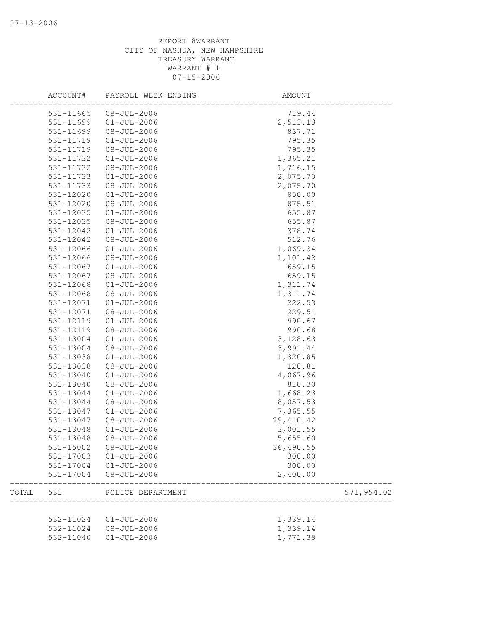|       | ACCOUNT#      | PAYROLL WEEK ENDING | AMOUNT    |            |
|-------|---------------|---------------------|-----------|------------|
|       | 531-11665     | $08 - JUL - 2006$   | 719.44    |            |
|       | 531-11699     | $01 - JUL - 2006$   | 2,513.13  |            |
|       | 531-11699     | $08 - JUL - 2006$   | 837.71    |            |
|       | 531-11719     | $01 - JUL - 2006$   | 795.35    |            |
|       | 531-11719     | $08 - JUL - 2006$   | 795.35    |            |
|       | 531-11732     | $01 - JUL - 2006$   | 1,365.21  |            |
|       | 531-11732     | $08 - JUL - 2006$   | 1,716.15  |            |
|       | 531-11733     | $01 - JUL - 2006$   | 2,075.70  |            |
|       | 531-11733     | $08 - JUL - 2006$   | 2,075.70  |            |
|       | 531-12020     | $01 - JUL - 2006$   | 850.00    |            |
|       | 531-12020     | $08 - JUL - 2006$   | 875.51    |            |
|       | 531-12035     | $01 - JUL - 2006$   | 655.87    |            |
|       | 531-12035     | $08 - JUL - 2006$   | 655.87    |            |
|       | 531-12042     | $01 - JUL - 2006$   | 378.74    |            |
|       | 531-12042     | $08 - JUL - 2006$   | 512.76    |            |
|       | 531-12066     | $01 - JUL - 2006$   | 1,069.34  |            |
|       | 531-12066     | $08 - JUL - 2006$   | 1,101.42  |            |
|       | 531-12067     | $01 - JUL - 2006$   | 659.15    |            |
|       | 531-12067     | $08 - JUL - 2006$   | 659.15    |            |
|       | 531-12068     | $01 - JUL - 2006$   | 1,311.74  |            |
|       | 531-12068     | $08 - JUL - 2006$   | 1,311.74  |            |
|       | 531-12071     | $01 - JUL - 2006$   | 222.53    |            |
|       | 531-12071     | $08 - JUL - 2006$   | 229.51    |            |
|       | 531-12119     | $01 - JUL - 2006$   | 990.67    |            |
|       | 531-12119     | $08 - JUL - 2006$   | 990.68    |            |
|       | 531-13004     | $01 - JUL - 2006$   | 3,128.63  |            |
|       | 531-13004     | $08 - JUL - 2006$   | 3,991.44  |            |
|       | 531-13038     | $01 - JUL - 2006$   | 1,320.85  |            |
|       | 531-13038     | $08 - JUL - 2006$   | 120.81    |            |
|       | 531-13040     | $01 - JUL - 2006$   | 4,067.96  |            |
|       | 531-13040     | $08 - JUL - 2006$   | 818.30    |            |
|       | 531-13044     | $01 - JUL - 2006$   | 1,668.23  |            |
|       | 531-13044     | $08 - JUL - 2006$   | 8,057.53  |            |
|       | 531-13047     | $01 - JUL - 2006$   | 7,365.55  |            |
|       | 531-13047     | $08 - JUL - 2006$   | 29,410.42 |            |
|       | $531 - 13048$ | $01 - JUL - 2006$   | 3,001.55  |            |
|       | 531-13048     | $08 - JUL - 2006$   | 5,655.60  |            |
|       | 531-15002     | $08 - JUL - 2006$   | 36,490.55 |            |
|       | 531-17003     | $01 - JUL - 2006$   | 300.00    |            |
|       | 531-17004     | $01 - JUL - 2006$   | 300.00    |            |
|       | 531-17004     | $08 - JUL - 2006$   | 2,400.00  |            |
| TOTAL | 531           | POLICE DEPARTMENT   |           | 571,954.02 |
|       |               |                     |           |            |
|       | 532-11024     | $01 - JUL - 2006$   | 1,339.14  |            |
|       | 532-11024     | $08 - JUL - 2006$   | 1,339.14  |            |
|       | 532-11040     | $01 - JUL - 2006$   | 1,771.39  |            |
|       |               |                     |           |            |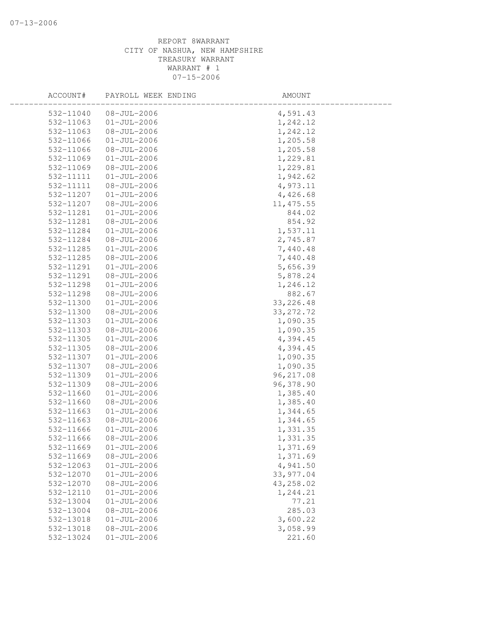| ACCOUNT#  | PAYROLL WEEK ENDING | AMOUNT     |
|-----------|---------------------|------------|
| 532-11040 | $08 - JUL - 2006$   | 4,591.43   |
| 532-11063 | $01 - JUL - 2006$   | 1,242.12   |
| 532-11063 | $08 - JUL - 2006$   | 1,242.12   |
| 532-11066 | $01 - JUL - 2006$   | 1,205.58   |
| 532-11066 | $08 - JUL - 2006$   | 1,205.58   |
| 532-11069 | $01 - JUL - 2006$   | 1,229.81   |
| 532-11069 | $08 - JUL - 2006$   | 1,229.81   |
| 532-11111 | $01 - JUL - 2006$   | 1,942.62   |
| 532-11111 | $08 - JUL - 2006$   | 4,973.11   |
| 532-11207 | $01 - JUL - 2006$   | 4,426.68   |
| 532-11207 | $08 - JUL - 2006$   | 11, 475.55 |
| 532-11281 | $01 - JUL - 2006$   | 844.02     |
| 532-11281 | $08 - JUL - 2006$   | 854.92     |
| 532-11284 | $01 - JUL - 2006$   | 1,537.11   |
| 532-11284 | $08 - JUL - 2006$   | 2,745.87   |
| 532-11285 | $01 - JUL - 2006$   | 7,440.48   |
| 532-11285 | $08 - JUL - 2006$   | 7,440.48   |
| 532-11291 | $01-JUL-2006$       | 5,656.39   |
| 532-11291 | $08 - JUL - 2006$   | 5,878.24   |
| 532-11298 | $01 - JUL - 2006$   | 1,246.12   |
| 532-11298 | $08 - JUL - 2006$   | 882.67     |
| 532-11300 | $01 - JUL - 2006$   | 33, 226.48 |
| 532-11300 | $08 - JUL - 2006$   | 33, 272.72 |
| 532-11303 | $01 - JUL - 2006$   | 1,090.35   |
| 532-11303 | $08 - JUL - 2006$   | 1,090.35   |
| 532-11305 | $01 - JUL - 2006$   | 4,394.45   |
| 532-11305 | $08 - JUL - 2006$   | 4,394.45   |
| 532-11307 | $01 - JUL - 2006$   | 1,090.35   |
| 532-11307 | $08 - JUL - 2006$   | 1,090.35   |
| 532-11309 | $01 - JUL - 2006$   | 96, 217.08 |
| 532-11309 | $08 - JUL - 2006$   | 96,378.90  |
| 532-11660 | $01 - JUL - 2006$   | 1,385.40   |
| 532-11660 | $08 - JUL - 2006$   | 1,385.40   |
| 532-11663 | $01 - JUL - 2006$   | 1,344.65   |
| 532-11663 | $08 - JUL - 2006$   | 1,344.65   |
| 532-11666 | $01-JUL-2006$       | 1,331.35   |
| 532-11666 | $08 - JUL - 2006$   | 1,331.35   |
| 532-11669 | $01 - JUL - 2006$   | 1,371.69   |
| 532-11669 | $08 - JUL - 2006$   | 1,371.69   |
| 532-12063 | $01 - JUL - 2006$   | 4,941.50   |
| 532-12070 | $01 - JUL - 2006$   | 33, 977.04 |
| 532-12070 | $08 - JUL - 2006$   | 43,258.02  |
| 532-12110 | $01 - JUL - 2006$   | 1,244.21   |
| 532-13004 | $01 - JUL - 2006$   | 77.21      |
| 532-13004 | $08 - JUL - 2006$   | 285.03     |
| 532-13018 | $01 - JUL - 2006$   | 3,600.22   |
| 532-13018 | $08 - JUL - 2006$   | 3,058.99   |
| 532-13024 | $01 - JUL - 2006$   | 221.60     |
|           |                     |            |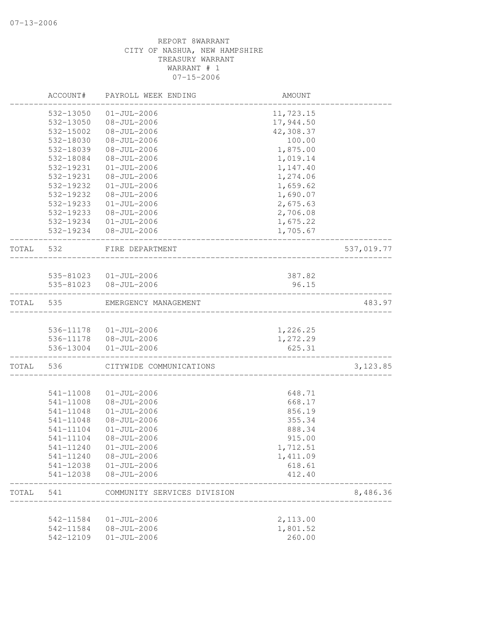|       | 542-11584<br>542-11584<br>542-12109 | $01 - JUL - 2006$<br>$08 - JUL - 2006$<br>$01 - JUL - 2006$ | 2,113.00<br>1,801.52<br>260.00 |            |
|-------|-------------------------------------|-------------------------------------------------------------|--------------------------------|------------|
| TOTAL | 541                                 | COMMUNITY SERVICES DIVISION                                 |                                | 8,486.36   |
|       | 541-12038<br>541-12038              | $08 - JUL - 2006$                                           | 618.61<br>412.40               |            |
|       | 541-11240                           | $08 - JUL - 2006$<br>$01 - JUL - 2006$                      | 1,411.09                       |            |
|       | 541-11240                           | $01 - JUL - 2006$                                           | 1,712.51                       |            |
|       | 541-11104                           | $08 - JUL - 2006$                                           | 915.00                         |            |
|       | 541-11104                           | $01 - JUL - 2006$                                           | 888.34                         |            |
|       | 541-11048                           | $08 - JUL - 2006$                                           | 355.34                         |            |
|       | 541-11048                           | $01 - JUL - 2006$                                           | 856.19                         |            |
|       | 541-11008<br>541-11008              | $01 - JUL - 2006$<br>$08 - JUL - 2006$                      | 648.71<br>668.17               |            |
|       |                                     |                                                             |                                |            |
| TOTAL | 536                                 | CITYWIDE COMMUNICATIONS                                     |                                | 3, 123.85  |
|       | 536-13004                           | 536-11178  08-JUL-2006<br>$01 - JUL - 2006$                 | 1,272.29<br>625.31             |            |
|       |                                     | 536-11178  01-JUL-2006                                      | 1,226.25                       |            |
| TOTAL | 535                                 | EMERGENCY MANAGEMENT                                        |                                | 483.97     |
|       |                                     | 535-81023  08-JUL-2006                                      | 96.15                          |            |
|       |                                     | 535-81023  01-JUL-2006                                      | 387.82                         |            |
| TOTAL | 532                                 | FIRE DEPARTMENT                                             |                                | 537,019.77 |
|       | 532-19234<br>532-19234              | 01-JUL-2006<br>08-JUL-2006                                  | 1,675.22<br>1,705.67           |            |
|       | 532-19233                           | $08 - JUL - 2006$                                           | 2,706.08                       |            |
|       | 532-19233                           | $01 - JUL - 2006$                                           | 2,675.63                       |            |
|       | 532-19232                           | $08 - JUL - 2006$                                           | 1,690.07                       |            |
|       | 532-19232                           | $01 - JUL - 2006$                                           | 1,659.62                       |            |
|       | 532-19231                           | $08 - JUL - 2006$                                           | 1,274.06                       |            |
|       | 532-19231                           | $01 - JUL - 2006$                                           | 1,147.40                       |            |
|       | 532-18084                           | $08 - JUL - 2006$                                           | 1,019.14                       |            |
|       | 532-18039                           | $08 - JUL - 2006$                                           | 1,875.00                       |            |
|       | 532-18030                           | $08 - JUL - 2006$                                           | 100.00                         |            |
|       | 532-15002                           | $08 - JUL - 2006$                                           | 42,308.37                      |            |
|       | 532-13050                           | 08-JUL-2006                                                 | 17,944.50                      |            |
|       | 532-13050                           | $01 - JUL - 2006$                                           | 11,723.15                      |            |
|       | ACCOUNT#                            | PAYROLL WEEK ENDING                                         | AMOUNT                         |            |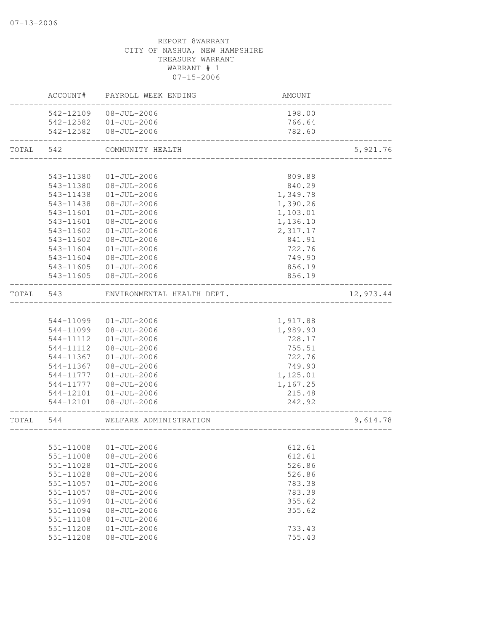|           | ACCOUNT#  | PAYROLL WEEK ENDING        | AMOUNT                             |           |
|-----------|-----------|----------------------------|------------------------------------|-----------|
|           |           | 542-12109 08-JUL-2006      | 198.00                             |           |
|           |           | 542-12582  01-JUL-2006     | 766.64                             |           |
|           |           | 542-12582  08-JUL-2006     | 782.60                             |           |
| TOTAL     | 542       | COMMUNITY HEALTH           |                                    | 5,921.76  |
|           |           |                            |                                    |           |
|           | 543-11380 | $01 - JUL - 2006$          | 809.88                             |           |
|           | 543-11380 | $08 - JUL - 2006$          | 840.29                             |           |
|           | 543-11438 | $01 - JUL - 2006$          | 1,349.78                           |           |
|           | 543-11438 | 08-JUL-2006                | 1,390.26                           |           |
|           | 543-11601 | $01 - JUL - 2006$          | 1,103.01                           |           |
|           | 543-11601 | 08-JUL-2006                | 1,136.10                           |           |
|           | 543-11602 | $01 - JUL - 2006$          | 2,317.17                           |           |
|           | 543-11602 | $08 - JUL - 2006$          | 841.91                             |           |
|           | 543-11604 | $01 - JUL - 2006$          | 722.76                             |           |
|           | 543-11604 | $08 - JUL - 2006$          | 749.90                             |           |
|           | 543-11605 | $01 - JUL - 2006$          | 856.19                             |           |
|           |           | 543-11605 08-JUL-2006      | 856.19                             |           |
| TOTAL     | 543       | ENVIRONMENTAL HEALTH DEPT. |                                    | 12,973.44 |
|           |           |                            |                                    |           |
|           | 544-11099 | $01 - JUL - 2006$          | 1,917.88                           |           |
|           | 544-11099 | 08-JUL-2006                | 1,989.90                           |           |
|           | 544-11112 | $01 - JUL - 2006$          | 728.17                             |           |
|           | 544-11112 | 08-JUL-2006                | 755.51                             |           |
|           | 544-11367 | $01 - JUL - 2006$          | 722.76                             |           |
|           | 544-11367 | 08-JUL-2006                | 749.90                             |           |
|           | 544-11777 | $01 - JUL - 2006$          | 1,125.01                           |           |
|           | 544-11777 | 08-JUL-2006                | 1,167.25                           |           |
|           | 544-12101 | $01 - JUL - 2006$          | 215.48                             |           |
|           |           | 544-12101  08-JUL-2006     | 242.92<br>---------------------    |           |
| TOTAL 544 |           | WELFARE ADMINISTRATION     | __________________________________ | 9,614.78  |
|           |           |                            |                                    |           |
|           |           | 551-11008 01-JUL-2006      | 612.61                             |           |
|           | 551-11008 | $08 - JUL - 2006$          | 612.61                             |           |
|           | 551-11028 | $01 - JUL - 2006$          | 526.86                             |           |
|           | 551-11028 | $08 - JUL - 2006$          | 526.86                             |           |
|           | 551-11057 | $01 - JUL - 2006$          | 783.38                             |           |
|           | 551-11057 | $08 - JUL - 2006$          | 783.39                             |           |
|           | 551-11094 | $01 - JUL - 2006$          | 355.62                             |           |
|           | 551-11094 | $08 - JUL - 2006$          | 355.62                             |           |
|           | 551-11108 | $01 - JUL - 2006$          |                                    |           |
|           | 551-11208 | $01 - JUL - 2006$          | 733.43                             |           |
|           | 551-11208 | $08 - JUL - 2006$          | 755.43                             |           |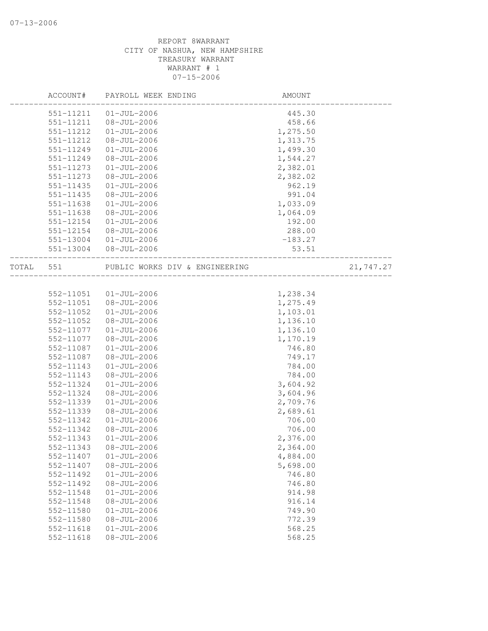|       | ACCOUNT#      | PAYROLL WEEK ENDING            | AMOUNT    |           |
|-------|---------------|--------------------------------|-----------|-----------|
|       | 551-11211     | $01 - JUL - 2006$              | 445.30    |           |
|       | 551-11211     | $08 - JUL - 2006$              | 458.66    |           |
|       | 551-11212     | $01 - JUL - 2006$              | 1,275.50  |           |
|       | 551-11212     | $08 - JUL - 2006$              | 1,313.75  |           |
|       | 551-11249     | $01 - JUL - 2006$              | 1,499.30  |           |
|       | 551-11249     | $08 - JUL - 2006$              | 1,544.27  |           |
|       | 551-11273     | $01 - JUL - 2006$              | 2,382.01  |           |
|       | 551-11273     | $08 - JUL - 2006$              | 2,382.02  |           |
|       | 551-11435     | $01 - JUL - 2006$              | 962.19    |           |
|       | 551-11435     | $08 - JUL - 2006$              | 991.04    |           |
|       | 551-11638     | $01 - JUL - 2006$              | 1,033.09  |           |
|       | 551-11638     | $08 - JUL - 2006$              | 1,064.09  |           |
|       | 551-12154     | $01 - JUL - 2006$              | 192.00    |           |
|       | 551-12154     | $08 - JUL - 2006$              | 288.00    |           |
|       | 551-13004     | $01 - JUL - 2006$              | $-183.27$ |           |
|       | 551-13004     | 08-JUL-2006                    | 53.51     |           |
| TOTAL | 551           | PUBLIC WORKS DIV & ENGINEERING |           | 21,747.27 |
|       |               |                                |           |           |
|       | 552-11051     | $01 - JUL - 2006$              | 1,238.34  |           |
|       | 552-11051     | $08 - JUL - 2006$              | 1,275.49  |           |
|       | 552-11052     | $01 - JUL - 2006$              | 1,103.01  |           |
|       | 552-11052     | $08 - JUL - 2006$              | 1,136.10  |           |
|       | 552-11077     | $01 - JUL - 2006$              | 1,136.10  |           |
|       | 552-11077     | $08 - JUL - 2006$              | 1,170.19  |           |
|       | 552-11087     | $01 - JUL - 2006$              | 746.80    |           |
|       | 552-11087     | $08 - JUL - 2006$              | 749.17    |           |
|       | 552-11143     | $01 - JUL - 2006$              | 784.00    |           |
|       | 552-11143     | $08 - JUL - 2006$              | 784.00    |           |
|       | 552-11324     | $01 - JUL - 2006$              | 3,604.92  |           |
|       | 552-11324     | $08 - JUL - 2006$              | 3,604.96  |           |
|       | 552-11339     | $01 - JUL - 2006$              | 2,709.76  |           |
|       | 552-11339     | $08 - JUL - 2006$              | 2,689.61  |           |
|       | 552-11342     | $01 - JUL - 2006$              | 706.00    |           |
|       | 552-11342     | $08 - JUL - 2006$              | 706.00    |           |
|       | 552-11343     | $01 - JUL - 2006$              | 2,376.00  |           |
|       | 552-11343     | $08 - JUL - 2006$              | 2,364.00  |           |
|       | 552-11407     | $01 - JUL - 2006$              | 4,884.00  |           |
|       | 552-11407     | $08 - JUL - 2006$              | 5,698.00  |           |
|       | 552-11492     | $01 - JUL - 2006$              | 746.80    |           |
|       | 552-11492     | $08 - JUL - 2006$              | 746.80    |           |
|       | 552-11548     | $01 - JUL - 2006$              | 914.98    |           |
|       | 552-11548     | $08 - JUL - 2006$              | 916.14    |           |
|       | 552-11580     | $01 - JUL - 2006$              | 749.90    |           |
|       | 552-11580     | $08 - JUL - 2006$              | 772.39    |           |
|       | $552 - 11618$ | $01 - JUL - 2006$              | 568.25    |           |
|       | 552-11618     | $08 - JUL - 2006$              | 568.25    |           |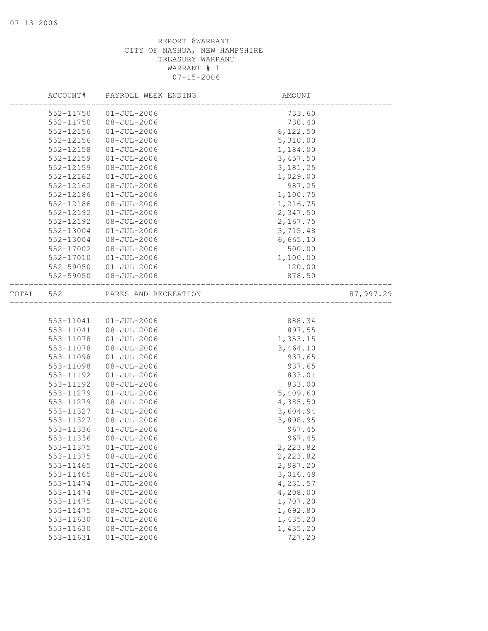|       | ACCOUNT#  | PAYROLL WEEK ENDING  | AMOUNT    |           |
|-------|-----------|----------------------|-----------|-----------|
|       | 552-11750 | $01 - JUL - 2006$    | 733.60    |           |
|       | 552-11750 | $08 - JUL - 2006$    | 730.40    |           |
|       | 552-12156 | $01 - JUL - 2006$    | 6, 122.50 |           |
|       | 552-12156 | $08 - JUL - 2006$    | 5,310.00  |           |
|       | 552-12158 | $01 - JUL - 2006$    | 1,184.00  |           |
|       | 552-12159 | $01 - JUL - 2006$    | 3,457.50  |           |
|       | 552-12159 | $08 - JUL - 2006$    | 3, 181.25 |           |
|       | 552-12162 | $01 - JUL - 2006$    | 1,029.00  |           |
|       | 552-12162 | $08 - JUL - 2006$    | 987.25    |           |
|       | 552-12186 | $01 - JUL - 2006$    | 1,100.75  |           |
|       | 552-12186 | $08 - JUL - 2006$    | 1,216.75  |           |
|       | 552-12192 | $01 - JUL - 2006$    | 2,347.50  |           |
|       | 552-12192 | $08 - JUL - 2006$    | 2,167.75  |           |
|       | 552-13004 | $01 - JUL - 2006$    | 3,715.48  |           |
|       | 552-13004 | $08 - JUL - 2006$    | 6,665.10  |           |
|       | 552-17002 | $08 - JUL - 2006$    | 500.00    |           |
|       | 552-17010 | $01 - JUL - 2006$    | 1,100.00  |           |
|       | 552-59050 | $01 - JUL - 2006$    | 120.00    |           |
|       | 552-59050 | $08 - JUL - 2006$    | 878.50    |           |
| TOTAL | 552       | PARKS AND RECREATION |           | 87,997.29 |
|       |           |                      |           |           |
|       | 553-11041 | $01 - JUL - 2006$    | 888.34    |           |
|       | 553-11041 | 08-JUL-2006          | 897.55    |           |
|       | 553-11078 | $01 - JUL - 2006$    | 1,353.15  |           |
|       | 553-11078 | $08 - JUL - 2006$    | 3,464.10  |           |
|       | 553-11098 | $01 - JUL - 2006$    | 937.65    |           |
|       | 553-11098 | $08 - JUL - 2006$    | 937.65    |           |
|       | 553-11192 | $01 - JUL - 2006$    | 833.01    |           |
|       | 553-11192 | $08 - JUL - 2006$    | 833.00    |           |
|       | 553-11279 | $01 - JUL - 2006$    | 5,409.60  |           |
|       | 553-11279 | $08 - JUL - 2006$    | 4,385.50  |           |
|       | 553-11327 | $01 - JUL - 2006$    | 3,604.94  |           |
|       | 553-11327 | $08 - JUL - 2006$    | 3,898.95  |           |
|       | 553-11336 | $01 - JUL - 2006$    | 967.45    |           |
|       | 553-11336 | 08-JUL-2006          | 967.45    |           |
|       | 553-11375 | $01 - JUL - 2006$    | 2,223.82  |           |
|       | 553-11375 | $08 - JUL - 2006$    | 2,223.82  |           |
|       | 553-11465 | $01 - JUL - 2006$    | 2,987.20  |           |
|       | 553-11465 | $08 - JUL - 2006$    | 3,016.49  |           |
|       | 553-11474 | $01 - JUL - 2006$    | 4,231.57  |           |
|       | 553-11474 | $08 - JUL - 2006$    | 4,208.00  |           |
|       | 553-11475 | $01 - JUL - 2006$    | 1,707.20  |           |
|       | 553-11475 | $08 - JUL - 2006$    | 1,692.80  |           |
|       | 553-11630 | $01 - JUL - 2006$    | 1,435.20  |           |
|       | 553-11630 | $08 - JUL - 2006$    | 1,435.20  |           |
|       | 553-11631 | $01 - JUL - 2006$    | 727.20    |           |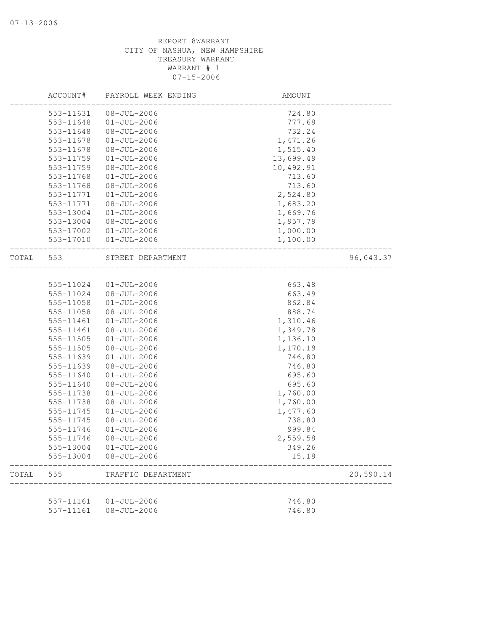|       | ACCOUNT#  | PAYROLL WEEK ENDING | AMOUNT    |           |
|-------|-----------|---------------------|-----------|-----------|
|       | 553-11631 | $08 - JUL - 2006$   | 724.80    |           |
|       | 553-11648 | $01 - JUL - 2006$   | 777.68    |           |
|       | 553-11648 | $08 - JUL - 2006$   | 732.24    |           |
|       | 553-11678 | $01 - JUL - 2006$   | 1,471.26  |           |
|       | 553-11678 | $08 - JUL - 2006$   | 1,515.40  |           |
|       | 553-11759 | $01 - JUL - 2006$   | 13,699.49 |           |
|       | 553-11759 | 08-JUL-2006         | 10,492.91 |           |
|       | 553-11768 | $01 - JUL - 2006$   | 713.60    |           |
|       | 553-11768 | 08-JUL-2006         | 713.60    |           |
|       | 553-11771 | $01 - JUL - 2006$   | 2,524.80  |           |
|       | 553-11771 | 08-JUL-2006         | 1,683.20  |           |
|       | 553-13004 | $01 - JUL - 2006$   | 1,669.76  |           |
|       | 553-13004 | $08 - JUL - 2006$   | 1,957.79  |           |
|       | 553-17002 | $01 - JUL - 2006$   | 1,000.00  |           |
|       | 553-17010 | $01 - JUL - 2006$   | 1,100.00  |           |
| TOTAL | 553       | STREET DEPARTMENT   |           | 96,043.37 |
|       |           |                     |           |           |
|       | 555-11024 | $01 - JUL - 2006$   | 663.48    |           |
|       | 555-11024 | 08-JUL-2006         | 663.49    |           |
|       | 555-11058 | $01 - JUL - 2006$   | 862.84    |           |
|       | 555-11058 | $08 - JUL - 2006$   | 888.74    |           |
|       | 555-11461 | $01 - JUL - 2006$   | 1,310.46  |           |
|       | 555-11461 | 08-JUL-2006         | 1,349.78  |           |
|       | 555-11505 | $01 - JUL - 2006$   | 1,136.10  |           |
|       | 555-11505 | $08 - JUL - 2006$   | 1,170.19  |           |
|       | 555-11639 | $01 - JUL - 2006$   | 746.80    |           |
|       | 555-11639 | 08-JUL-2006         | 746.80    |           |
|       | 555-11640 | $01 - JUL - 2006$   | 695.60    |           |
|       | 555-11640 | $08 - JUL - 2006$   | 695.60    |           |
|       | 555-11738 | $01 - JUL - 2006$   | 1,760.00  |           |
|       | 555-11738 | $08 - JUL - 2006$   | 1,760.00  |           |
|       | 555-11745 | $01 - JUL - 2006$   | 1,477.60  |           |
|       | 555-11745 | $08 - JUL - 2006$   | 738.80    |           |
|       | 555-11746 | $01 - JUL - 2006$   | 999.84    |           |
|       | 555-11746 | $08 - JUL - 2006$   | 2,559.58  |           |
|       | 555-13004 | $01 - JUL - 2006$   | 349.26    |           |
|       | 555-13004 | $08 - JUL - 2006$   | 15.18     |           |
| TOTAL | 555       | TRAFFIC DEPARTMENT  |           | 20,590.14 |
|       |           |                     |           |           |
|       | 557-11161 | $01 - JUL - 2006$   | 746.80    |           |
|       | 557-11161 | $08 - JUL - 2006$   | 746.80    |           |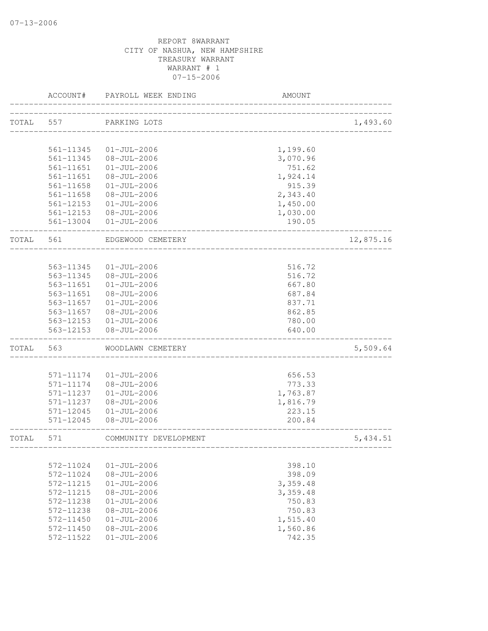|              | ACCOUNT#               | PAYROLL WEEK ENDING                    | AMOUNT             |           |
|--------------|------------------------|----------------------------------------|--------------------|-----------|
| TOTAL        | 557                    | PARKING LOTS                           |                    | 1,493.60  |
|              |                        |                                        |                    |           |
|              | 561-11345              | $01 - JUL - 2006$                      | 1,199.60           |           |
|              | 561-11345              | $08 - JUL - 2006$                      | 3,070.96           |           |
|              | 561-11651              | $01 - JUL - 2006$                      | 751.62             |           |
|              | 561-11651              | 08-JUL-2006                            | 1,924.14           |           |
|              | 561-11658              | $01 - JUL - 2006$                      | 915.39             |           |
|              | $561 - 11658$          | $08 - JUL - 2006$                      | 2,343.40           |           |
|              | 561-12153              | $01 - JUL - 2006$                      | 1,450.00           |           |
|              | 561-12153              | 08-JUL-2006                            | 1,030.00           |           |
|              |                        | 561-13004 01-JUL-2006                  | 190.05             |           |
| TOTAL        | 561                    | EDGEWOOD CEMETERY                      |                    | 12,875.16 |
|              |                        |                                        |                    |           |
|              | 563-11345<br>563-11345 | $01 - JUL - 2006$                      | 516.72             |           |
|              | 563-11651              | $08 - JUL - 2006$<br>$01 - JUL - 2006$ | 516.72<br>667.80   |           |
|              | 563-11651              | $08 - JUL - 2006$                      | 687.84             |           |
|              | 563-11657              | $01 - JUL - 2006$                      | 837.71             |           |
|              | 563-11657              | 08-JUL-2006                            | 862.85             |           |
|              | 563-12153              | $01 - JUL - 2006$                      | 780.00             |           |
|              | 563-12153              | 08-JUL-2006                            | 640.00             |           |
| TOTAL        | 563                    | WOODLAWN CEMETERY                      |                    | 5,509.64  |
|              |                        |                                        |                    |           |
|              | 571-11174              | $01 - JUL - 2006$                      | 656.53             |           |
|              | 571-11174              | 08-JUL-2006                            | 773.33             |           |
|              | 571-11237              | $01 - JUL - 2006$                      | 1,763.87           |           |
|              | 571-11237              | 08-JUL-2006                            | 1,816.79           |           |
|              | $571 - 12045$          | $01 - JUL - 2006$                      | 223.15             |           |
|              | 571-12045              | $08 - JUL - 2006$                      | 200.84             |           |
| <b>TOTAL</b> | 571                    | COMMUNITY DEVELOPMENT                  | ------------------ | 5,434.51  |
|              | 572-11024              | $01 - JUL - 2006$                      | 398.10             |           |
|              | 572-11024              | $08 - JUL - 2006$                      | 398.09             |           |
|              | 572-11215              | $01 - JUL - 2006$                      | 3,359.48           |           |
|              | 572-11215              | $08 - JUL - 2006$                      | 3,359.48           |           |
|              | 572-11238              | $01 - JUL - 2006$                      | 750.83             |           |
|              | 572-11238              | $08 - JUL - 2006$                      | 750.83             |           |
|              | $572 - 11450$          | $01 - JUL - 2006$                      | 1,515.40           |           |
|              | 572-11450              | $08 - JUL - 2006$                      | 1,560.86           |           |
|              | 572-11522              | $01 - JUL - 2006$                      | 742.35             |           |
|              |                        |                                        |                    |           |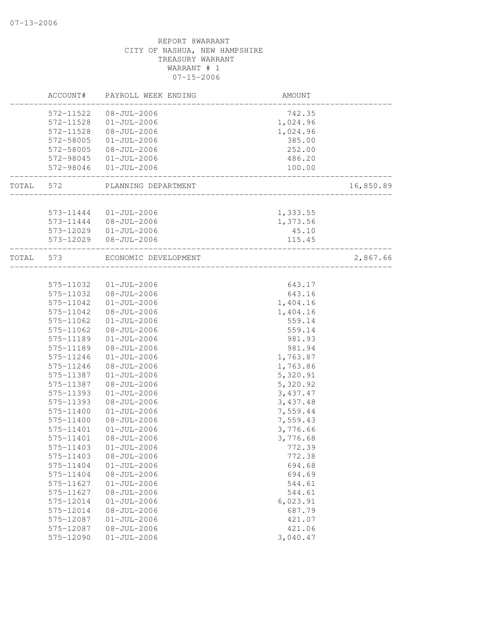|       | ACCOUNT#               | PAYROLL WEEK ENDING                    | AMOUNT                            |           |
|-------|------------------------|----------------------------------------|-----------------------------------|-----------|
|       | 572-11522              | 08-JUL-2006                            | 742.35                            |           |
|       | 572-11528              | $01 - JUL - 2006$                      | 1,024.96                          |           |
|       | 572-11528              | 08-JUL-2006                            | 1,024.96                          |           |
|       | 572-58005              | $01 - JUL - 2006$                      | 385.00                            |           |
|       | 572-58005              | 08-JUL-2006                            | 252.00                            |           |
|       | 572-98045              | $01 - JUL - 2006$                      | 486.20                            |           |
|       | 572-98046              | $01 - JUL - 2006$                      | 100.00                            |           |
| TOTAL | 572                    | PLANNING DEPARTMENT                    | _________________________         | 16,850.89 |
|       |                        |                                        |                                   |           |
|       | 573-11444              | 01-JUL-2006                            | 1,333.55                          |           |
|       |                        | 573-11444 08-JUL-2006                  | 1,373.56                          |           |
|       |                        | 573-12029  01-JUL-2006                 | 45.10                             |           |
|       | 573-12029              | $08 - JUL - 2006$                      | 115.45                            |           |
|       | TOTAL 573              | ECONOMIC DEVELOPMENT                   | . _ _ _ _ _ _ _ _ _ _ _ _ _ _ _ _ | 2,867.66  |
|       |                        |                                        |                                   |           |
|       | 575-11032              | 01-JUL-2006                            | 643.17                            |           |
|       | 575-11032              | $08 - JUL - 2006$                      | 643.16                            |           |
|       | 575-11042              | $01 - JUL - 2006$                      | 1,404.16                          |           |
|       | 575-11042              | $08 - JUL - 2006$                      | 1,404.16                          |           |
|       | 575-11062              | $01 - JUL - 2006$                      | 559.14                            |           |
|       | 575-11062              | $08 - JUL - 2006$                      | 559.14                            |           |
|       | 575-11189              | $01 - JUL - 2006$                      | 981.93                            |           |
|       | 575-11189              | $08 - JUL - 2006$                      | 981.94                            |           |
|       | 575-11246              | $01 - JUL - 2006$                      | 1,763.87                          |           |
|       | 575-11246              | $08 - JUL - 2006$                      | 1,763.86                          |           |
|       | 575-11387              | $01 - JUL - 2006$                      | 5,320.91                          |           |
|       | 575-11387              | $08 - JUL - 2006$                      | 5,320.92                          |           |
|       | 575-11393              | $01 - JUL - 2006$                      | 3,437.47                          |           |
|       | 575-11393              | $08 - JUL - 2006$                      | 3,437.48                          |           |
|       | 575-11400              | $01 - JUL - 2006$                      | 7,559.44                          |           |
|       | 575-11400              | $08 - JUL - 2006$                      | 7,559.43                          |           |
|       | 575-11401              | $01 - JUL - 2006$                      | 3,776.66                          |           |
|       | 575-11401              | $08 - JUL - 2006$                      | 3,776.68                          |           |
|       | 575-11403              | $01 - JUL - 2006$                      | 772.39                            |           |
|       | 575-11403              | $08 - JUL - 2006$<br>$01 - JUL - 2006$ | 772.38<br>694.68                  |           |
|       | 575-11404<br>575-11404 | $08 - JUL - 2006$                      | 694.69                            |           |
|       | 575-11627              | $01 - JUL - 2006$                      | 544.61                            |           |
|       | 575-11627              | $08 - JUL - 2006$                      | 544.61                            |           |
|       | 575-12014              | $01 - JUL - 2006$                      | 6,023.91                          |           |
|       | 575-12014              | $08 - JUL - 2006$                      | 687.79                            |           |
|       | 575-12087              | $01 - JUL - 2006$                      | 421.07                            |           |
|       | 575-12087              | $08 - JUL - 2006$                      | 421.06                            |           |
|       | 575-12090              | $01 - JUL - 2006$                      | 3,040.47                          |           |
|       |                        |                                        |                                   |           |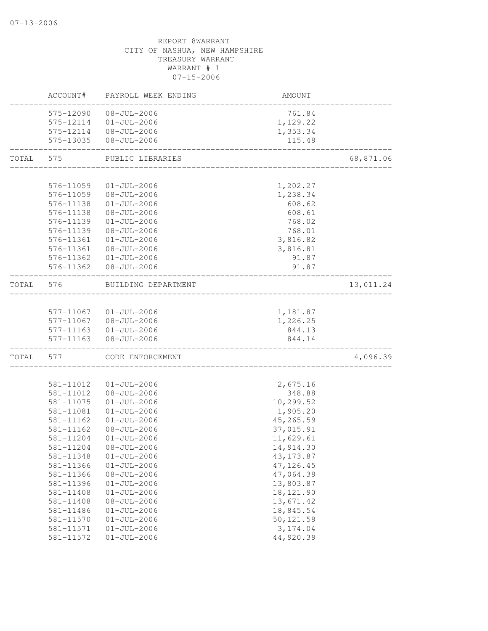# REPORT 8WARRANT CITY OF NASHUA, NEW HAMPSHIRE TREASURY WARRANT WARRANT # 1 07-15-2006 ACCOUNT# PAYROLL WEEK ENDING AMOUNT -------------------------------------------------------------------------------- 575-12090 08-JUL-2006 575-12114 01-JUL-2006 1,129.22 575-12114 08-JUL-2006 1,353.34 575-13035 08-JUL-2006 115.48 -------------------------------------------------------------------------------- TOTAL 575 PUBLIC LIBRARIES 68,871.06 -------------------------------------------------------------------------------- 576-11059 01-JUL-2006 1,202.27 576-11059 08-JUL-2006 1,238.34 576-11138 01-JUL-2006 608.62 576-11138 08-JUL-2006 608.61 576-11139 01-JUL-2006 768.02 576-11139 08-JUL-2006 576-11361 01-JUL-2006 3,816.82 576-11361 08-JUL-2006 3,816.81 576-11362 01-JUL-2006 91.87 576-11362 08-JUL-2006 91.87 -------------------------------------------------------------------------------- TOTAL 576 BUILDING DEPARTMENT 13,011.24 -------------------------------------------------------------------------------- 577-11067 01-JUL-2006 1,181.87 577-11067 08-JUL-2006 1,226.25 577-11163 01-JUL-2006 844.13 577-11163 08-JUL-2006 844.14 -------------------------------------------------------------------------------- TOTAL 577 CODE ENFORCEMENT 4,096.39 -------------------------------------------------------------------------------- 581-11012 01-JUL-2006 2,675.16 581-11012 08-JUL-2006 348.88 581-11075 01-JUL-2006 10,299.52 581-11081 01-JUL-2006 1,905.20 581-11162 01-JUL-2006 45,265.59 581-11162 08-JUL-2006 37,015.91 581-11204 01-JUL-2006 11,629.61 581-11204 08-JUL-2006 14,914.30 581-11348 01-JUL-2006 43,173.87 581-11366 01-JUL-2006 47,126.45 581-11366 08-JUL-2006 47,064.38 581-11396 01-JUL-2006 13,803.87 581-11408 01-JUL-2006 581-11408 08-JUL-2006 13,671.42 581-11486 01-JUL-2006 18,845.54

581-11570 01-JUL-2006 50,121.58 581-11571 01-JUL-2006 3,174.04 581-11572 01-JUL-2006 44,920.39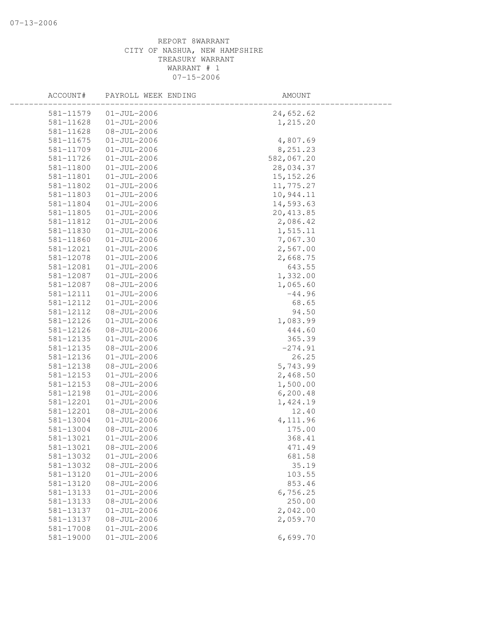| ACCOUNT#  | PAYROLL WEEK ENDING | AMOUNT     |  |
|-----------|---------------------|------------|--|
| 581-11579 | $01 - JUL - 2006$   | 24,652.62  |  |
| 581-11628 | $01 - JUL - 2006$   | 1,215.20   |  |
| 581-11628 | $08 - JUL - 2006$   |            |  |
| 581-11675 | $01 - JUL - 2006$   | 4,807.69   |  |
| 581-11709 | $01 - JUL - 2006$   | 8,251.23   |  |
| 581-11726 | $01 - JUL - 2006$   | 582,067.20 |  |
| 581-11800 | $01 - JUL - 2006$   | 28,034.37  |  |
| 581-11801 | $01 - JUL - 2006$   | 15, 152.26 |  |
| 581-11802 | $01 - JUL - 2006$   | 11,775.27  |  |
| 581-11803 | $01 - JUL - 2006$   | 10,944.11  |  |
| 581-11804 | $01 - JUL - 2006$   | 14,593.63  |  |
| 581-11805 | $01 - JUL - 2006$   | 20, 413.85 |  |
| 581-11812 | $01 - JUL - 2006$   | 2,086.42   |  |
| 581-11830 | $01 - JUL - 2006$   | 1,515.11   |  |
| 581-11860 | $01 - JUL - 2006$   | 7,067.30   |  |
| 581-12021 | $01 - JUL - 2006$   | 2,567.00   |  |
| 581-12078 | $01 - JUL - 2006$   | 2,668.75   |  |
| 581-12081 | $01 - JUL - 2006$   | 643.55     |  |
| 581-12087 | $01 - JUL - 2006$   | 1,332.00   |  |
| 581-12087 | $08 - JUL - 2006$   | 1,065.60   |  |
| 581-12111 | $01 - JUL - 2006$   | $-44.96$   |  |
| 581-12112 | $01 - JUL - 2006$   | 68.65      |  |
| 581-12112 | $08 - JUL - 2006$   | 94.50      |  |
| 581-12126 | $01 - JUL - 2006$   | 1,083.99   |  |
| 581-12126 | $08 - JUL - 2006$   | 444.60     |  |
| 581-12135 | $01 - JUL - 2006$   | 365.39     |  |
| 581-12135 | $08 - JUL - 2006$   | $-274.91$  |  |
| 581-12136 | $01 - JUL - 2006$   | 26.25      |  |
| 581-12138 | $08 - JUL - 2006$   | 5,743.99   |  |
| 581-12153 | $01 - JUL - 2006$   | 2,468.50   |  |
| 581-12153 | $08 - JUL - 2006$   | 1,500.00   |  |
| 581-12198 | $01 - JUL - 2006$   | 6, 200.48  |  |
| 581-12201 | $01 - JUL - 2006$   | 1,424.19   |  |
| 581-12201 | $08 - JUL - 2006$   | 12.40      |  |
| 581-13004 | $01 - JUL - 2006$   | 4,111.96   |  |
| 581-13004 | $08 - JUL - 2006$   | 175.00     |  |
| 581-13021 | $01 - JUL - 2006$   | 368.41     |  |
| 581-13021 | $08 - JUL - 2006$   | 471.49     |  |
| 581-13032 | $01 - JUL - 2006$   | 681.58     |  |
| 581-13032 | $08 - JUL - 2006$   | 35.19      |  |
| 581-13120 | $01 - JUL - 2006$   | 103.55     |  |
| 581-13120 | $08 - JUL - 2006$   | 853.46     |  |
| 581-13133 | $01 - JUL - 2006$   | 6,756.25   |  |
| 581-13133 | $08 - JUL - 2006$   | 250.00     |  |
| 581-13137 | $01 - JUL - 2006$   | 2,042.00   |  |
| 581-13137 | $08 - JUL - 2006$   | 2,059.70   |  |
| 581-17008 | $01 - JUL - 2006$   |            |  |
| 581-19000 | $01 - JUL - 2006$   | 6,699.70   |  |
|           |                     |            |  |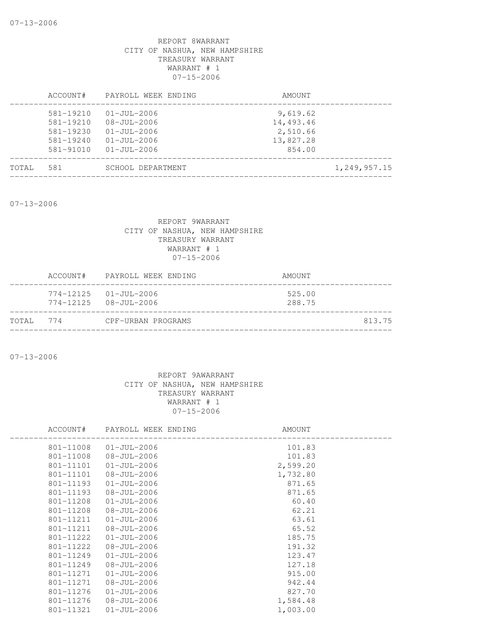|       | ACCOUNT#                                                         | PAYROLL WEEK ENDING                                                              | AMOUNT                                         |
|-------|------------------------------------------------------------------|----------------------------------------------------------------------------------|------------------------------------------------|
|       | $581 - 19210$<br>$581 - 19210$<br>$581 - 19230$<br>$581 - 19240$ | $01 - JUL - 2006$<br>$08 - JU1 - 2006$<br>$01 - JU1 - 2006$<br>$01 - JUL - 2006$ | 9,619.62<br>14,493.46<br>2,510.66<br>13,827.28 |
|       | 581-91010                                                        | $01 - JU1 - 2006$                                                                | 854.00                                         |
| TOTAL | 581                                                              | SCHOOL DEPARTMENT                                                                | 1,249,957.15                                   |

07-13-2006

# REPORT 9WARRANT CITY OF NASHUA, NEW HAMPSHIRE TREASURY WARRANT WARRANT # 1 07-15-2006

|           | ACCOUNT# PAYROLL WEEK ENDING                                       | AMOUNT           |
|-----------|--------------------------------------------------------------------|------------------|
|           | $774 - 12125$ $01 - JUL - 2006$<br>$774 - 12125$ $08 - JUL - 2006$ | 525.00<br>288.75 |
| TOTAL 774 | CPF-URBAN PROGRAMS                                                 | 813.75           |

07-13-2006

| PAYROLL WEEK ENDING | AMOUNT   |
|---------------------|----------|
| $01 - JUL - 2006$   | 101.83   |
| $08 - JUL - 2006$   | 101.83   |
| $01 - JUL - 2006$   | 2,599.20 |
| $08 - JUL - 2006$   | 1,732.80 |
| $01 - JUL - 2006$   | 871.65   |
| $08 - JUL - 2006$   | 871.65   |
| $01 - JUL - 2006$   | 60.40    |
| $08 - JUL - 2006$   | 62.21    |
| $01 - JUL - 2006$   | 63.61    |
| $08 - JUL - 2006$   | 65.52    |
| $01 - JUL - 2006$   | 185.75   |
| $08 - JU1 - 2006$   | 191.32   |
| $01 - JUL - 2006$   | 123.47   |
| $08 - JUL - 2006$   | 127.18   |
| $01 - JUL - 2006$   | 915.00   |
| $08 - JUL - 2006$   | 942.44   |
| $01 - JU1 - 2006$   | 827.70   |
| $08 - JUL - 2006$   | 1,584.48 |
| $01 - JUL - 2006$   | 1,003.00 |
|                     |          |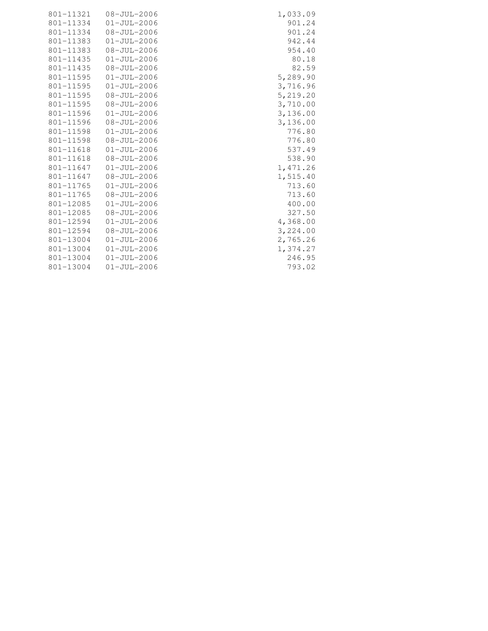|               | 801-11321  08-JUL-2006 | 1,033.09 |
|---------------|------------------------|----------|
| 801-11334     | $01 - JUL - 2006$      | 901.24   |
| 801-11334     | $08 - JUL - 2006$      | 901.24   |
|               | 801-11383 01-JUL-2006  | 942.44   |
| 801-11383     | 08-JUL-2006            | 954.40   |
| 801-11435     | $01 - JUL - 2006$      | 80.18    |
| 801-11435     | 08-JUL-2006            | 82.59    |
|               | 801-11595  01-JUL-2006 | 5,289.90 |
| 801-11595     | $01 - JUL - 2006$      | 3,716.96 |
| 801-11595     | 08-JUL-2006            | 5,219.20 |
|               | 801-11595 08-JUL-2006  | 3,710.00 |
| 801-11596     | 01-JUL-2006            | 3,136.00 |
| 801-11596     | $08 - JUL - 2006$      | 3,136.00 |
|               | 801-11598  01-JUL-2006 | 776.80   |
| 801-11598     | $08 - JUL - 2006$      | 776.80   |
| 801-11618     | $01 - JUL - 2006$      | 537.49   |
| 801-11618     | 08-JUL-2006            | 538.90   |
| 801-11647     | 01-JUL-2006            | 1,471.26 |
| 801-11647     | 08-JUL-2006            | 1,515.40 |
| 801-11765     | $01 - JUL - 2006$      | 713.60   |
| 801-11765     | 08-JUL-2006            | 713.60   |
| 801-12085     | $01 - JUL - 2006$      | 400.00   |
| 801-12085     | $08 - JUL - 2006$      | 327.50   |
| 801-12594     | 01-JUL-2006            | 4,368.00 |
| 801-12594     | 08-JUL-2006            | 3,224.00 |
| $801 - 13004$ | $01 - JUL - 2006$      | 2,765.26 |
| 801-13004     | $01 - JUL - 2006$      | 1,374.27 |
| 801-13004     | 01-JUL-2006            | 246.95   |
| 801-13004     | $01 - JUL - 2006$      | 793.02   |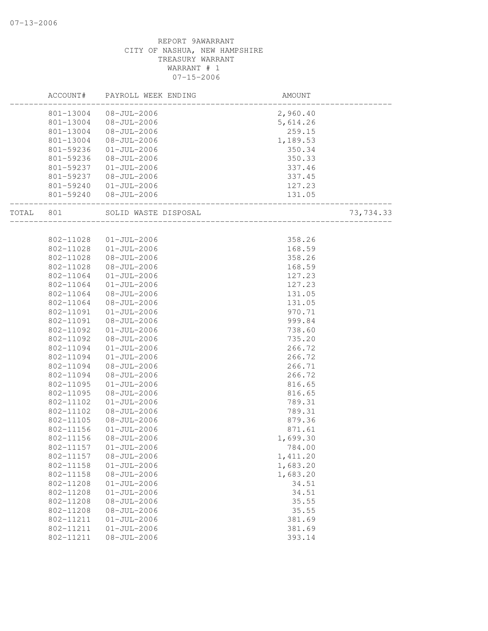|       | ACCOUNT#  | PAYROLL WEEK ENDING  | AMOUNT   |           |
|-------|-----------|----------------------|----------|-----------|
|       | 801-13004 | $08 - JUL - 2006$    | 2,960.40 |           |
|       | 801-13004 | $08 - JUL - 2006$    | 5,614.26 |           |
|       | 801-13004 | $08 - JUL - 2006$    | 259.15   |           |
|       | 801-13004 | $08 - JUL - 2006$    | 1,189.53 |           |
|       | 801-59236 | $01 - JUL - 2006$    | 350.34   |           |
|       | 801-59236 | $08 - JUL - 2006$    | 350.33   |           |
|       | 801-59237 | $01 - JUL - 2006$    | 337.46   |           |
|       | 801-59237 | $08 - JUL - 2006$    | 337.45   |           |
|       | 801-59240 | $01 - JUL - 2006$    | 127.23   |           |
|       | 801-59240 | $08 - JUL - 2006$    | 131.05   |           |
| TOTAL | 801       | SOLID WASTE DISPOSAL |          | 73,734.33 |
|       |           |                      |          |           |
|       | 802-11028 | $01 - JUL - 2006$    | 358.26   |           |
|       | 802-11028 | $01 - JUL - 2006$    | 168.59   |           |
|       | 802-11028 | $08 - JUL - 2006$    | 358.26   |           |
|       | 802-11028 | $08 - JUL - 2006$    | 168.59   |           |
|       | 802-11064 | $01 - JUL - 2006$    | 127.23   |           |
|       | 802-11064 | $01 - JUL - 2006$    | 127.23   |           |
|       | 802-11064 | $08 - JUL - 2006$    | 131.05   |           |
|       | 802-11064 | $08 - JUL - 2006$    | 131.05   |           |
|       | 802-11091 | $01 - JUL - 2006$    | 970.71   |           |
|       | 802-11091 | $08 - JUL - 2006$    | 999.84   |           |
|       | 802-11092 | $01 - JUL - 2006$    | 738.60   |           |
|       | 802-11092 | $08 - JUL - 2006$    | 735.20   |           |
|       | 802-11094 | $01 - JUL - 2006$    | 266.72   |           |
|       | 802-11094 | $01 - JUL - 2006$    | 266.72   |           |
|       | 802-11094 | $08 - JUL - 2006$    | 266.71   |           |
|       | 802-11094 | $08 - JUL - 2006$    | 266.72   |           |
|       | 802-11095 | $01 - JUL - 2006$    | 816.65   |           |
|       | 802-11095 | $08 - JUL - 2006$    | 816.65   |           |
|       | 802-11102 | $01 - JUL - 2006$    | 789.31   |           |
|       | 802-11102 | $08 - JUL - 2006$    | 789.31   |           |
|       | 802-11105 | $08 - JUL - 2006$    | 879.36   |           |
|       | 802-11156 | $01 - JUL - 2006$    | 871.61   |           |
|       | 802-11156 | $08 - JUL - 2006$    | 1,699.30 |           |
|       | 802-11157 | $01 - JUL - 2006$    | 784.00   |           |
|       | 802-11157 | $08 - JUL - 2006$    | 1,411.20 |           |
|       | 802-11158 | $01 - JUL - 2006$    | 1,683.20 |           |
|       | 802-11158 | $08 - JUL - 2006$    | 1,683.20 |           |
|       | 802-11208 | $01 - JUL - 2006$    | 34.51    |           |
|       | 802-11208 | $01 - JUL - 2006$    | 34.51    |           |
|       | 802-11208 | $08 - JUL - 2006$    | 35.55    |           |
|       | 802-11208 | $08 - JUL - 2006$    | 35.55    |           |
|       | 802-11211 | $01 - JUL - 2006$    | 381.69   |           |
|       | 802-11211 | $01 - JUL - 2006$    | 381.69   |           |
|       | 802-11211 | $08 - JUL - 2006$    | 393.14   |           |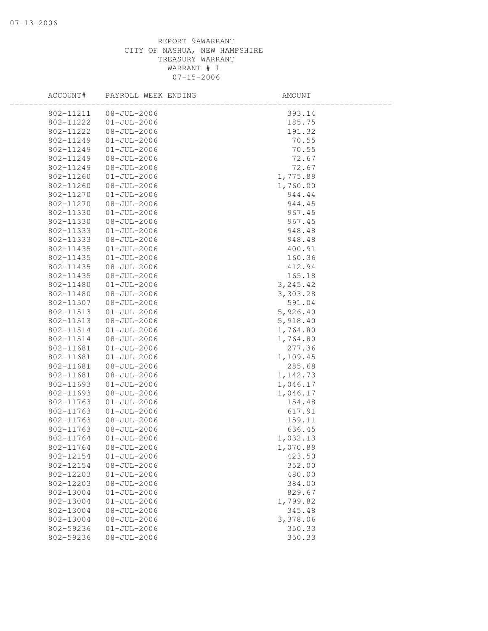| ACCOUNT#  | PAYROLL WEEK ENDING | AMOUNT    |  |
|-----------|---------------------|-----------|--|
| 802-11211 | $08 - JUL - 2006$   | 393.14    |  |
| 802-11222 | $01 - JUL - 2006$   | 185.75    |  |
| 802-11222 | $08 - JUL - 2006$   | 191.32    |  |
| 802-11249 | $01 - JUL - 2006$   | 70.55     |  |
| 802-11249 | $01 - JUL - 2006$   | 70.55     |  |
| 802-11249 | $08 - JUL - 2006$   | 72.67     |  |
| 802-11249 | $08 - JUL - 2006$   | 72.67     |  |
| 802-11260 | $01 - JUL - 2006$   | 1,775.89  |  |
| 802-11260 | $08 - JUL - 2006$   | 1,760.00  |  |
| 802-11270 | $01 - JUL - 2006$   | 944.44    |  |
| 802-11270 | $08 - JUL - 2006$   | 944.45    |  |
| 802-11330 | $01 - JUL - 2006$   | 967.45    |  |
| 802-11330 | $08 - JUL - 2006$   | 967.45    |  |
| 802-11333 | $01 - JUL - 2006$   | 948.48    |  |
| 802-11333 | $08 - JUL - 2006$   | 948.48    |  |
| 802-11435 | $01 - JUL - 2006$   | 400.91    |  |
| 802-11435 | $01 - JUL - 2006$   | 160.36    |  |
| 802-11435 | $08 - JUL - 2006$   | 412.94    |  |
| 802-11435 | $08 - JUL - 2006$   | 165.18    |  |
| 802-11480 | $01 - JUL - 2006$   | 3, 245.42 |  |
| 802-11480 | $08 - JUL - 2006$   | 3,303.28  |  |
| 802-11507 | $08 - JUL - 2006$   | 591.04    |  |
| 802-11513 | $01 - JUL - 2006$   | 5,926.40  |  |
| 802-11513 | $08 - JUL - 2006$   | 5,918.40  |  |
| 802-11514 | $01 - JUL - 2006$   | 1,764.80  |  |
| 802-11514 | $08 - JUL - 2006$   | 1,764.80  |  |
| 802-11681 | $01 - JUL - 2006$   | 277.36    |  |
| 802-11681 | $01 - JUL - 2006$   | 1,109.45  |  |
| 802-11681 | $08 - JUL - 2006$   | 285.68    |  |
| 802-11681 | $08 - JUL - 2006$   | 1,142.73  |  |
| 802-11693 | $01 - JUL - 2006$   | 1,046.17  |  |
| 802-11693 | $08 - JUL - 2006$   | 1,046.17  |  |
| 802-11763 | $01 - JUL - 2006$   | 154.48    |  |
| 802-11763 | $01 - JUL - 2006$   | 617.91    |  |
| 802-11763 | $08 - JUL - 2006$   | 159.11    |  |
| 802-11763 | $08 - JUL - 2006$   | 636.45    |  |
| 802-11764 | $01 - JUL - 2006$   | 1,032.13  |  |
| 802-11764 | $08 - JUL - 2006$   | 1,070.89  |  |
| 802-12154 | $01 - JUL - 2006$   | 423.50    |  |
| 802-12154 | $08 - JUL - 2006$   | 352.00    |  |
| 802-12203 | $01 - JUL - 2006$   | 480.00    |  |
| 802-12203 | $08 - JUL - 2006$   | 384.00    |  |
| 802-13004 | $01 - JUL - 2006$   | 829.67    |  |
| 802-13004 | $01 - JUL - 2006$   | 1,799.82  |  |
| 802-13004 | $08 - JUL - 2006$   | 345.48    |  |
| 802-13004 | $08 - JUL - 2006$   | 3,378.06  |  |
| 802-59236 | $01 - JUL - 2006$   | 350.33    |  |
| 802-59236 | $08 - JUL - 2006$   | 350.33    |  |
|           |                     |           |  |